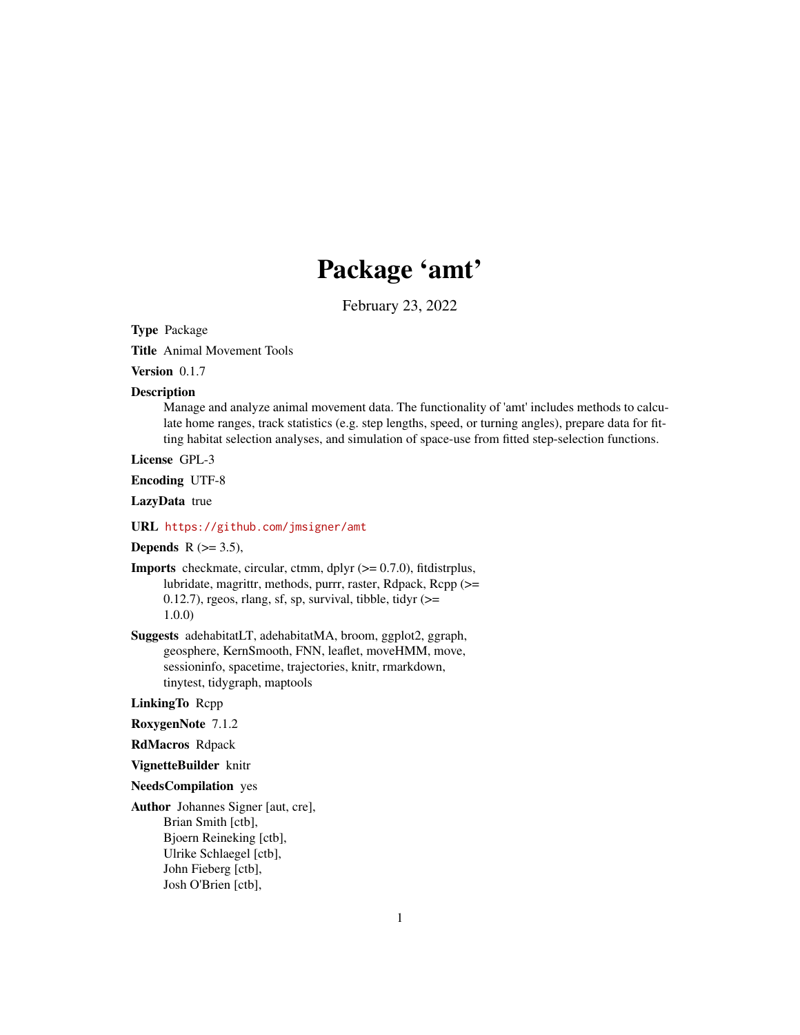# Package 'amt'

February 23, 2022

Type Package

Title Animal Movement Tools

Version 0.1.7

#### Description

Manage and analyze animal movement data. The functionality of 'amt' includes methods to calculate home ranges, track statistics (e.g. step lengths, speed, or turning angles), prepare data for fitting habitat selection analyses, and simulation of space-use from fitted step-selection functions.

License GPL-3

Encoding UTF-8

LazyData true

#### URL <https://github.com/jmsigner/amt>

# Depends  $R$  ( $>=$  3.5),

**Imports** checkmate, circular, ctmm, dplyr  $(>= 0.7.0)$ , fitdistrplus, lubridate, magrittr, methods, purrr, raster, Rdpack, Rcpp (>= 0.12.7), rgeos, rlang, sf, sp, survival, tibble, tidyr  $(>=$ 1.0.0)

Suggests adehabitatLT, adehabitatMA, broom, ggplot2, ggraph, geosphere, KernSmooth, FNN, leaflet, moveHMM, move, sessioninfo, spacetime, trajectories, knitr, rmarkdown, tinytest, tidygraph, maptools

## LinkingTo Rcpp

- RoxygenNote 7.1.2
- RdMacros Rdpack
- VignetteBuilder knitr

#### NeedsCompilation yes

Author Johannes Signer [aut, cre], Brian Smith [ctb], Bjoern Reineking [ctb], Ulrike Schlaegel [ctb], John Fieberg [ctb], Josh O'Brien [ctb],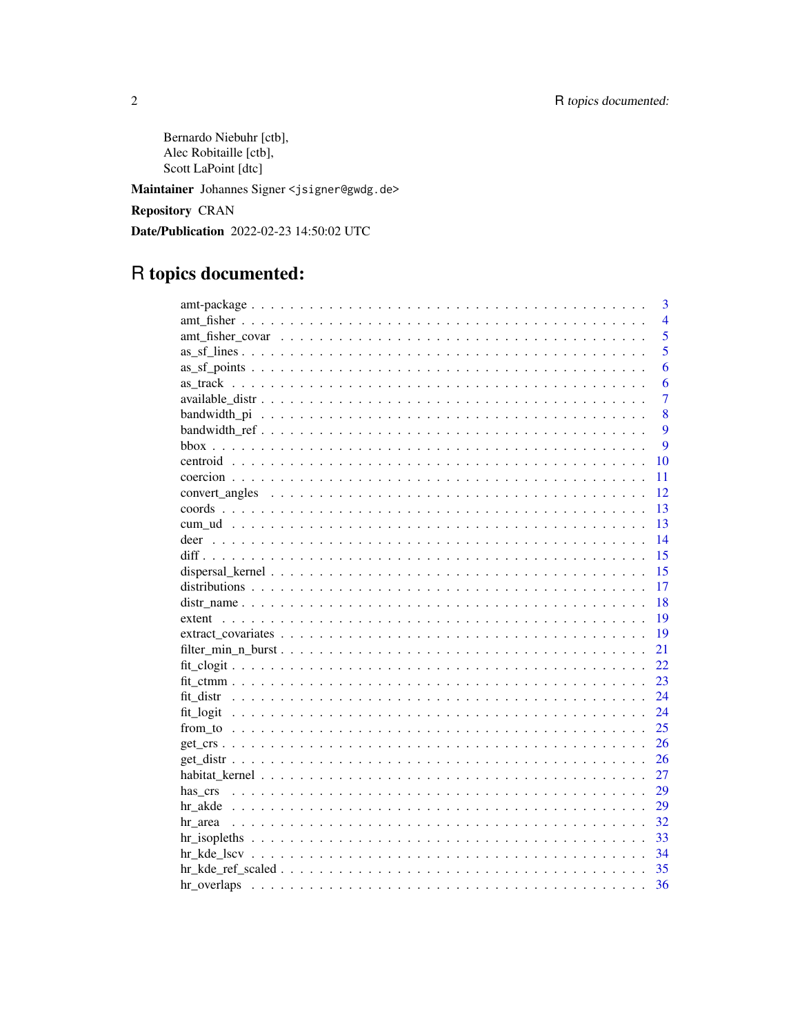Bernardo Niebuhr [ctb], Alec Robitaille [ctb], Scott LaPoint [dtc]

Maintainer Johannes Signer <jsigner@gwdg.de>

**Repository CRAN** 

Date/Publication 2022-02-23 14:50:02 UTC

# R topics documented:

| 3              |
|----------------|
| $\overline{4}$ |
| 5              |
| 5              |
| 6              |
| 6              |
| $\overline{7}$ |
| 8              |
| 9              |
| 9              |
| 10             |
| 11             |
| 12             |
| 13             |
| 13             |
| 14             |
| 15             |
| 15             |
| 17             |
| 18             |
| 19             |
| 19             |
| 21             |
| 22             |
| 23             |
| 24             |
| 24             |
| 25             |
| 26             |
| 26             |
| 27             |
| 29             |
| 29             |
| 32             |
| 33             |
| 34             |
| 35             |
| 36             |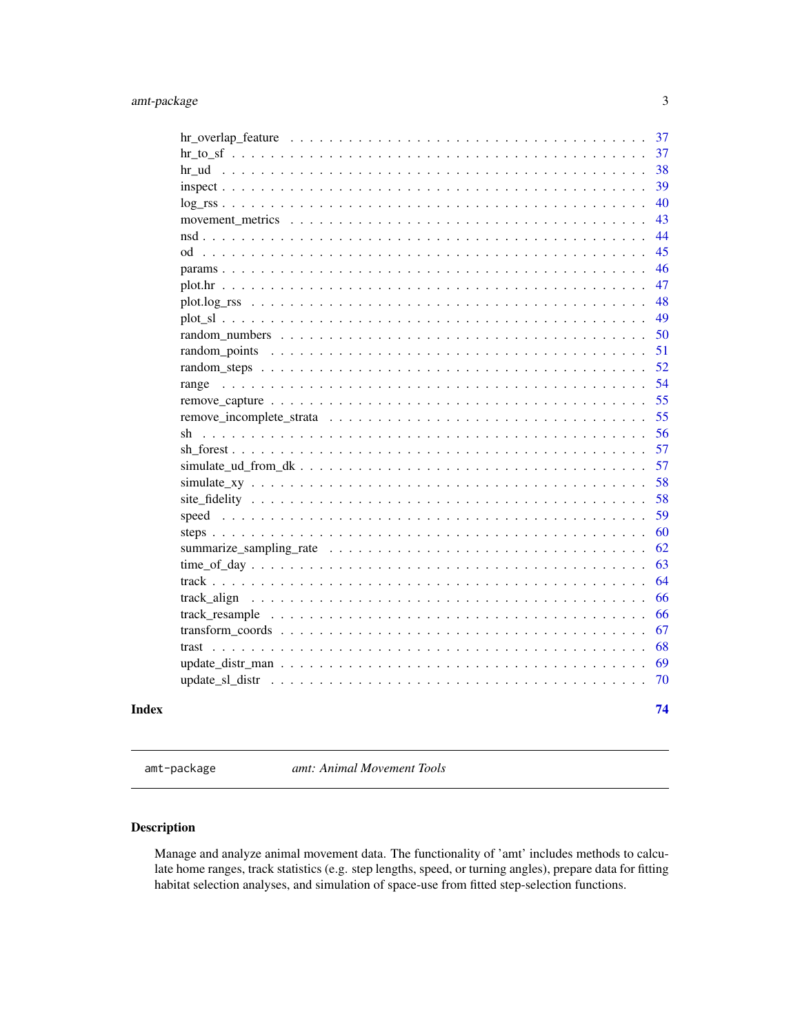<span id="page-2-0"></span>

|    |  |  |  |  |  |  |  |  |  |  | 38 |
|----|--|--|--|--|--|--|--|--|--|--|----|
|    |  |  |  |  |  |  |  |  |  |  | 39 |
|    |  |  |  |  |  |  |  |  |  |  | 40 |
|    |  |  |  |  |  |  |  |  |  |  | 43 |
|    |  |  |  |  |  |  |  |  |  |  | 44 |
|    |  |  |  |  |  |  |  |  |  |  | 45 |
|    |  |  |  |  |  |  |  |  |  |  | 46 |
|    |  |  |  |  |  |  |  |  |  |  | 47 |
|    |  |  |  |  |  |  |  |  |  |  | 48 |
|    |  |  |  |  |  |  |  |  |  |  | 49 |
|    |  |  |  |  |  |  |  |  |  |  | 50 |
|    |  |  |  |  |  |  |  |  |  |  | 51 |
|    |  |  |  |  |  |  |  |  |  |  | 52 |
|    |  |  |  |  |  |  |  |  |  |  | 54 |
|    |  |  |  |  |  |  |  |  |  |  | 55 |
|    |  |  |  |  |  |  |  |  |  |  | 55 |
| sh |  |  |  |  |  |  |  |  |  |  | 56 |
|    |  |  |  |  |  |  |  |  |  |  | 57 |
|    |  |  |  |  |  |  |  |  |  |  | 57 |
|    |  |  |  |  |  |  |  |  |  |  | 58 |
|    |  |  |  |  |  |  |  |  |  |  | 58 |
|    |  |  |  |  |  |  |  |  |  |  | 59 |
|    |  |  |  |  |  |  |  |  |  |  | 60 |
|    |  |  |  |  |  |  |  |  |  |  | 62 |
|    |  |  |  |  |  |  |  |  |  |  | 63 |
|    |  |  |  |  |  |  |  |  |  |  | 64 |
|    |  |  |  |  |  |  |  |  |  |  | 66 |
|    |  |  |  |  |  |  |  |  |  |  | 66 |
|    |  |  |  |  |  |  |  |  |  |  | 67 |
|    |  |  |  |  |  |  |  |  |  |  | 68 |
|    |  |  |  |  |  |  |  |  |  |  | 69 |
|    |  |  |  |  |  |  |  |  |  |  | 70 |
|    |  |  |  |  |  |  |  |  |  |  | 74 |
|    |  |  |  |  |  |  |  |  |  |  |    |

amt-package *amt: Animal Movement Tools*

# Description

Manage and analyze animal movement data. The functionality of 'amt' includes methods to calculate home ranges, track statistics (e.g. step lengths, speed, or turning angles), prepare data for fitting habitat selection analyses, and simulation of space-use from fitted step-selection functions.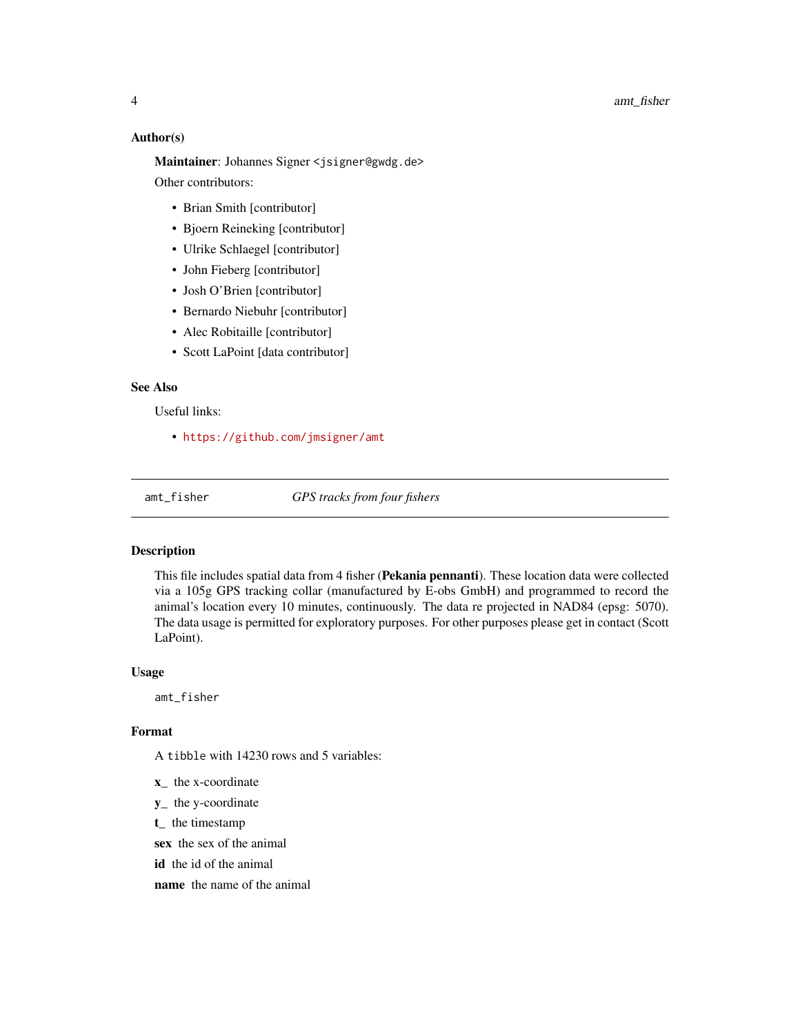#### Author(s)

Maintainer: Johannes Signer <jsigner@gwdg.de> Other contributors:

- Brian Smith [contributor]
- Bjoern Reineking [contributor]
- Ulrike Schlaegel [contributor]
- John Fieberg [contributor]
- Josh O'Brien [contributor]
- Bernardo Niebuhr [contributor]
- Alec Robitaille [contributor]
- Scott LaPoint [data contributor]

# See Also

Useful links:

• <https://github.com/jmsigner/amt>

amt\_fisher *GPS tracks from four fishers*

#### Description

This file includes spatial data from 4 fisher (Pekania pennanti). These location data were collected via a 105g GPS tracking collar (manufactured by E-obs GmbH) and programmed to record the animal's location every 10 minutes, continuously. The data re projected in NAD84 (epsg: 5070). The data usage is permitted for exploratory purposes. For other purposes please get in contact (Scott LaPoint).

#### Usage

amt\_fisher

#### Format

A tibble with 14230 rows and 5 variables:

- x\_ the x-coordinate
- y\_ the y-coordinate
- t\_ the timestamp

sex the sex of the animal

id the id of the animal

name the name of the animal

<span id="page-3-0"></span>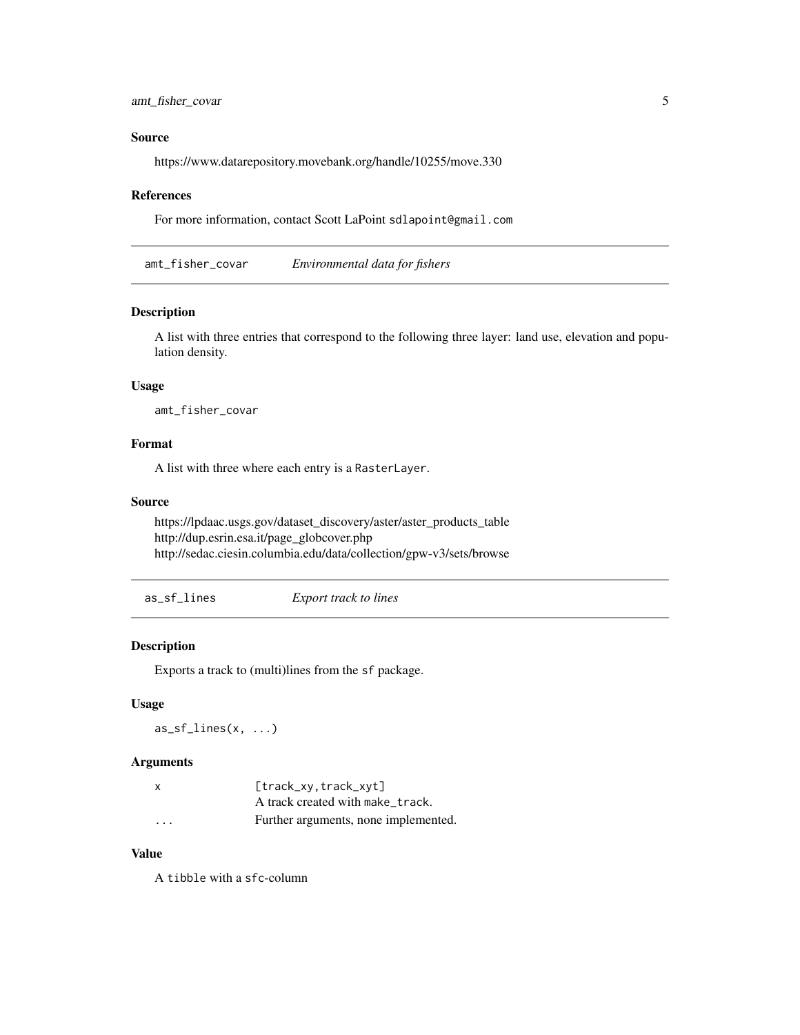<span id="page-4-0"></span>amt\_fisher\_covar 5

# Source

https://www.datarepository.movebank.org/handle/10255/move.330

#### References

For more information, contact Scott LaPoint sdlapoint@gmail.com

amt\_fisher\_covar *Environmental data for fishers*

# Description

A list with three entries that correspond to the following three layer: land use, elevation and population density.

#### Usage

amt\_fisher\_covar

#### Format

A list with three where each entry is a RasterLayer.

# Source

https://lpdaac.usgs.gov/dataset\_discovery/aster/aster\_products\_table http://dup.esrin.esa.it/page\_globcover.php http://sedac.ciesin.columbia.edu/data/collection/gpw-v3/sets/browse

as\_sf\_lines *Export track to lines*

# Description

Exports a track to (multi)lines from the sf package.

## Usage

 $as_sf_{\text{lines}}(x, \ldots)$ 

# Arguments

| X                       | $[track_xv, track_xvt]$              |
|-------------------------|--------------------------------------|
|                         | A track created with make_track.     |
| $\cdot$ $\cdot$ $\cdot$ | Further arguments, none implemented. |

# Value

A tibble with a sfc-column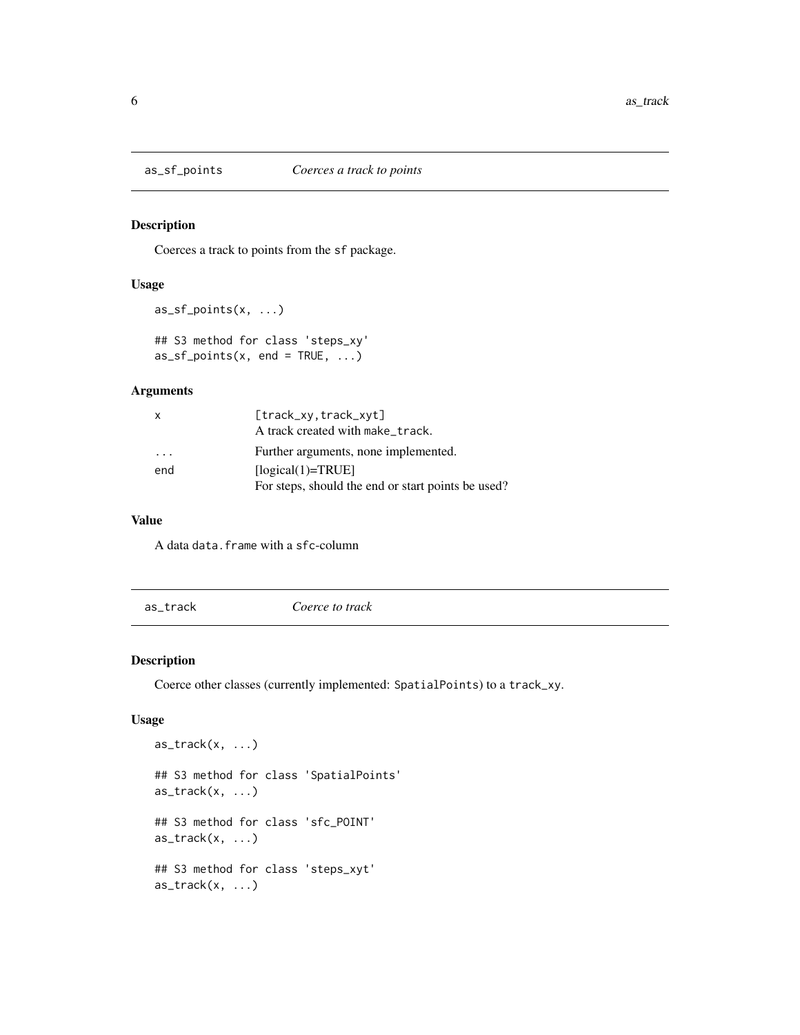Coerces a track to points from the sf package.

# Usage

```
as_sf_points(x, ...)
## S3 method for class 'steps_xy'
as_s f_{points}(x, end = TRUE, ...)
```
# Arguments

| $\mathsf{x}$ | [track_xy,track_xyt]                               |
|--------------|----------------------------------------------------|
|              | A track created with make_track.                   |
| .            | Further arguments, none implemented.               |
| end          | $[logical(1)=TRUE]$                                |
|              | For steps, should the end or start points be used? |

#### Value

A data data.frame with a sfc-column

as\_track *Coerce to track*

# Description

Coerce other classes (currently implemented: SpatialPoints) to a track\_xy.

```
as\_track(x, \ldots)## S3 method for class 'SpatialPoints'
as\_track(x, \ldots)## S3 method for class 'sfc_POINT'
as\_track(x, \ldots)## S3 method for class 'steps_xyt'
as\_track(x, \ldots)
```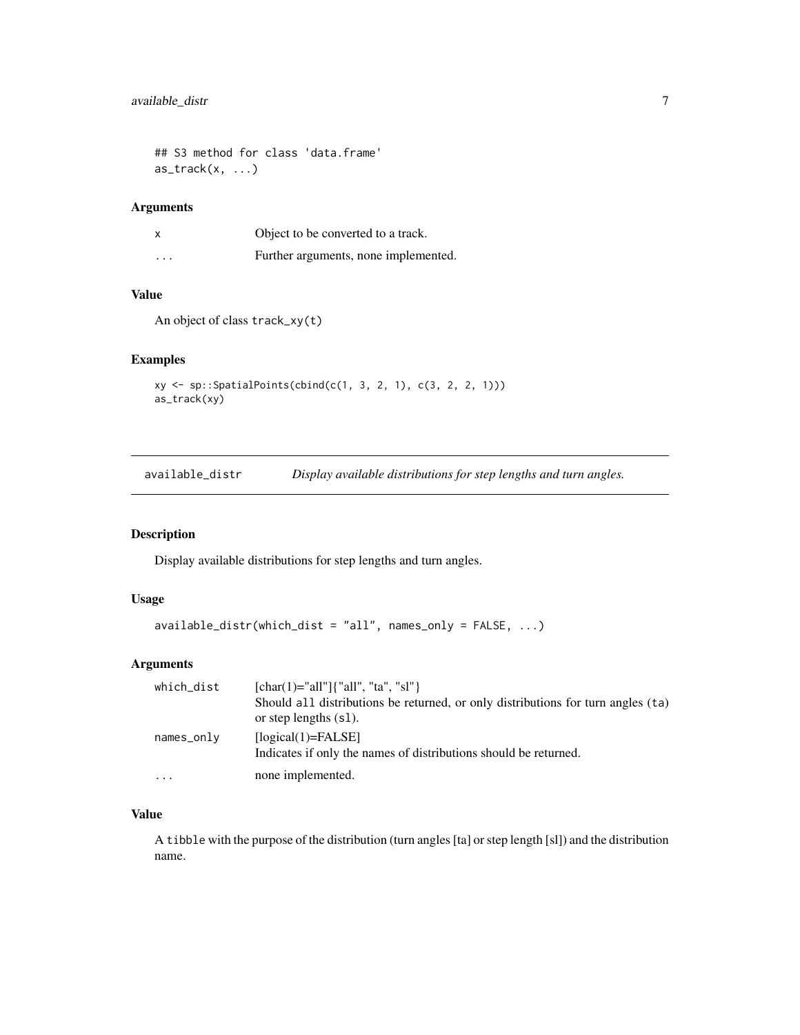```
## S3 method for class 'data.frame'
as\_track(x, \ldots)
```
# Arguments

| x        | Object to be converted to a track.   |
|----------|--------------------------------------|
| $\cdots$ | Further arguments, none implemented. |

# Value

An object of class track\_xy(t)

# Examples

```
xy <- sp::SpatialPoints(cbind(c(1, 3, 2, 1), c(3, 2, 2, 1)))
as_track(xy)
```
available\_distr *Display available distributions for step lengths and turn angles.*

# Description

Display available distributions for step lengths and turn angles.

#### Usage

```
available_distr(which_dist = "all", names_only = FALSE, ...)
```
#### Arguments

| which_dist | [char(1)="all"]{"all", "ta", "sl"}                                               |
|------------|----------------------------------------------------------------------------------|
|            | Should all distributions be returned, or only distributions for turn angles (ta) |
|            | or step lengths $(s1)$ .                                                         |
| names_only | $[logical(1)=FALSE]$                                                             |
|            | Indicates if only the names of distributions should be returned.                 |
| .          | none implemented.                                                                |

#### Value

A tibble with the purpose of the distribution (turn angles [ta] or step length [sl]) and the distribution name.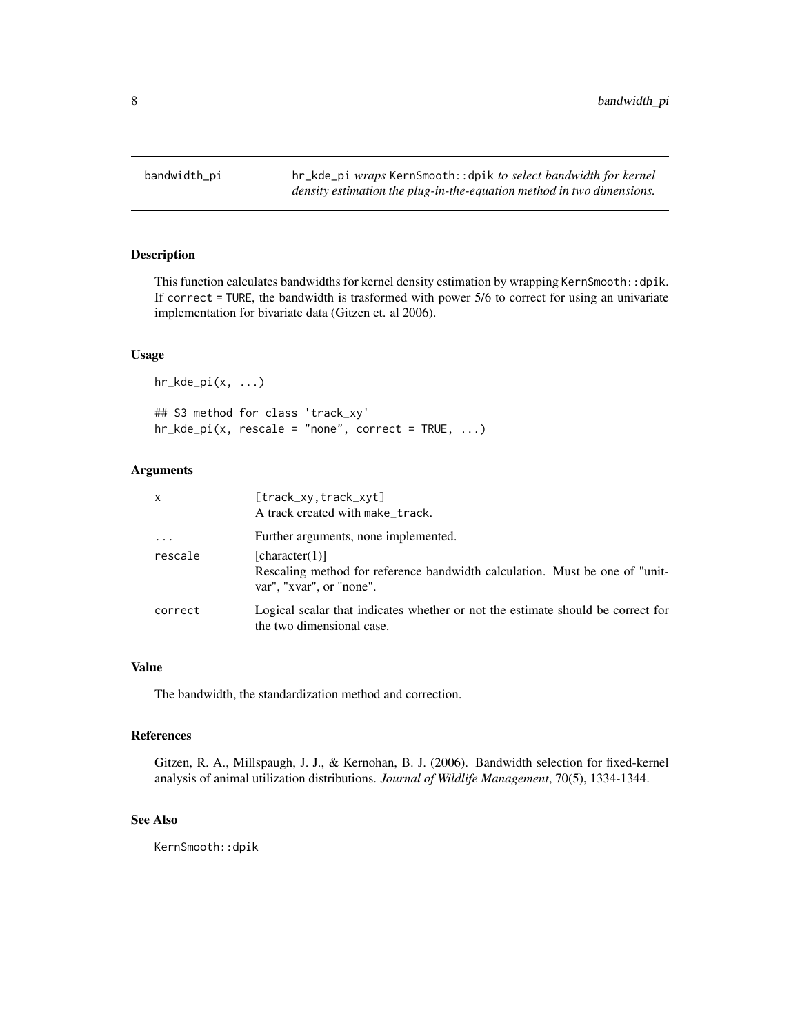<span id="page-7-0"></span>

This function calculates bandwidths for kernel density estimation by wrapping KernSmooth::dpik. If correct = TURE, the bandwidth is trasformed with power 5/6 to correct for using an univariate implementation for bivariate data (Gitzen et. al 2006).

#### Usage

hr\_kde\_pi(x, ...) ## S3 method for class 'track\_xy'  $hr\_kde\_pi(x, rescale = "none", correct = TRUE, ...)$ 

# Arguments

| x          | [track_xy.track_xyt]<br>A track created with make_track.                                                                  |
|------------|---------------------------------------------------------------------------------------------------------------------------|
| $\ddots$ . | Further arguments, none implemented.                                                                                      |
| rescale    | [character(1)]<br>Rescaling method for reference bandwidth calculation. Must be one of "unit-<br>var", "xvar", or "none". |
| correct    | Logical scalar that indicates whether or not the estimate should be correct for<br>the two dimensional case.              |

#### Value

The bandwidth, the standardization method and correction.

#### References

Gitzen, R. A., Millspaugh, J. J., & Kernohan, B. J. (2006). Bandwidth selection for fixed-kernel analysis of animal utilization distributions. *Journal of Wildlife Management*, 70(5), 1334-1344.

#### See Also

KernSmooth::dpik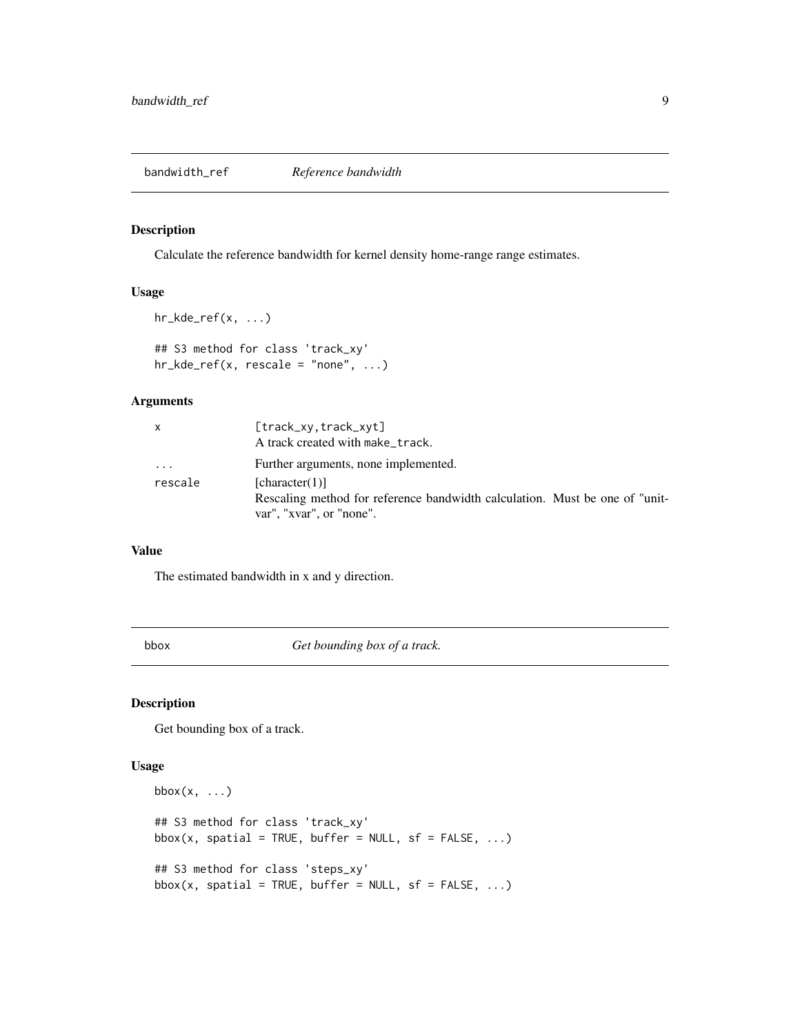<span id="page-8-0"></span>Calculate the reference bandwidth for kernel density home-range range estimates.

# Usage

```
hr\_kde\_ref(x, ...)## S3 method for class 'track_xy'
hr\_kde\_ref(x, rescale = "none", ...)
```
# Arguments

|          | $[track_xv, track_xvt]$                                                                                 |
|----------|---------------------------------------------------------------------------------------------------------|
|          | A track created with make_track.                                                                        |
| $\cdots$ | Further arguments, none implemented.                                                                    |
| rescale  | [character(1)]                                                                                          |
|          | Rescaling method for reference bandwidth calculation. Must be one of "unit-<br>var", "xvar", or "none". |

# Value

The estimated bandwidth in x and y direction.

bbox *Get bounding box of a track.*

# Description

Get bounding box of a track.

```
bbox(x, \ldots)## S3 method for class 'track_xy'
bbox(x, spatial = TRUE, buffer = NULL, sf = FALSE, ...)
## S3 method for class 'steps_xy'
bbox(x, spatial = TRUE, buffer = NULL, sf = FALSE, ...)
```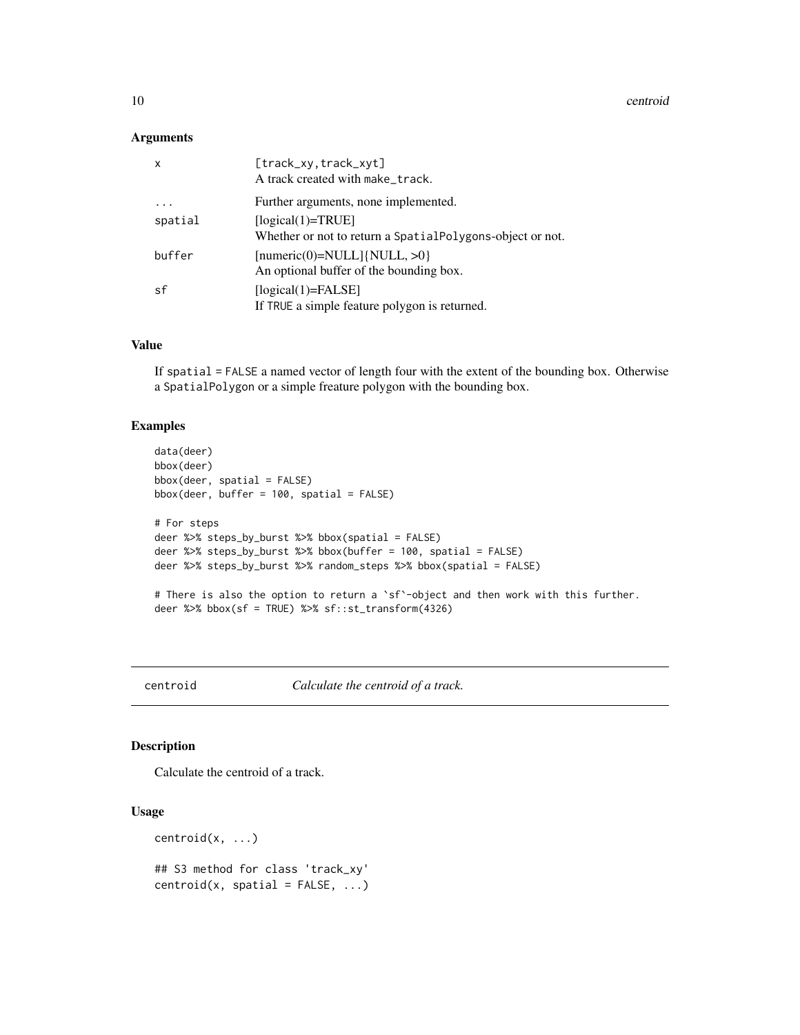<span id="page-9-0"></span>10 centroid

#### Arguments

| x       | [track_xy, track_xyt]<br>A track created with make_track.                        |
|---------|----------------------------------------------------------------------------------|
|         | Further arguments, none implemented.                                             |
| spatial | $[logical(1)=TRUE]$<br>Whether or not to return a SpatialPolygons-object or not. |
| buffer  | $[numeric(0)=NULL]{NULL, >0}$<br>An optional buffer of the bounding box.         |
| sf      | $[logical(1)=FALSE]$<br>If TRUE a simple feature polygon is returned.            |

# Value

If spatial = FALSE a named vector of length four with the extent of the bounding box. Otherwise a SpatialPolygon or a simple freature polygon with the bounding box.

# Examples

```
data(deer)
bbox(deer)
bbox(deer, spatial = FALSE)
bbox(deer, buffer = 100, spatial = FALSE)
# For steps
deer %>% steps_by_burst %>% bbox(spatial = FALSE)
deer %>% steps_by_burst %>% bbox(buffer = 100, spatial = FALSE)
deer %>% steps_by_burst %>% random_steps %>% bbox(spatial = FALSE)
# There is also the option to return a `sf`-object and then work with this further.
deer %>% bbox(sf = TRUE) %>% sf::st_transform(4326)
```
centroid *Calculate the centroid of a track.*

# Description

Calculate the centroid of a track.

#### Usage

 $centroid(x, \ldots)$ 

## S3 method for class 'track\_xy'  $centroid(x, spatial = FALSE, ...)$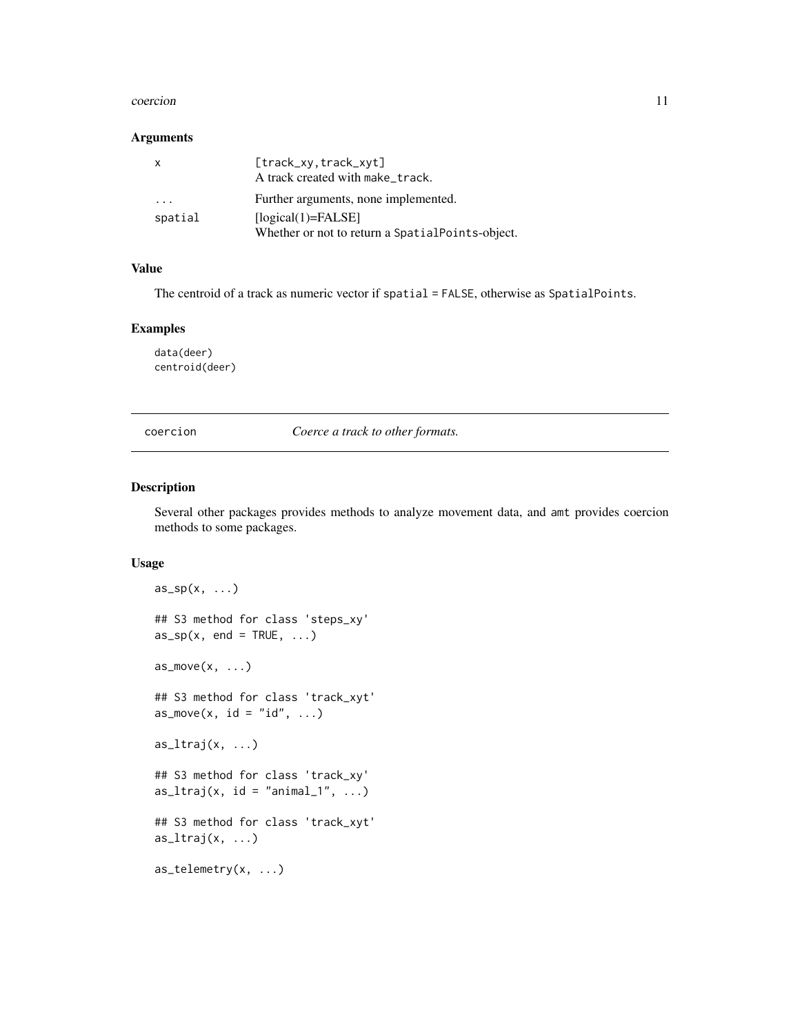#### <span id="page-10-0"></span>coercion and the coercion of the coercion of the coercion of the coercion of the coercion of the coercion of the coercion of the coercion of the coercion of the coercion of the coercion of the coercion of the coercion of t

#### Arguments

| x                       | [track_xy,track_xyt]                             |
|-------------------------|--------------------------------------------------|
|                         | A track created with make_track.                 |
| $\cdot$ $\cdot$ $\cdot$ | Further arguments, none implemented.             |
| spatial                 | $[logical(1)=FALSE]$                             |
|                         | Whether or not to return a SpatialPoints-object. |

#### Value

The centroid of a track as numeric vector if spatial = FALSE, otherwise as SpatialPoints.

#### Examples

data(deer) centroid(deer)

coercion *Coerce a track to other formats.*

#### Description

Several other packages provides methods to analyze movement data, and amt provides coercion methods to some packages.

```
as_sp(x, \ldots)## S3 method for class 'steps_xy'
as_sp(x, end = TRUE, ...)as_move(x, \ldots)## S3 method for class 'track_xyt'
as_move(x, id = "id", ...)as_ltraj(x, ...)
## S3 method for class 'track_xy'
as_ltraj(x, id = "animal_l", ...)## S3 method for class 'track_xyt'
as_ltraj(x, \ldots)as_telemetry(x, ...)
```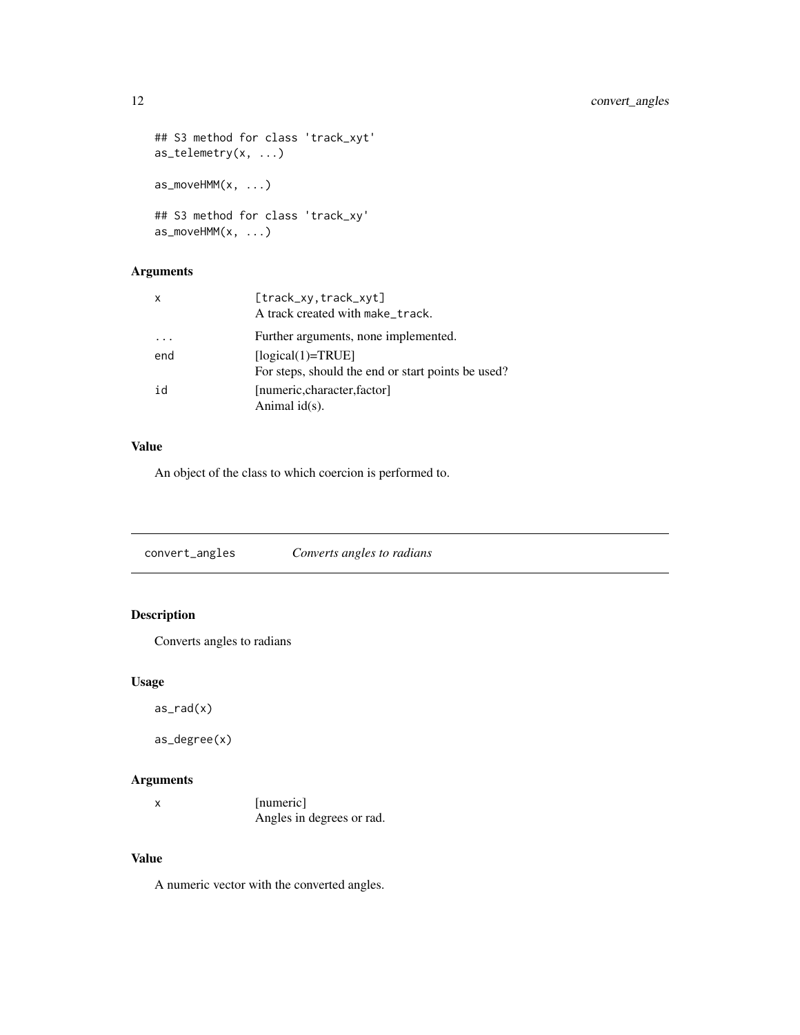```
## S3 method for class 'track_xyt'
as_telemetry(x, ...)
as_moveHMM(x, \ldots)## S3 method for class 'track_xy'
as_moveHMM(x, ...)
```
# Arguments

| X   | [track_xy, track_xyt]<br>A track created with make_track.                 |
|-----|---------------------------------------------------------------------------|
|     | Further arguments, none implemented.                                      |
| end | $[logical(1)=TRUE]$<br>For steps, should the end or start points be used? |
| id  | [numeric, character, factor]<br>Animal $id(s)$ .                          |

# Value

An object of the class to which coercion is performed to.

convert\_angles *Converts angles to radians*

# Description

Converts angles to radians

# Usage

as\_rad(x)

as\_degree(x)

# Arguments

| [numeric]                 |
|---------------------------|
| Angles in degrees or rad. |

# Value

A numeric vector with the converted angles.

<span id="page-11-0"></span>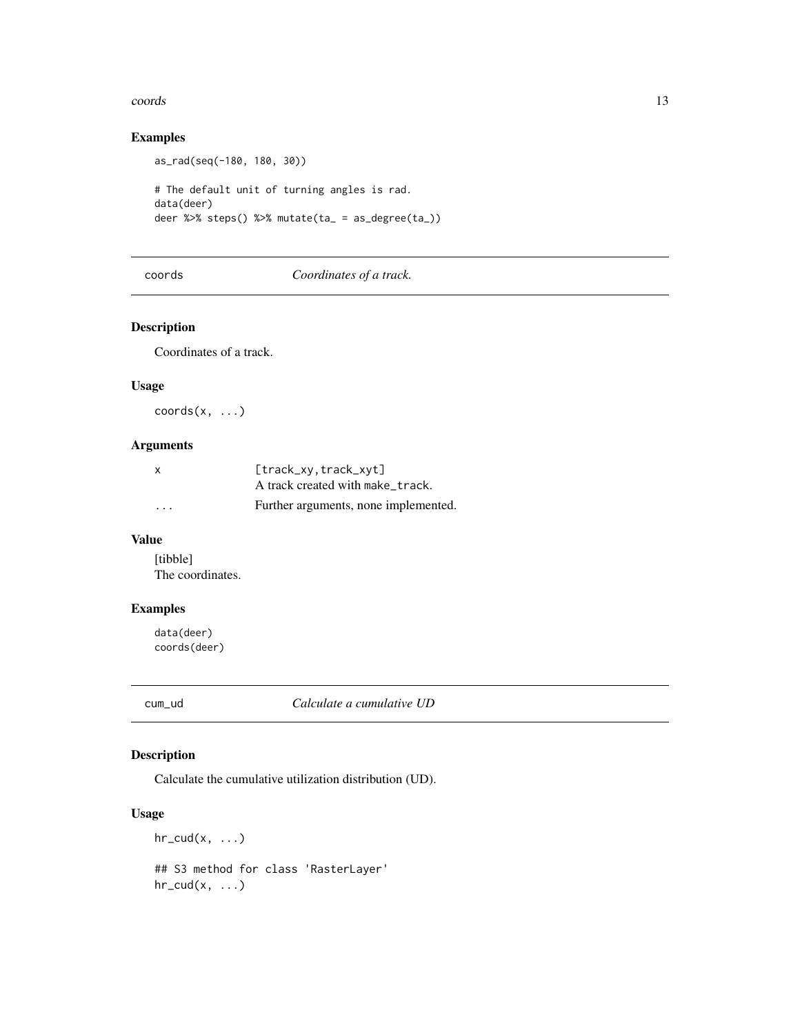#### <span id="page-12-0"></span>coords and the coords of the coords of the coords of the coords of the coords of the coords of the coords of the coords of the coords of the coords of the coords of the coords of the coords of the coords of the coords of t

# Examples

```
as_rad(seq(-180, 180, 30))
# The default unit of turning angles is rad.
data(deer)
deer %>% steps() %>% mutate(ta_ = as_degree(ta_))
```
#### coords *Coordinates of a track.*

# Description

Coordinates of a track.

#### Usage

 $coords(x, \ldots)$ 

# Arguments

| X        | $[track_xv, track_xvt]$              |
|----------|--------------------------------------|
|          | A track created with make_track.     |
| $\cdots$ | Further arguments, none implemented. |

# Value

[tibble] The coordinates.

# Examples

data(deer) coords(deer)

cum\_ud *Calculate a cumulative UD*

# Description

Calculate the cumulative utilization distribution (UD).

# Usage

 $hr\_cud(x, \ldots)$ ## S3 method for class 'RasterLayer'  $hr\_cud(x, \ldots)$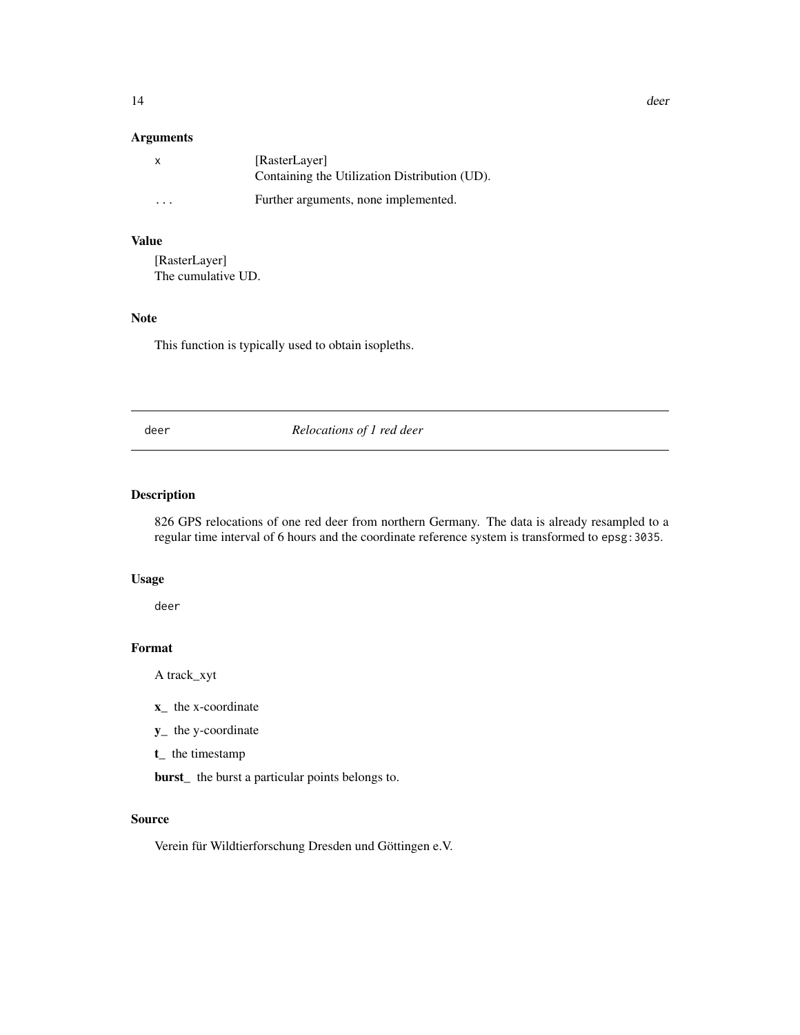14 deer and the state of the state of the state of the state of the state of the state of the state of the state of the state of the state of the state of the state of the state of the state of the state of the state of th

#### Arguments

| х                       | [RasterLayer]<br>Containing the Utilization Distribution (UD). |
|-------------------------|----------------------------------------------------------------|
| $\cdot$ $\cdot$ $\cdot$ | Further arguments, none implemented.                           |

#### Value

[RasterLayer] The cumulative UD.

#### Note

This function is typically used to obtain isopleths.

deer *Relocations of 1 red deer*

# Description

826 GPS relocations of one red deer from northern Germany. The data is already resampled to a regular time interval of 6 hours and the coordinate reference system is transformed to epsg:3035.

# Usage

deer

# Format

A track\_xyt

- x\_ the x-coordinate
- y\_ the y-coordinate
- t\_ the timestamp

burst\_ the burst a particular points belongs to.

# Source

Verein für Wildtierforschung Dresden und Göttingen e.V.

<span id="page-13-0"></span>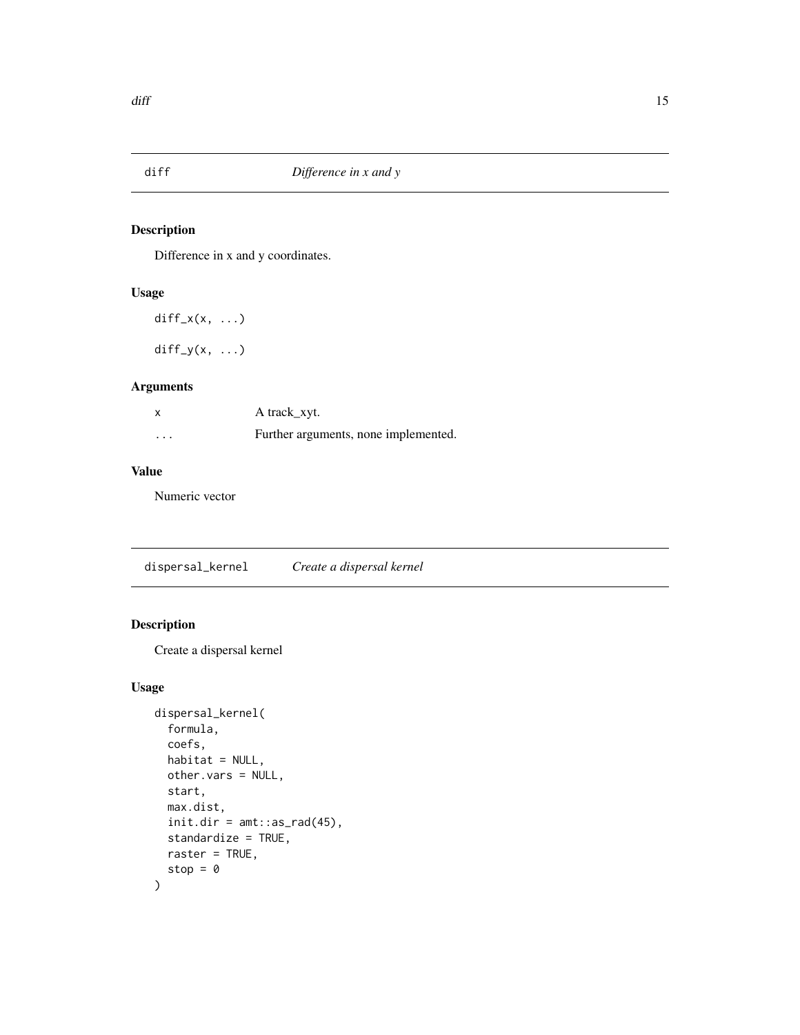<span id="page-14-0"></span>

Difference in x and y coordinates.

#### Usage

 $diff_x(x, \ldots)$ 

 $diff_y(x, \ldots)$ 

# Arguments

| X        | A track_xyt.                         |
|----------|--------------------------------------|
| $\cdots$ | Further arguments, none implemented. |

# Value

Numeric vector

dispersal\_kernel *Create a dispersal kernel*

# Description

Create a dispersal kernel

```
dispersal_kernel(
  formula,
  coefs,
 habitat = NULL,
 other.vars = NULL,
 start,
 max.dist,
 init.dim = amt::as\_rad(45),
  standardize = TRUE,
 raster = TRUE,
  stop = 0)
```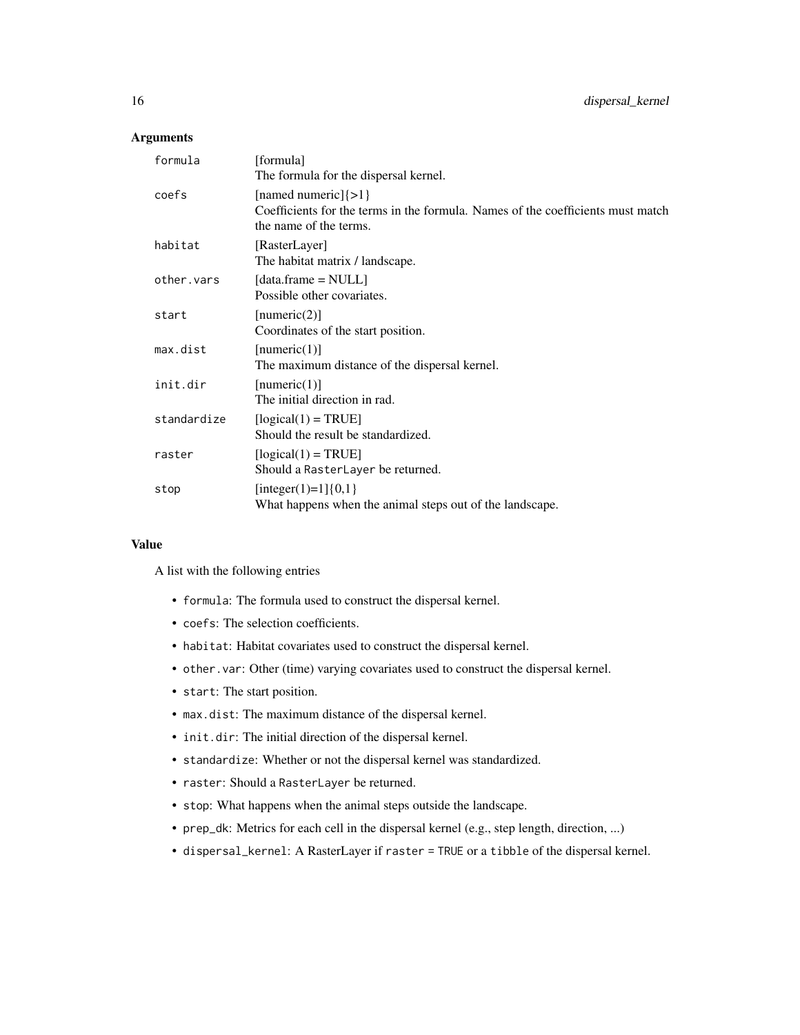# Arguments

| formula     | [formula]<br>The formula for the dispersal kernel.                                                                                    |
|-------------|---------------------------------------------------------------------------------------------------------------------------------------|
| coefs       | [named numeric] $\{>1\}$<br>Coefficients for the terms in the formula. Names of the coefficients must match<br>the name of the terms. |
| habitat     | [RasterLayer]<br>The habitat matrix / landscape.                                                                                      |
| other.vars  | $\lceil data \cdot \text{frame} = \text{NULL} \rceil$<br>Possible other covariates.                                                   |
| start       | [numeric(2)]<br>Coordinates of the start position.                                                                                    |
| max.dist    | [numeric(1)]<br>The maximum distance of the dispersal kernel.                                                                         |
| init.dir    | [numeric(1)]<br>The initial direction in rad.                                                                                         |
| standardize | $[logical(1) = TRUE]$<br>Should the result be standardized.                                                                           |
| raster      | $[logical(1) = TRUE]$<br>Should a RasterLayer be returned.                                                                            |
| stop        | [integer(1)=1] $\{0,1\}$<br>What happens when the animal steps out of the landscape.                                                  |

# Value

A list with the following entries

- formula: The formula used to construct the dispersal kernel.
- coefs: The selection coefficients.
- habitat: Habitat covariates used to construct the dispersal kernel.
- other.var: Other (time) varying covariates used to construct the dispersal kernel.
- start: The start position.
- max.dist: The maximum distance of the dispersal kernel.
- init.dir: The initial direction of the dispersal kernel.
- standardize: Whether or not the dispersal kernel was standardized.
- raster: Should a RasterLayer be returned.
- stop: What happens when the animal steps outside the landscape.
- prep\_dk: Metrics for each cell in the dispersal kernel (e.g., step length, direction, ...)
- dispersal\_kernel: A RasterLayer if raster = TRUE or a tibble of the dispersal kernel.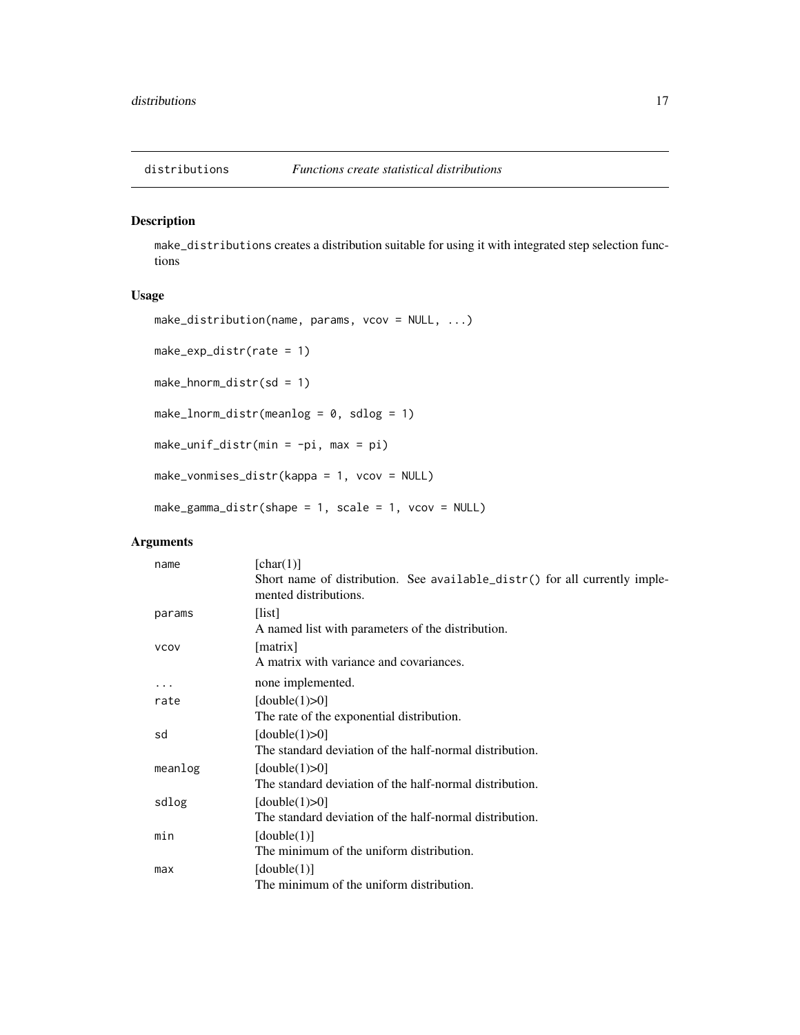<span id="page-16-0"></span>

make\_distributions creates a distribution suitable for using it with integrated step selection functions

# Usage

```
make_distribution(name, params, vcov = NULL, ...)
make_exp_distr(rate = 1)
make_hnorm_distr(sd = 1)
make_lnorm_distr(meanlog = 0, sdlog = 1)
make_unif_distr(min = -pi, max = pi)
make_vonmises_distr(kappa = 1, vcov = NULL)
make_gamma_distr(shape = 1, scale = 1, vcov = NULL)
```
# Arguments

| name        | [char(1)]                                                                                           |
|-------------|-----------------------------------------------------------------------------------------------------|
|             | Short name of distribution. See available_distr() for all currently imple-<br>mented distributions. |
| params      | [list]                                                                                              |
|             | A named list with parameters of the distribution.                                                   |
| <b>VCOV</b> | [matrix]                                                                                            |
|             | A matrix with variance and covariances.                                                             |
| .           | none implemented.                                                                                   |
| rate        | [double(1) $>0$ ]                                                                                   |
|             | The rate of the exponential distribution.                                                           |
| sd          | [double $(1)$ >0]                                                                                   |
|             | The standard deviation of the half-normal distribution.                                             |
| meanlog     | [double(1) $>0$ ]                                                                                   |
|             | The standard deviation of the half-normal distribution.                                             |
| sdlog       | [double $(1)$ >0]                                                                                   |
|             | The standard deviation of the half-normal distribution.                                             |
| min         | [double(1)]                                                                                         |
|             | The minimum of the uniform distribution.                                                            |
| max         | [double(1)]                                                                                         |
|             | The minimum of the uniform distribution.                                                            |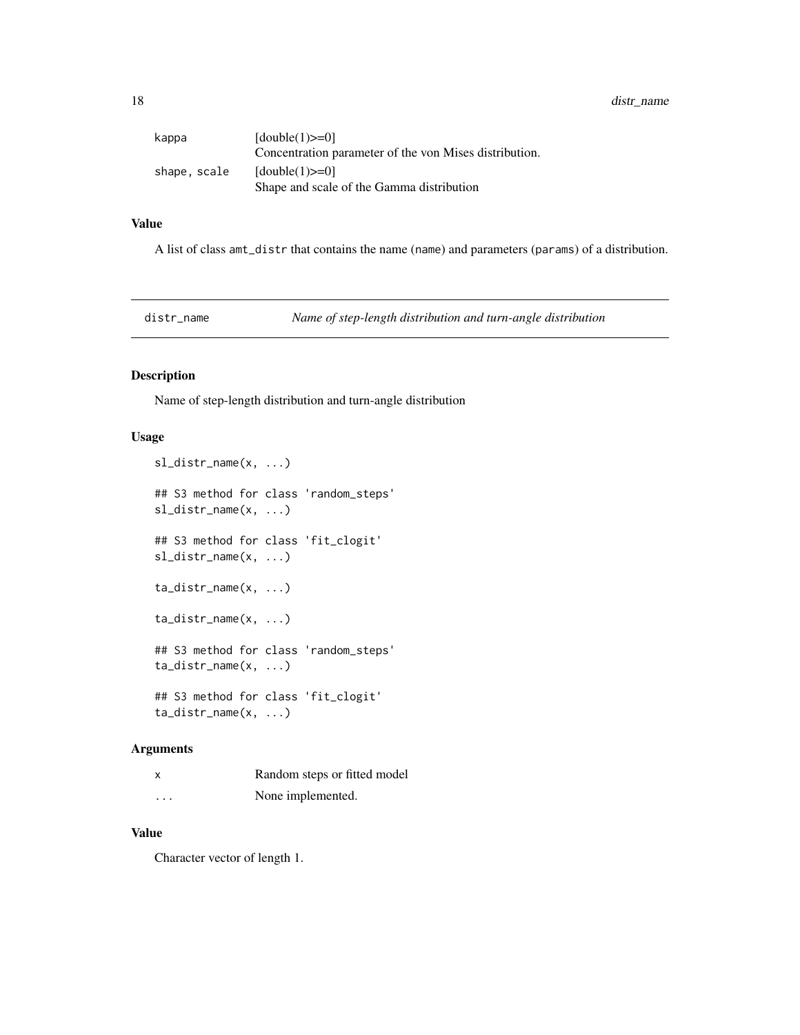<span id="page-17-0"></span>

| kappa        | $[double(1)=0]$                                        |
|--------------|--------------------------------------------------------|
|              | Concentration parameter of the von Mises distribution. |
| shape. scale | $[double(1)=0]$                                        |
|              | Shape and scale of the Gamma distribution              |

# Value

A list of class amt\_distr that contains the name (name) and parameters (params) of a distribution.

distr\_name *Name of step-length distribution and turn-angle distribution*

# Description

Name of step-length distribution and turn-angle distribution

# Usage

```
sl_distr_name(x, ...)
## S3 method for class 'random_steps'
sl_distr_name(x, ...)
## S3 method for class 'fit_clogit'
sl_distr_name(x, ...)
ta_distr_name(x, ...)
ta_distr_name(x, ...)
## S3 method for class 'random_steps'
ta_distr_name(x, ...)
## S3 method for class 'fit_clogit'
ta_distr_name(x, ...)
```
# Arguments

| X        | Random steps or fitted model |
|----------|------------------------------|
| $\cdots$ | None implemented.            |

## Value

Character vector of length 1.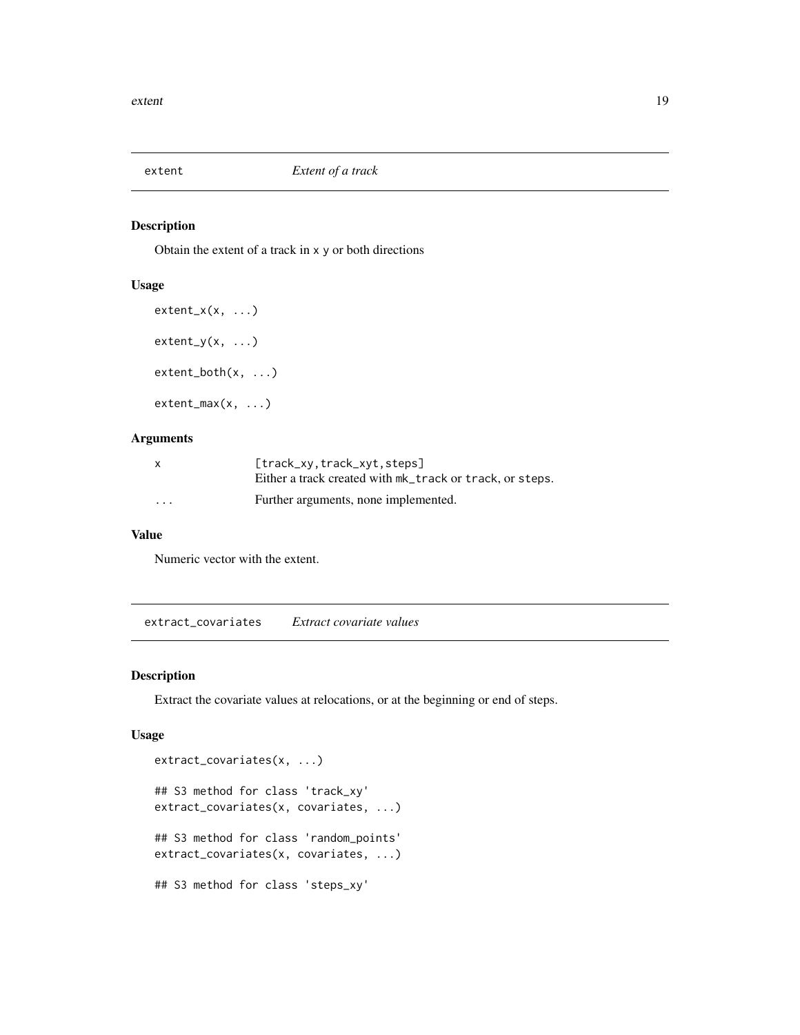<span id="page-18-0"></span>

Obtain the extent of a track in x y or both directions

# Usage

```
extent_x(x, \ldots)extent_y(x, \ldots)extent_both(x, ...)
extent_max(x, ...)
```
# Arguments

| $\mathsf{x}$            | $[track_xv, track_xvt, steps]$                           |
|-------------------------|----------------------------------------------------------|
|                         | Either a track created with mk_track or track, or steps. |
| $\cdot$ $\cdot$ $\cdot$ | Further arguments, none implemented.                     |

#### Value

Numeric vector with the extent.

extract\_covariates *Extract covariate values*

# Description

Extract the covariate values at relocations, or at the beginning or end of steps.

```
extract_covariates(x, ...)
## S3 method for class 'track_xy'
extract_covariates(x, covariates, ...)
## S3 method for class 'random_points'
extract_covariates(x, covariates, ...)
## S3 method for class 'steps_xy'
```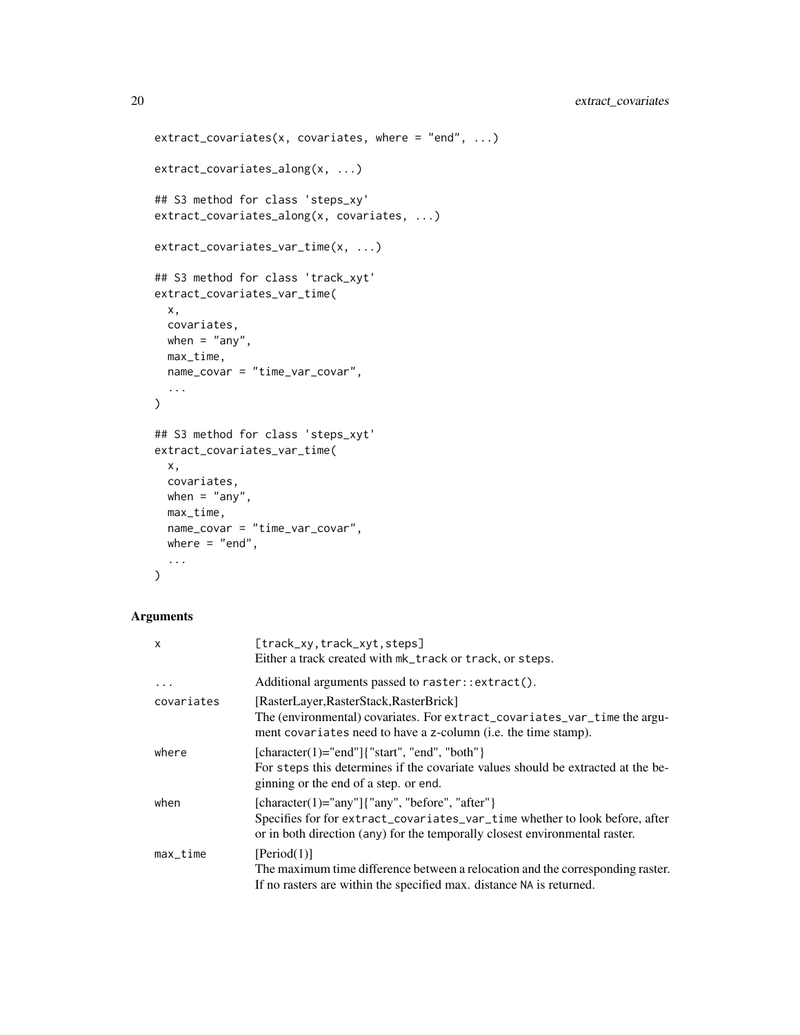```
extract_covariates(x, covariates, where = "end", ...)extract_covariates_along(x, ...)
## S3 method for class 'steps_xy'
extract_covariates_along(x, covariates, ...)
extract_covariates_var_time(x, ...)
## S3 method for class 'track_xyt'
extract_covariates_var_time(
 x,
 covariates,
 when = "any",max_time,
 name_covar = "time_var_covar",
  ...
\mathcal{L}## S3 method for class 'steps_xyt'
extract_covariates_var_time(
 x,
 covariates,
 when = "any",
 max_time,
 name_covar = "time_var_covar",
 where = "end",
  ...
)
```
#### Arguments

| x          | [track_xy,track_xyt,steps]<br>Either a track created with $mk$ _track or track, or steps.                                                                                                                              |
|------------|------------------------------------------------------------------------------------------------------------------------------------------------------------------------------------------------------------------------|
| $\cdot$    | Additional arguments passed to raster::extract().                                                                                                                                                                      |
| covariates | [RasterLayer, RasterStack, RasterBrick]<br>The (environmental) covariates. For extract_covariates_var_time the argu-<br>ment covariates need to have a z-column (i.e. the time stamp).                                 |
| where      | $[character(1)= "end"]$ {"start", "end", "both" }<br>For steps this determines if the covariate values should be extracted at the be-<br>ginning or the end of a step. or end.                                         |
| when       | $[character(1)=$ "any" $]$ {"any", "before", "after" $]$<br>Specifies for for extract_covariates_var_time whether to look before, after<br>or in both direction (any) for the temporally closest environmental raster. |
| max_time   | [Period(1)]<br>The maximum time difference between a relocation and the corresponding raster.<br>If no rasters are within the specified max. distance NA is returned.                                                  |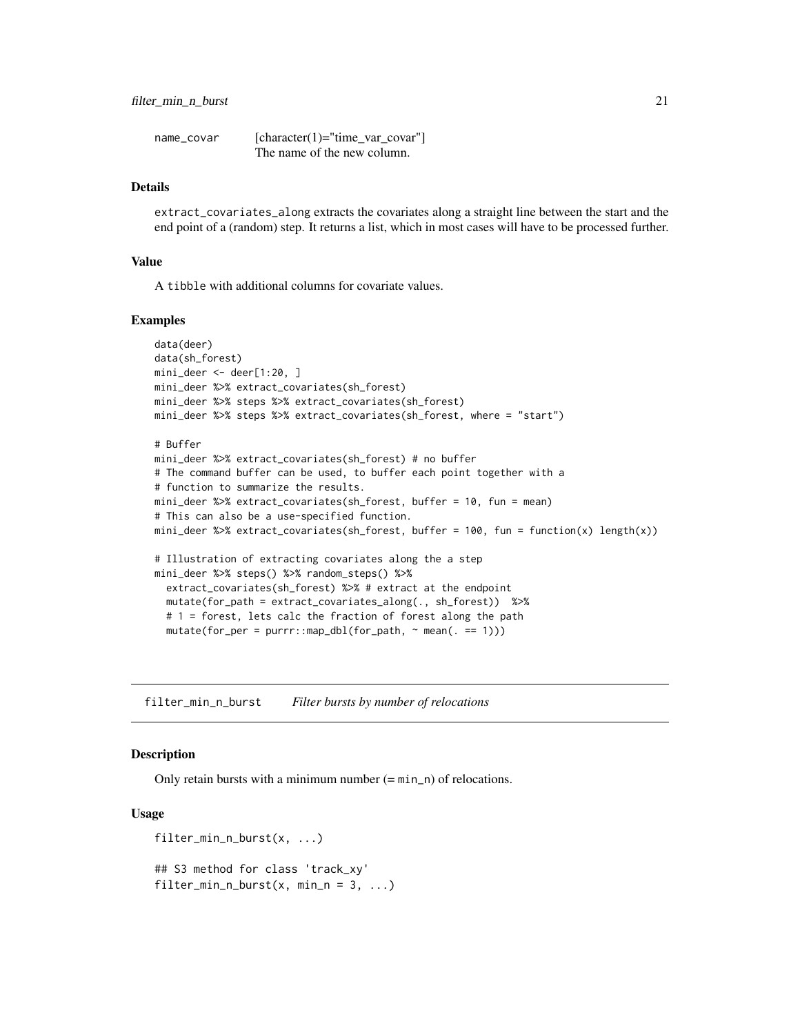<span id="page-20-0"></span>

| name covar | $[character(1)="time\_var\_covar"]$ |
|------------|-------------------------------------|
|            | The name of the new column.         |

#### Details

extract\_covariates\_along extracts the covariates along a straight line between the start and the end point of a (random) step. It returns a list, which in most cases will have to be processed further.

#### Value

A tibble with additional columns for covariate values.

#### Examples

```
data(deer)
data(sh_forest)
mini_deer <- deer[1:20, ]
mini_deer %>% extract_covariates(sh_forest)
mini_deer %>% steps %>% extract_covariates(sh_forest)
mini_deer %>% steps %>% extract_covariates(sh_forest, where = "start")
# Buffer
mini_deer %>% extract_covariates(sh_forest) # no buffer
# The command buffer can be used, to buffer each point together with a
# function to summarize the results.
mini_deer %>% extract_covariates(sh_forest, buffer = 10, fun = mean)
# This can also be a use-specified function.
mini_deer %>% extract_covariates(sh_forest, buffer = 100, fun = function(x) length(x))
# Illustration of extracting covariates along the a step
mini_deer %>% steps() %>% random_steps() %>%
  extract_covariates(sh_forest) %>% # extract at the endpoint
  mutate(for_path = extract_covariates_along(., sh_forest)) %>%
  # 1 = forest, lets calc the fraction of forest along the path
  mutate(for_per = purrr::map_dbl(for_path, ~mean(. == 1)))
```
filter\_min\_n\_burst *Filter bursts by number of relocations*

#### Description

Only retain bursts with a minimum number  $(= min_n)$  of relocations.

```
filter_min_n_burst(x, ...)
## S3 method for class 'track_xy'
filter_min_n_burst(x, min_n = 3, \ldots)
```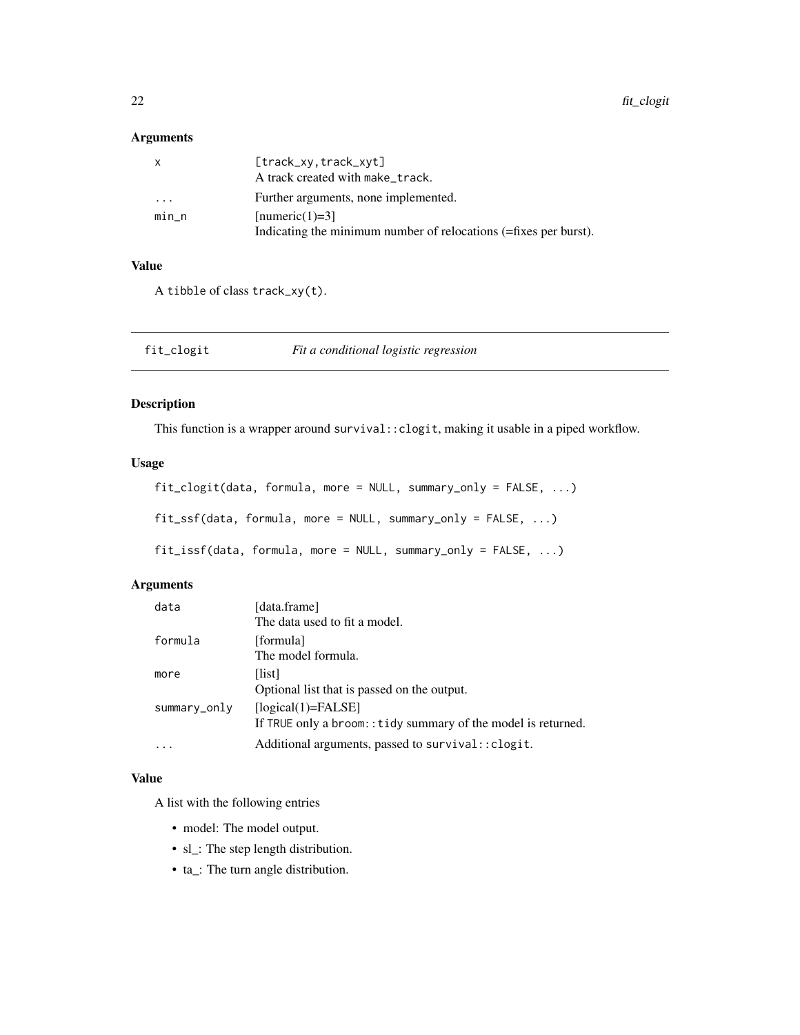<span id="page-21-0"></span>22 fit\_clogit

# Arguments

| X       | [track_xy,track_xyt]<br>A track created with make_track.                             |
|---------|--------------------------------------------------------------------------------------|
| $\cdot$ | Further arguments, none implemented.                                                 |
| $min_n$ | $[numeric(1)=3]$<br>Indicating the minimum number of relocations (=fixes per burst). |

# Value

A tibble of class track\_xy(t).

fit\_clogit *Fit a conditional logistic regression*

# Description

This function is a wrapper around survival::clogit, making it usable in a piped workflow.

# Usage

```
fit_clogit(data, formula, more = NULL, summary_only = FALSE, ...)
fit_ssf(data, formula, more = NULL, summary_only = FALSE, ...)
fit_issf(data, formula, more = NULL, summary_only = FALSE, ...)
```
# Arguments

| data         | [data.frame]                                                  |
|--------------|---------------------------------------------------------------|
|              | The data used to fit a model.                                 |
| formula      | [formula]                                                     |
|              | The model formula.                                            |
| more         | [list]                                                        |
|              | Optional list that is passed on the output.                   |
| summary_only | $[logical(1)=FALSE]$                                          |
|              | If TRUE only a broom:: tidy summary of the model is returned. |
|              | Additional arguments, passed to survival:: clogit.            |

# Value

A list with the following entries

- model: The model output.
- sl\_: The step length distribution.
- ta\_: The turn angle distribution.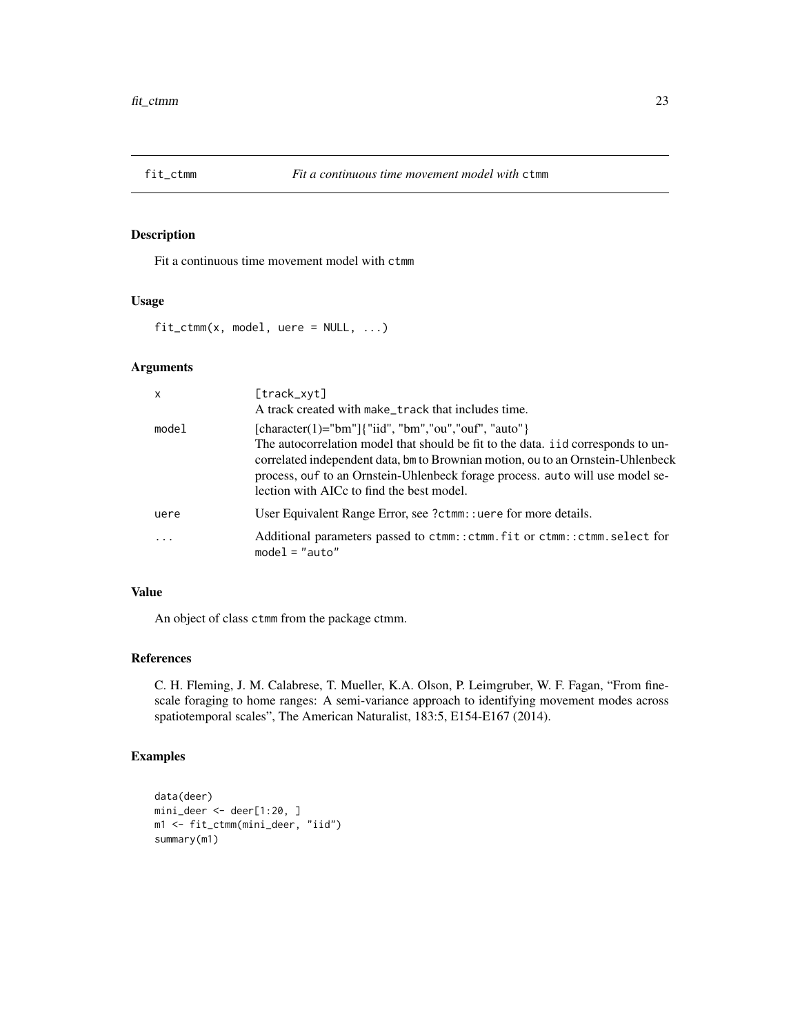<span id="page-22-0"></span>

Fit a continuous time movement model with ctmm

# Usage

 $fit\_ctmm(x, model, were = NULL, ...)$ 

# Arguments

| $\mathsf{x}$ | [track_xyt]<br>A track created with make_track that includes time.                                                                                                                                                                                                                                                                                        |
|--------------|-----------------------------------------------------------------------------------------------------------------------------------------------------------------------------------------------------------------------------------------------------------------------------------------------------------------------------------------------------------|
| model        | [character(1)="bm"]{"iid", "bm","ou","ouf", "auto"}<br>The autocorrelation model that should be fit to the data. i id corresponds to un-<br>correlated independent data, bm to Brownian motion, ou to an Ornstein-Uhlenbeck<br>process, ouf to an Ornstein-Uhlenbeck forage process. auto will use model se-<br>lection with AICc to find the best model. |
| uere         | User Equivalent Range Error, see ?ctmm: : uere for more details.                                                                                                                                                                                                                                                                                          |
|              | Additional parameters passed to ctmm::ctmm.fit or ctmm::ctmm.select for<br>$model = "auto"$                                                                                                                                                                                                                                                               |

# Value

An object of class ctmm from the package ctmm.

# References

C. H. Fleming, J. M. Calabrese, T. Mueller, K.A. Olson, P. Leimgruber, W. F. Fagan, "From finescale foraging to home ranges: A semi-variance approach to identifying movement modes across spatiotemporal scales", The American Naturalist, 183:5, E154-E167 (2014).

# Examples

```
data(deer)
mini_deer <- deer[1:20, ]
m1 <- fit_ctmm(mini_deer, "iid")
summary(m1)
```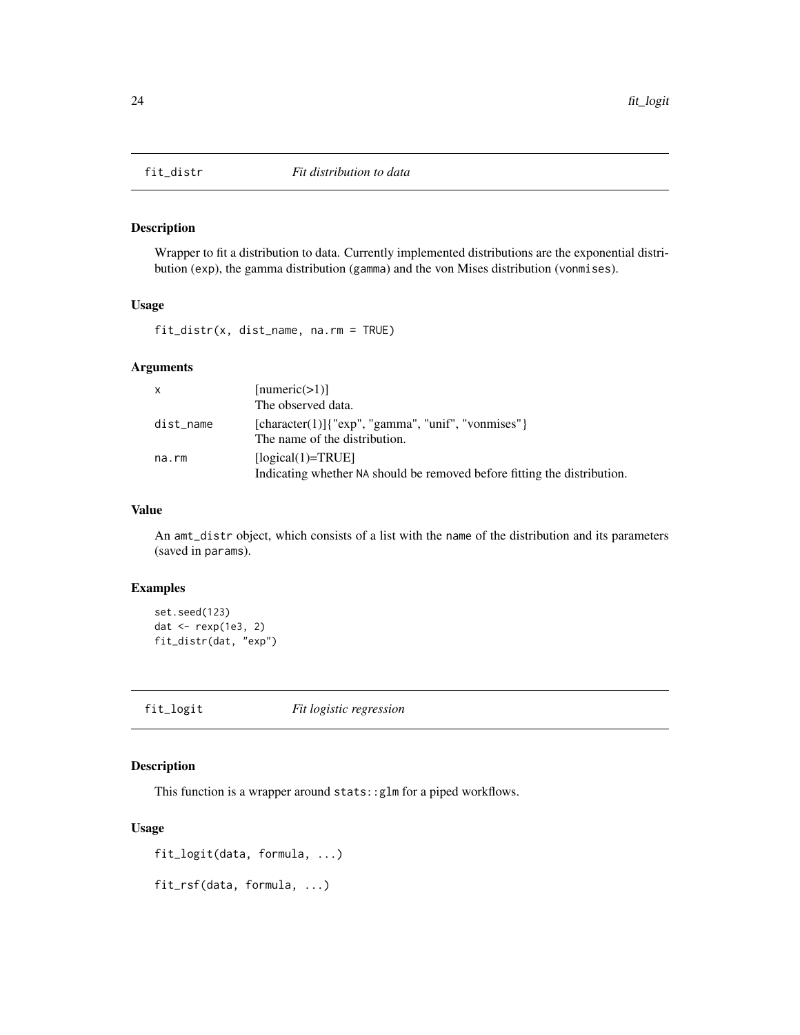<span id="page-23-0"></span>

Wrapper to fit a distribution to data. Currently implemented distributions are the exponential distribution (exp), the gamma distribution (gamma) and the von Mises distribution (vonmises).

#### Usage

fit\_distr(x, dist\_name, na.rm = TRUE)

# Arguments

| X           | [numeric(>1)]                                                                                   |  |
|-------------|-------------------------------------------------------------------------------------------------|--|
|             | The observed data.                                                                              |  |
| dist_name   | $[character(1)]$ {" $exp$ ", "gamma", "unif", "vonmises"}<br>The name of the distribution.      |  |
| $na$ . $rm$ | $[logical(1)=TRUE]$<br>Indicating whether NA should be removed before fitting the distribution. |  |

# Value

An amt\_distr object, which consists of a list with the name of the distribution and its parameters (saved in params).

# Examples

```
set.seed(123)
dat <- rexp(1e3, 2)
fit_distr(dat, "exp")
```
fit\_logit *Fit logistic regression*

## Description

This function is a wrapper around stats::glm for a piped workflows.

#### Usage

```
fit_logit(data, formula, ...)
```
fit\_rsf(data, formula, ...)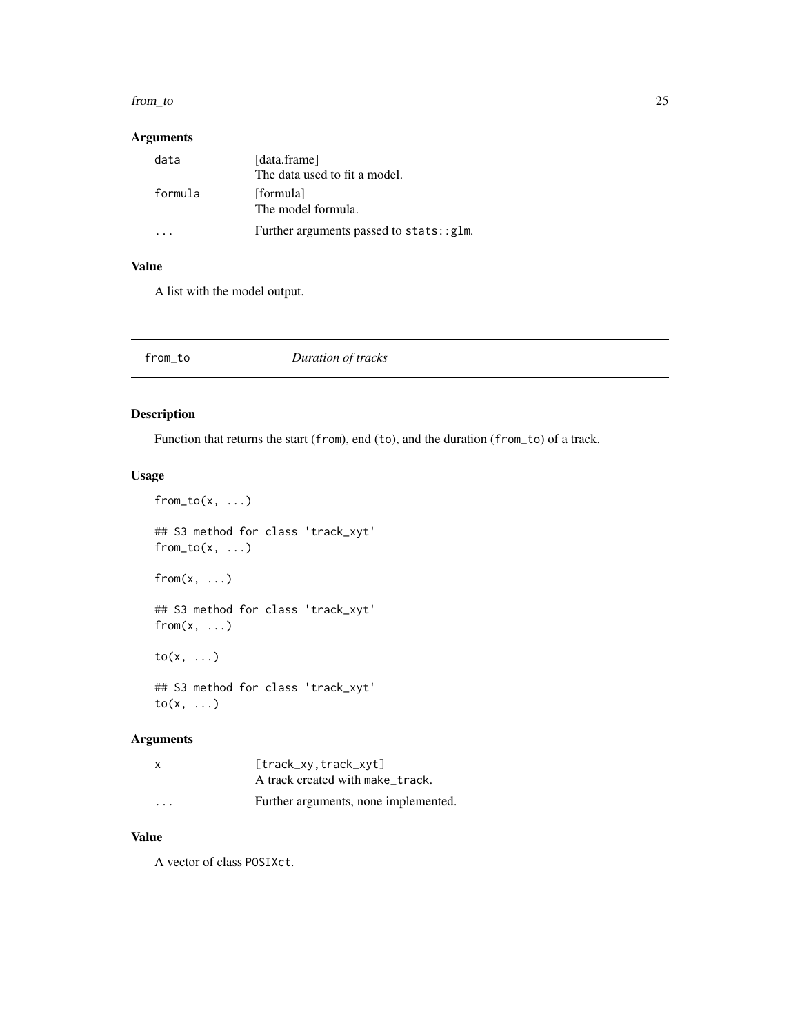#### <span id="page-24-0"></span>from\_to 25

# Arguments

| data    | [data.frame]<br>The data used to fit a model. |
|---------|-----------------------------------------------|
| formula | [formula]<br>The model formula.               |
|         | Further arguments passed to stats::glm.       |

# Value

A list with the model output.

| from_to | Duration of tracks |  |
|---------|--------------------|--|
|---------|--------------------|--|

# Description

Function that returns the start (from), end (to), and the duration (from\_to) of a track.

# Usage

```
from_to(x, ...)## S3 method for class 'track_xyt'
from_to(x, ...)from(x, \ldots)## S3 method for class 'track_xyt'
from(x, \ldots)to(x, \ldots)## S3 method for class 'track_xyt'
to(x, ...)
```
# Arguments

| x                       | $[track_xv, track_xvt]$<br>A track created with make_track. |
|-------------------------|-------------------------------------------------------------|
| $\cdot$ $\cdot$ $\cdot$ | Further arguments, none implemented.                        |

# Value

A vector of class POSIXct.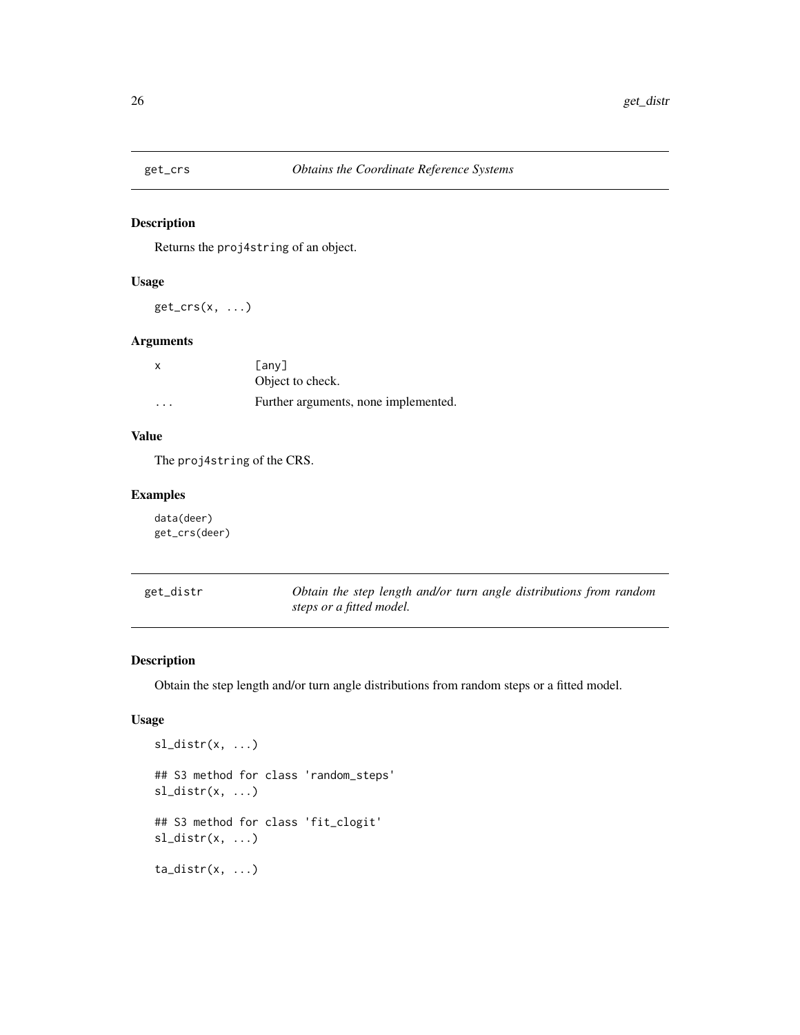<span id="page-25-0"></span>

Returns the proj4string of an object.

#### Usage

 $get\_crs(x, \ldots)$ 

# Arguments

| x                       | Fanv1                                |
|-------------------------|--------------------------------------|
|                         | Object to check.                     |
| $\cdot$ $\cdot$ $\cdot$ | Further arguments, none implemented. |

# Value

The proj4string of the CRS.

# Examples

data(deer) get\_crs(deer)

| get_distr | Obtain the step length and/or turn angle distributions from random |
|-----------|--------------------------------------------------------------------|
|           | steps or a fitted model.                                           |

# Description

Obtain the step length and/or turn angle distributions from random steps or a fitted model.

```
sl_distr(x, ...)
## S3 method for class 'random_steps'
sl\_distr(x, ...)## S3 method for class 'fit_clogit'
sl\_distr(x, ...)ta\_distr(x, ...)
```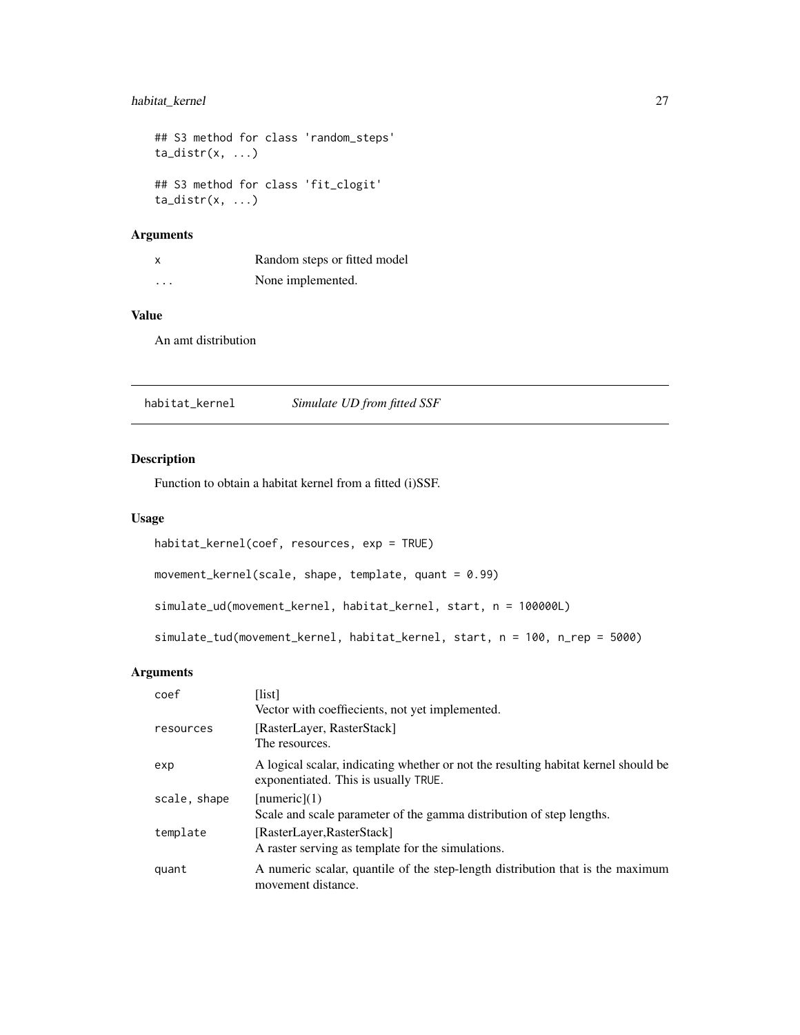# <span id="page-26-0"></span>habitat\_kernel 27

```
## S3 method for class 'random_steps'
ta\_distr(x, ...)## S3 method for class 'fit_clogit'
ta\_distr(x, ...)
```
# Arguments

| X                       | Random steps or fitted model |
|-------------------------|------------------------------|
| $\cdot$ $\cdot$ $\cdot$ | None implemented.            |

# Value

An amt distribution

habitat\_kernel *Simulate UD from fitted SSF*

# Description

Function to obtain a habitat kernel from a fitted (i)SSF.

#### Usage

```
habitat_kernel(coef, resources, exp = TRUE)
movement_kernel(scale, shape, template, quant = 0.99)
simulate_ud(movement_kernel, habitat_kernel, start, n = 100000L)
simulate_tud(movement_kernel, habitat_kernel, start, n = 100, n_rep = 5000)
```
# Arguments

| coef         | [list]<br>Vector with coeffiecients, not yet implemented.                                                                  |
|--------------|----------------------------------------------------------------------------------------------------------------------------|
| resources    | [RasterLayer, RasterStack]<br>The resources.                                                                               |
| exp          | A logical scalar, indicating whether or not the resulting habitat kernel should be<br>exponentiated. This is usually TRUE. |
| scale, shape | [numeric](1)<br>Scale and scale parameter of the gamma distribution of step lengths.                                       |
| template     | [RasterLayer, RasterStack]<br>A raster serving as template for the simulations.                                            |
| quant        | A numeric scalar, quantile of the step-length distribution that is the maximum<br>movement distance.                       |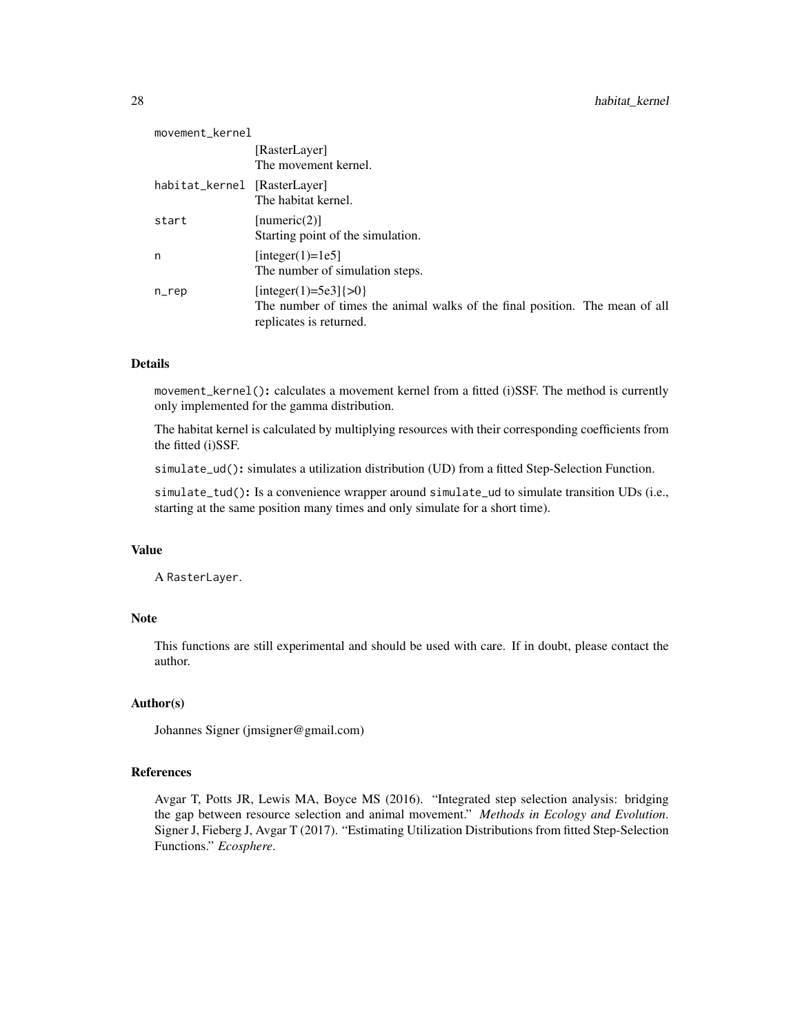| movement_kernel              |                                                                                                                                     |
|------------------------------|-------------------------------------------------------------------------------------------------------------------------------------|
|                              | [RasterLayer]<br>The movement kernel.                                                                                               |
| habitat_kernel [RasterLayer] | The habitat kernel.                                                                                                                 |
| start                        | [numeric(2)]<br>Starting point of the simulation.                                                                                   |
| n                            | [integer(1)=1e5]<br>The number of simulation steps.                                                                                 |
| n                            | [integer(1)=5e3] $\{>0\}$<br>The number of times the animal walks of the final position. The mean of all<br>replicates is returned. |

## Details

movement\_kernel(): calculates a movement kernel from a fitted (i)SSF. The method is currently only implemented for the gamma distribution.

The habitat kernel is calculated by multiplying resources with their corresponding coefficients from the fitted (i)SSF.

simulate\_ud(): simulates a utilization distribution (UD) from a fitted Step-Selection Function.

simulate\_tud(): Is a convenience wrapper around simulate\_ud to simulate transition UDs (i.e., starting at the same position many times and only simulate for a short time).

#### Value

A RasterLayer.

# Note

This functions are still experimental and should be used with care. If in doubt, please contact the author.

#### Author(s)

Johannes Signer (jmsigner@gmail.com)

#### References

Avgar T, Potts JR, Lewis MA, Boyce MS (2016). "Integrated step selection analysis: bridging the gap between resource selection and animal movement." *Methods in Ecology and Evolution*. Signer J, Fieberg J, Avgar T (2017). "Estimating Utilization Distributions from fitted Step-Selection Functions." *Ecosphere*.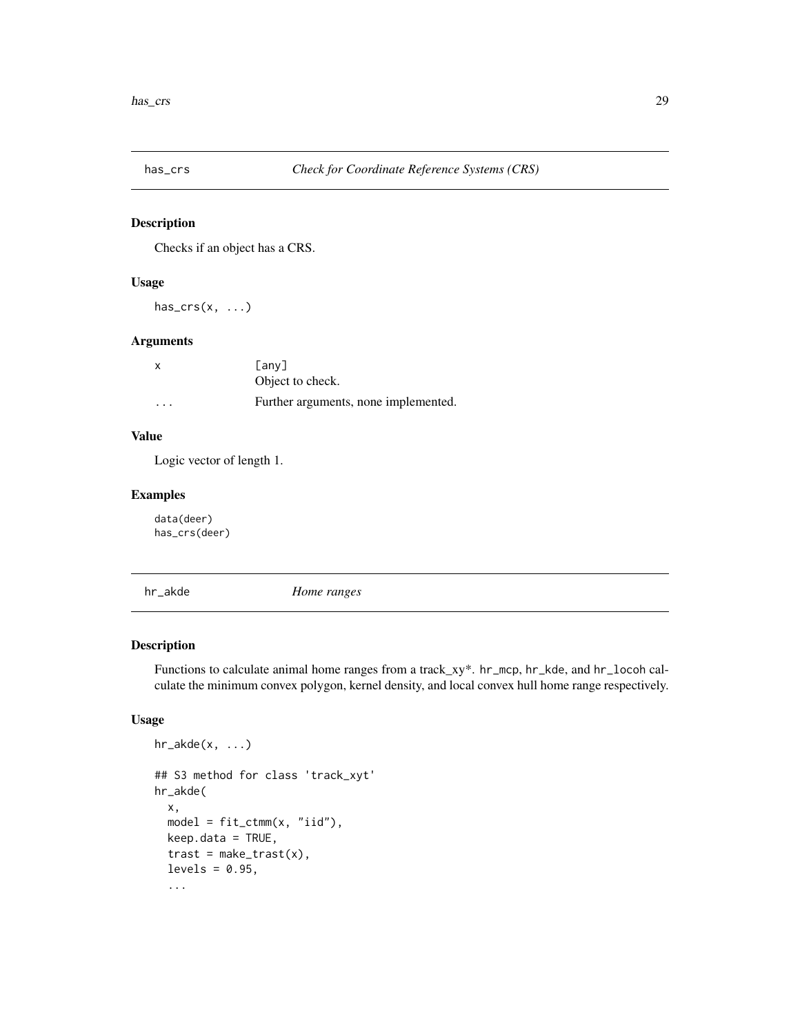<span id="page-28-0"></span>

Checks if an object has a CRS.

#### Usage

 $has\_crs(x, \ldots)$ 

# Arguments

| $\times$                | Fanv1                                |
|-------------------------|--------------------------------------|
|                         | Object to check.                     |
| $\cdot$ $\cdot$ $\cdot$ | Further arguments, none implemented. |

# Value

Logic vector of length 1.

# Examples

data(deer) has\_crs(deer)

hr\_akde *Home ranges*

# Description

Functions to calculate animal home ranges from a track\_xy\*. hr\_mcp, hr\_kde, and hr\_locoh calculate the minimum convex polygon, kernel density, and local convex hull home range respectively.

```
hr\_akde(x, \ldots)## S3 method for class 'track_xyt'
hr_akde(
  x,
  model = fit_ctmm(x, "iid"),keep.data = TRUE,
  \text{trast} = \text{make\_trust}(x),
  levels = 0.95,
  ...
```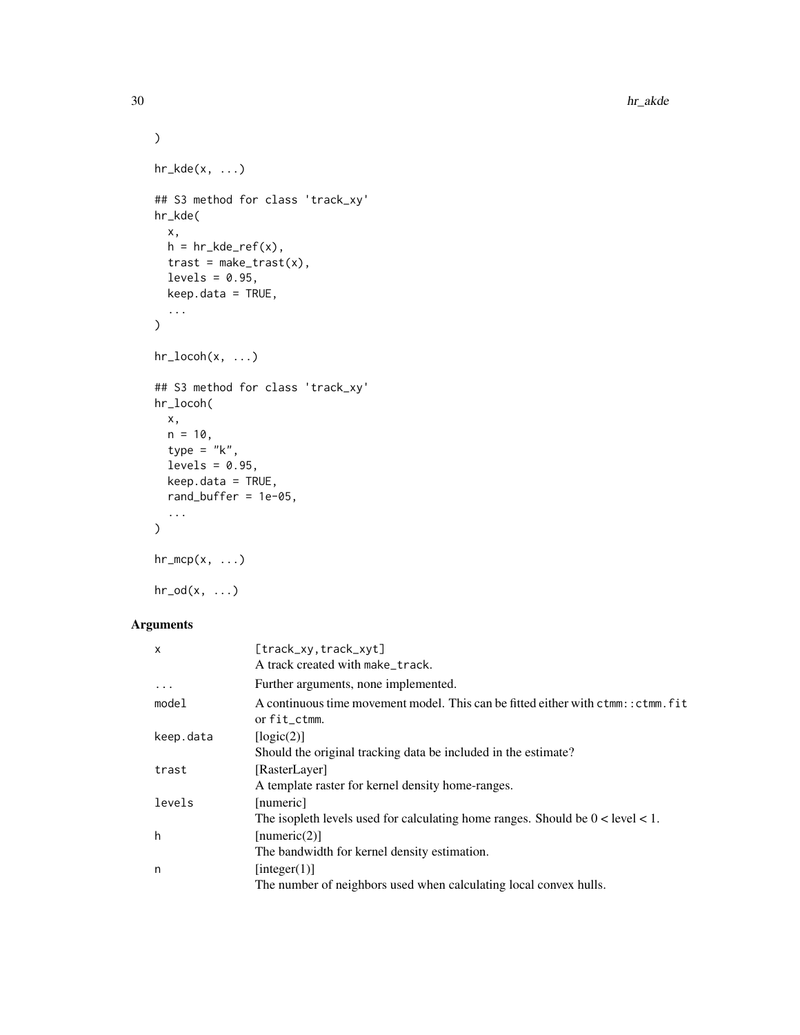```
\lambdahr_kde(x, \ldots)## S3 method for class 'track_xy'
hr_kde(
  x,
  h = hr_kde_ref(x),
  \text{trast} = \text{make\_trust}(x),
  levels = 0.95,
  keep.data = TRUE,
  ...
\mathcal{L}hr_locoh(x, ...)
## S3 method for class 'track_xy'
hr_locoh(
  x,
  n = 10,
  type = "k",levels = 0.95,
  keep.data = TRUE,rand_buffer = 1e-05,
  ...
)hr_mcp(x, \ldots)
```
# $hr\_od(x, \ldots)$

# Arguments

| X         | [track_xy, track_xyt]                                                                             |
|-----------|---------------------------------------------------------------------------------------------------|
|           | A track created with make_track.                                                                  |
| $\ddots$  | Further arguments, none implemented.                                                              |
| model     | A continuous time movement model. This can be fitted either with ctmm:: ctmm. fit<br>or fit_ctmm. |
| keep.data | [logic(2)]                                                                                        |
|           | Should the original tracking data be included in the estimate?                                    |
| trast     | [RasterLayer]                                                                                     |
|           | A template raster for kernel density home-ranges.                                                 |
| levels    | [numeric]                                                                                         |
|           | The isopleth levels used for calculating home ranges. Should be $0 <$ level $< 1$ .               |
| h         | [numeric(2)]                                                                                      |
|           | The bandwidth for kernel density estimation.                                                      |
| n         | [integer(1)]                                                                                      |
|           | The number of neighbors used when calculating local convex hulls.                                 |
|           |                                                                                                   |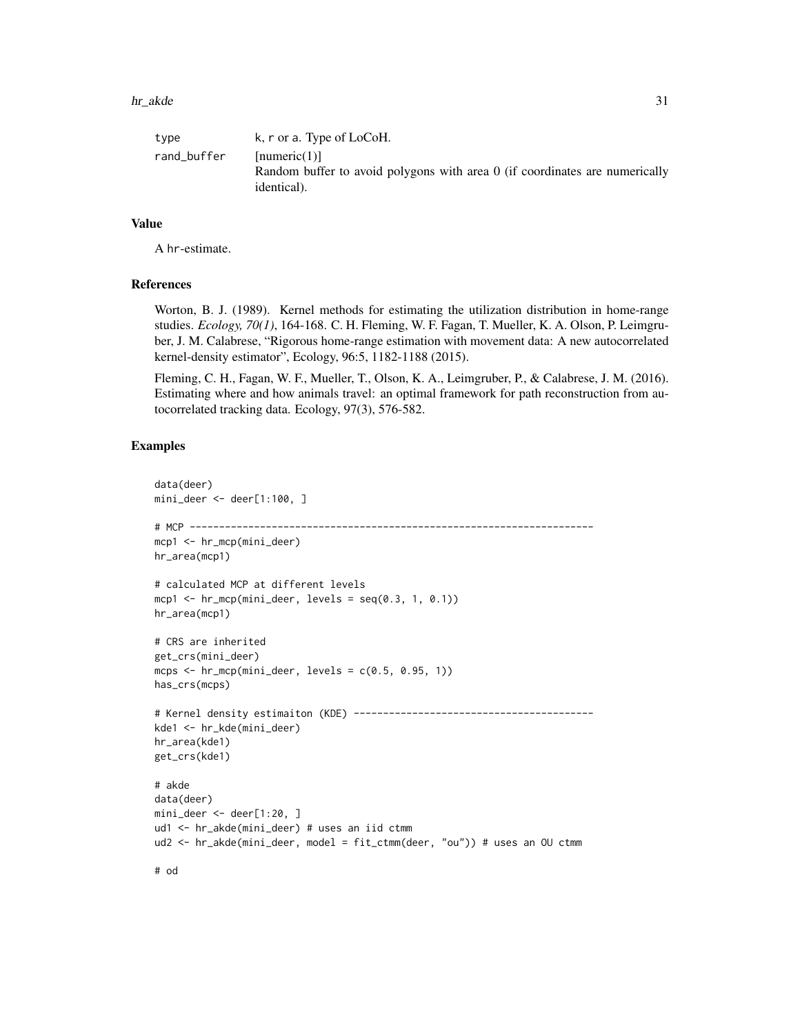| type        | k, r or a. Type of LoCoH.                                                                                         |
|-------------|-------------------------------------------------------------------------------------------------------------------|
| rand_buffer | [numeric(1)]<br>Random buffer to avoid polygons with area $\theta$ (if coordinates are numerically<br>identical). |

#### Value

A hr-estimate.

#### References

Worton, B. J. (1989). Kernel methods for estimating the utilization distribution in home-range studies. *Ecology, 70(1)*, 164-168. C. H. Fleming, W. F. Fagan, T. Mueller, K. A. Olson, P. Leimgruber, J. M. Calabrese, "Rigorous home-range estimation with movement data: A new autocorrelated kernel-density estimator", Ecology, 96:5, 1182-1188 (2015).

Fleming, C. H., Fagan, W. F., Mueller, T., Olson, K. A., Leimgruber, P., & Calabrese, J. M. (2016). Estimating where and how animals travel: an optimal framework for path reconstruction from autocorrelated tracking data. Ecology, 97(3), 576-582.

# Examples

```
data(deer)
mini_deer <- deer[1:100, ]
# MCP ---------------------------------------------------------------------
mcp1 <- hr_mcp(mini_deer)
hr_area(mcp1)
# calculated MCP at different levels
mcp1 \leftarrow hr_mcp(mini_deer, levels = seq(0.3, 1, 0.1))
hr_area(mcp1)
# CRS are inherited
get_crs(mini_deer)
mcps \leq hr_mcp(mini_deer, levels = c(0.5, 0.95, 1))
has_crs(mcps)
# Kernel density estimaiton (KDE) -----------------------------------------
kde1 <- hr_kde(mini_deer)
hr_area(kde1)
get_crs(kde1)
# akde
data(deer)
mini_deer <- deer[1:20, ]
ud1 <- hr_akde(mini_deer) # uses an iid ctmm
ud2 <- hr_akde(mini_deer, model = fit_ctmm(deer, "ou")) # uses an OU ctmm
```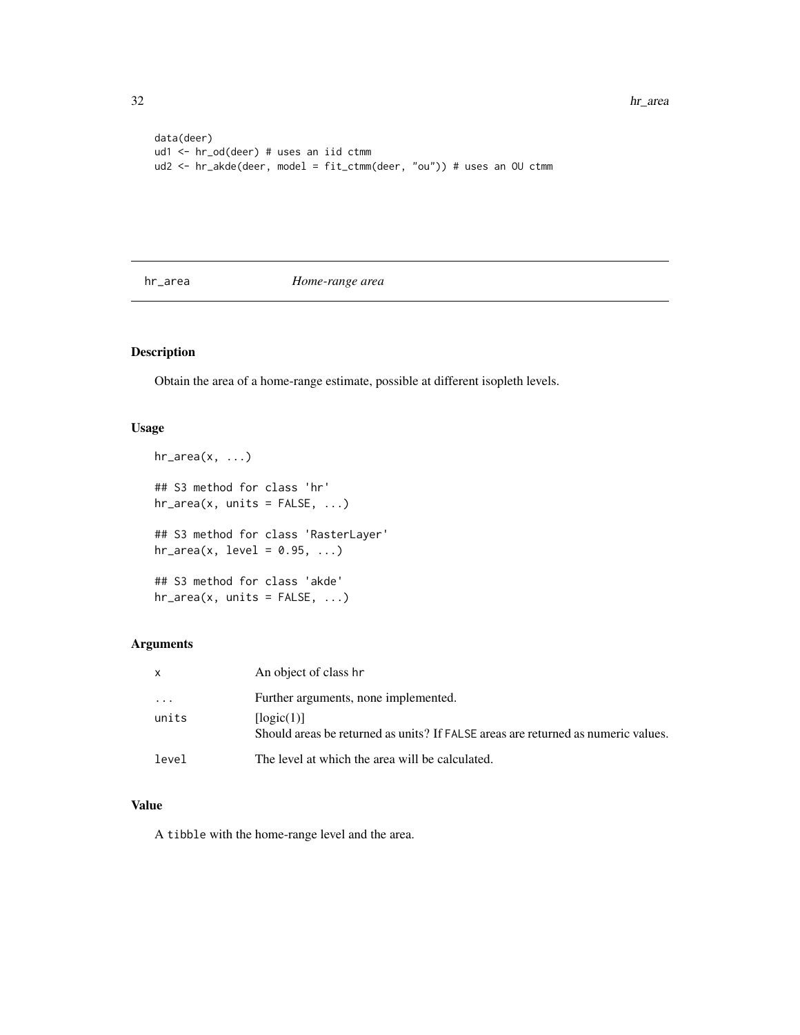```
data(deer)
ud1 <- hr_od(deer) # uses an iid ctmm
ud2 <- hr_akde(deer, model = fit_ctmm(deer, "ou")) # uses an OU ctmm
```
hr\_area *Home-range area*

# Description

Obtain the area of a home-range estimate, possible at different isopleth levels.

# Usage

```
hr_area(x, \ldots)## S3 method for class 'hr'
hr\_area(x, units = FALSE, ...)## S3 method for class 'RasterLayer'
hr\_area(x, level = 0.95, ...)## S3 method for class 'akde'
hr_\text{area}(x, \text{ units} = FALSE, ...)
```
# Arguments

| X        | An object of class hr                                                                           |
|----------|-------------------------------------------------------------------------------------------------|
| $\cdots$ | Further arguments, none implemented.                                                            |
| units    | [logic(1)]<br>Should areas be returned as units? If FALSE areas are returned as numeric values. |
| level    | The level at which the area will be calculated.                                                 |

# Value

A tibble with the home-range level and the area.

<span id="page-31-0"></span>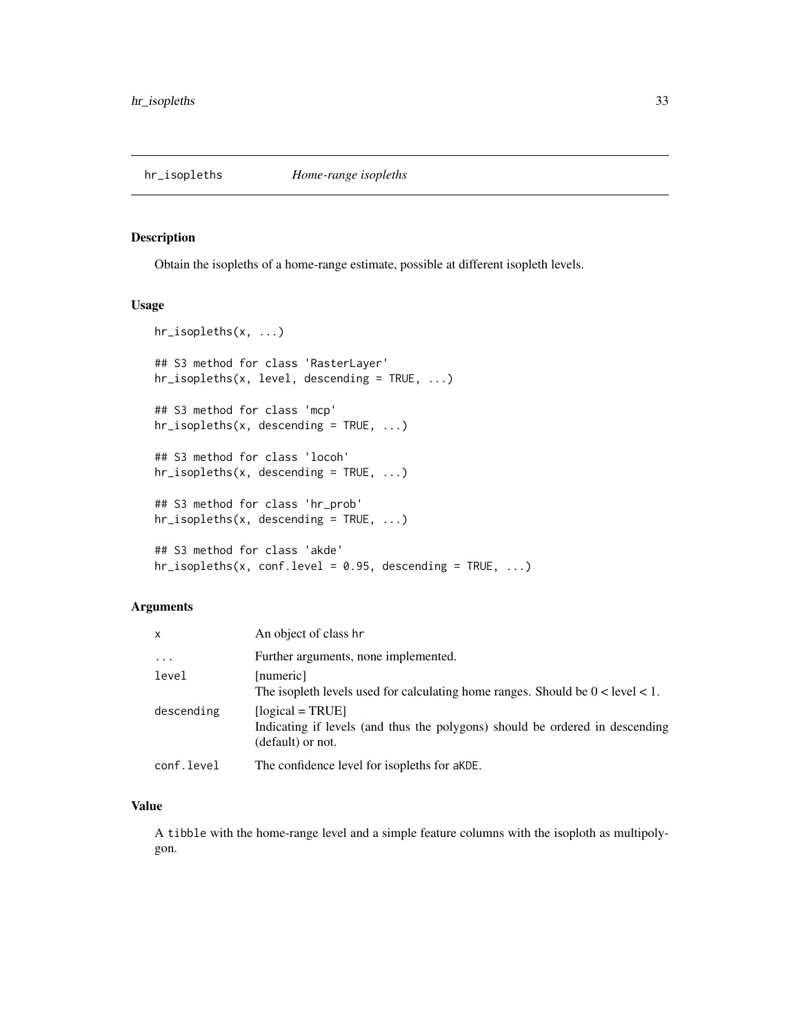<span id="page-32-0"></span>

Obtain the isopleths of a home-range estimate, possible at different isopleth levels.

#### Usage

```
hr_isopleths(x, ...)
## S3 method for class 'RasterLayer'
hr_isopleths(x, level, descending = TRUE, ...)
## S3 method for class 'mcp'
hr\_isopleths(x, descending = TRUE, ...)## S3 method for class 'locoh'
hr_isopleths(x, descending = TRUE, ...)
## S3 method for class 'hr_prob'
hr\_isopleths(x, described in [3.5mm] for the image is shown in the image.## S3 method for class 'akde'
hr\_isopleths(x, conf.level = 0.95, descending = TRUE, ...)
```
#### Arguments

| $\mathsf{x}$ | An object of class hr                                                                                                   |
|--------------|-------------------------------------------------------------------------------------------------------------------------|
| $\ddotsc$    | Further arguments, none implemented.                                                                                    |
| level        | [numeric]<br>The isopleth levels used for calculating home ranges. Should be $0 <$ level $< 1$ .                        |
| descending   | $[logical = TRUE]$<br>Indicating if levels (and thus the polygons) should be ordered in descending<br>(default) or not. |
| conf.level   | The confidence level for isopleths for aKDE.                                                                            |

# Value

A tibble with the home-range level and a simple feature columns with the isoploth as multipolygon.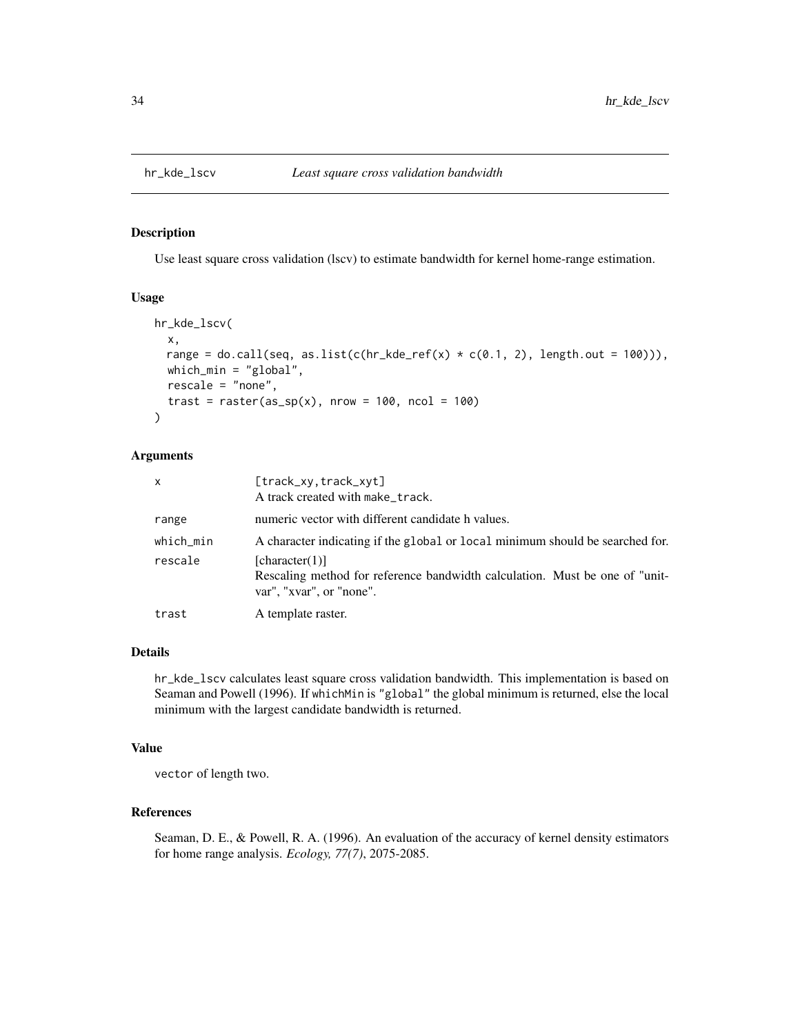Use least square cross validation (lscv) to estimate bandwidth for kernel home-range estimation.

#### Usage

```
hr_kde_lscv(
  x,
 range = do.call(seq, as.list(c(hr_kde_ref(x) \star c(0.1, 2), length.out = 100))),
 which_min = "global",
  rescale = "none",
  trast = raster(as_sp(x), nrow = 100, ncol = 100))
```
#### Arguments

| x         | [track_xy.track_xyt]<br>A track created with make_track.                                                                  |
|-----------|---------------------------------------------------------------------------------------------------------------------------|
| range     | numeric vector with different candidate h values.                                                                         |
| which_min | A character indicating if the global or local minimum should be searched for.                                             |
| rescale   | [character(1)]<br>Rescaling method for reference bandwidth calculation. Must be one of "unit-<br>var", "xvar", or "none". |
| trast     | A template raster.                                                                                                        |

#### Details

hr\_kde\_lscv calculates least square cross validation bandwidth. This implementation is based on Seaman and Powell (1996). If whichMin is "global" the global minimum is returned, else the local minimum with the largest candidate bandwidth is returned.

#### Value

vector of length two.

# References

Seaman, D. E., & Powell, R. A. (1996). An evaluation of the accuracy of kernel density estimators for home range analysis. *Ecology, 77(7)*, 2075-2085.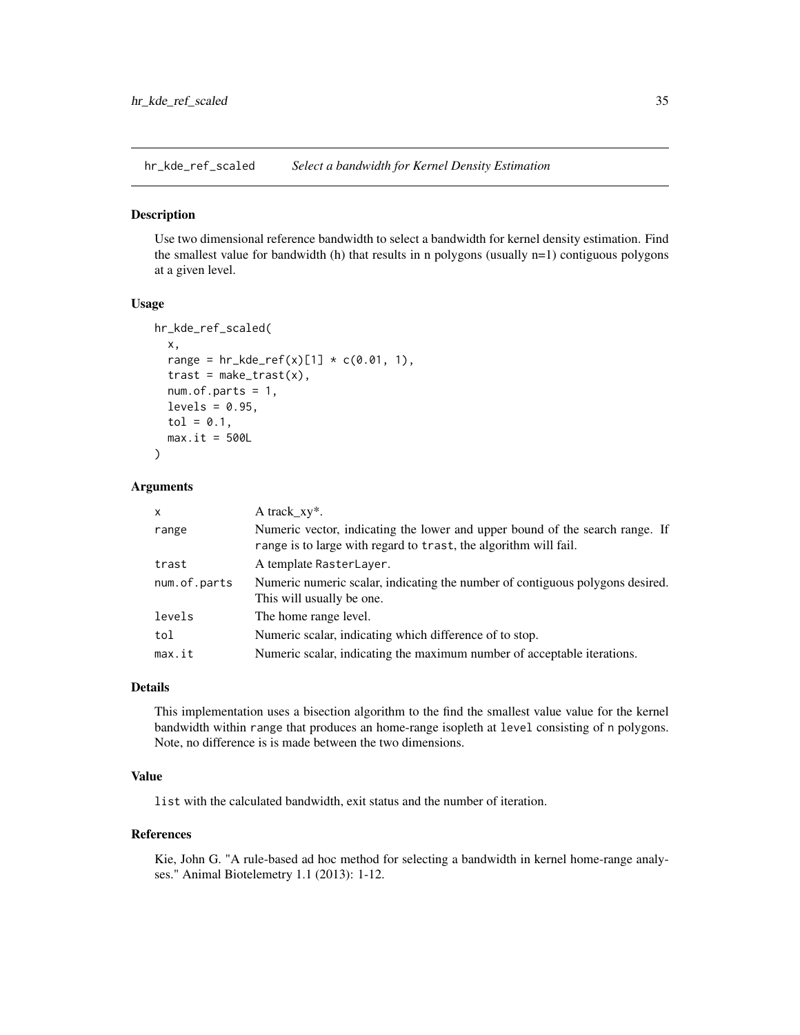<span id="page-34-0"></span>hr\_kde\_ref\_scaled *Select a bandwidth for Kernel Density Estimation*

#### Description

Use two dimensional reference bandwidth to select a bandwidth for kernel density estimation. Find the smallest value for bandwidth (h) that results in n polygons (usually n=1) contiguous polygons at a given level.

#### Usage

```
hr_kde_ref_scaled(
  x,
  range = hr_kde_ref(x)[1] * c(0.01, 1),trast = make\_trust(x),
  num. of.parts = 1,levels = 0.95,
  tol = 0.1,max.it = 500L)
```
#### Arguments

| X            | A track $xy^*$ .                                                                                                                                 |
|--------------|--------------------------------------------------------------------------------------------------------------------------------------------------|
| range        | Numeric vector, indicating the lower and upper bound of the search range. If<br>range is to large with regard to trast, the algorithm will fail. |
| trast        | A template RasterLayer.                                                                                                                          |
| num.of.parts | Numeric numeric scalar, indicating the number of contiguous polygons desired.<br>This will usually be one.                                       |
| levels       | The home range level.                                                                                                                            |
| tol          | Numeric scalar, indicating which difference of to stop.                                                                                          |
| max.it       | Numeric scalar, indicating the maximum number of acceptable iterations.                                                                          |

# Details

This implementation uses a bisection algorithm to the find the smallest value value for the kernel bandwidth within range that produces an home-range isopleth at level consisting of n polygons. Note, no difference is is made between the two dimensions.

#### Value

list with the calculated bandwidth, exit status and the number of iteration.

# References

Kie, John G. "A rule-based ad hoc method for selecting a bandwidth in kernel home-range analyses." Animal Biotelemetry 1.1 (2013): 1-12.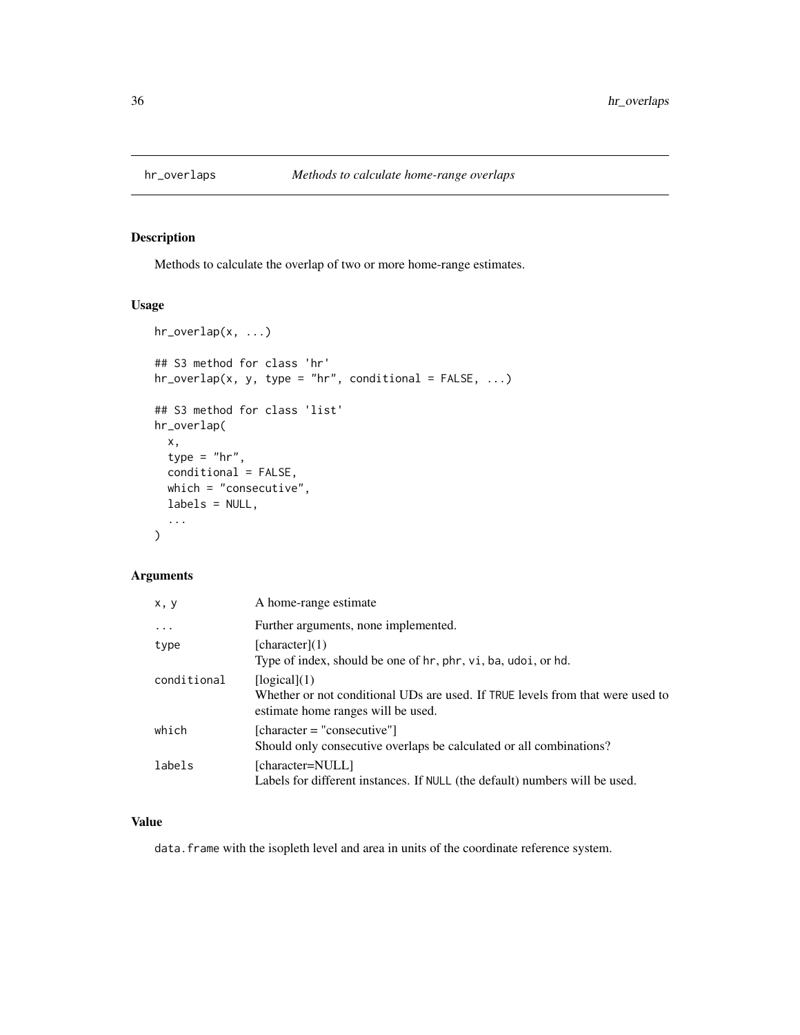<span id="page-35-0"></span>

Methods to calculate the overlap of two or more home-range estimates.

# Usage

```
hr_overlap(x, ...)
## S3 method for class 'hr'
hr\_overlap(x, y, type = "hr", conditional = FALSE, ...)## S3 method for class 'list'
hr_overlap(
  x,
  type = "hr",
  conditional = FALSE,
  which = "consecutive",
  labels = NULL,
  ...
\mathcal{L}
```
# Arguments

| x, y        | A home-range estimate                                                                                                                |
|-------------|--------------------------------------------------------------------------------------------------------------------------------------|
| $\ddots$    | Further arguments, none implemented.                                                                                                 |
| type        | [character](1)<br>Type of index, should be one of hr, phr, vi, ba, udoi, or hd.                                                      |
| conditional | [logical](1)<br>Whether or not conditional UDs are used. If TRUE levels from that were used to<br>estimate home ranges will be used. |
| which       | $[character = "consecutive"]$<br>Should only consecutive overlaps be calculated or all combinations?                                 |
| labels      | [character=NULL]<br>Labels for different instances. If NULL (the default) numbers will be used.                                      |

# Value

data. frame with the isopleth level and area in units of the coordinate reference system.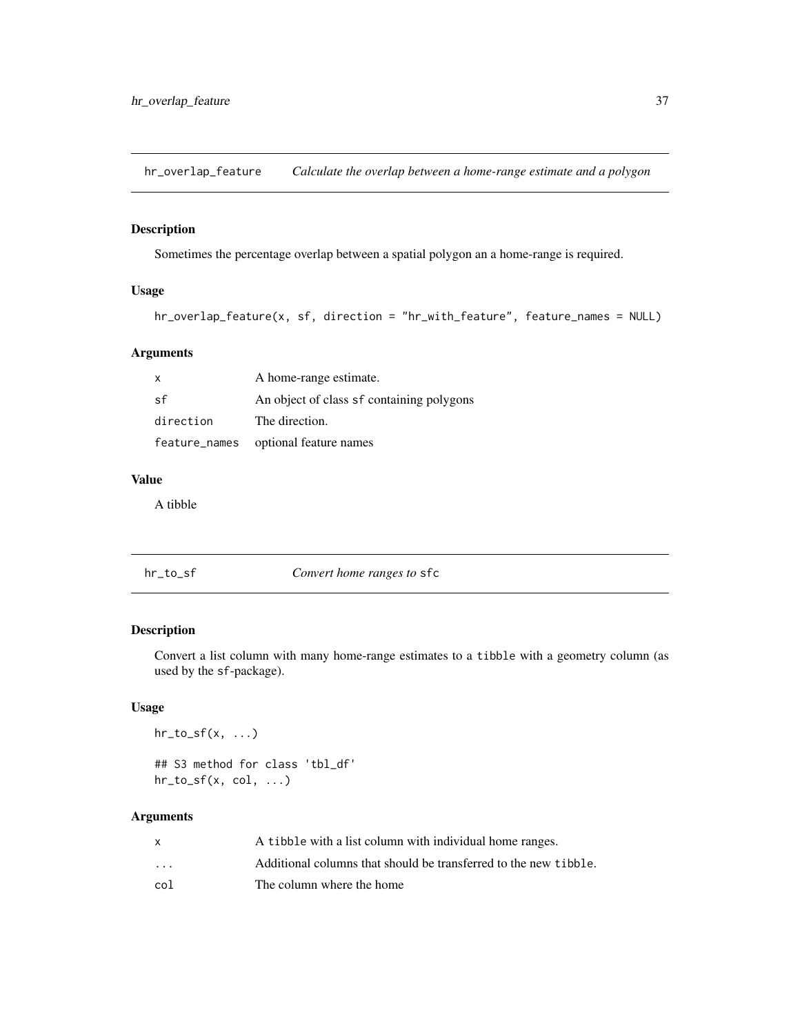hr\_overlap\_feature *Calculate the overlap between a home-range estimate and a polygon*

## Description

Sometimes the percentage overlap between a spatial polygon an a home-range is required.

## Usage

```
hr_overlap_feature(x, sf, direction = "hr_with_feature", feature_names = NULL)
```
## Arguments

| $\mathbf{x}$ | A home-range estimate.                    |
|--------------|-------------------------------------------|
| .sf          | An object of class sf containing polygons |
| direction    | The direction.                            |
|              | feature_names optional feature names      |

## Value

A tibble

| hr_to_sf | Convert home ranges to sfc |  |
|----------|----------------------------|--|
|----------|----------------------------|--|

#### Description

Convert a list column with many home-range estimates to a tibble with a geometry column (as used by the sf-package).

# Usage

 $hr_to_sf(x, ...)$ 

## S3 method for class 'tbl\_df'  $hr_to_sf(x, col, ...)$ 

|                      | A tibble with a list column with individual home ranges.         |
|----------------------|------------------------------------------------------------------|
| $\ddot{\phantom{0}}$ | Additional columns that should be transferred to the new tibble. |
| co1                  | The column where the home                                        |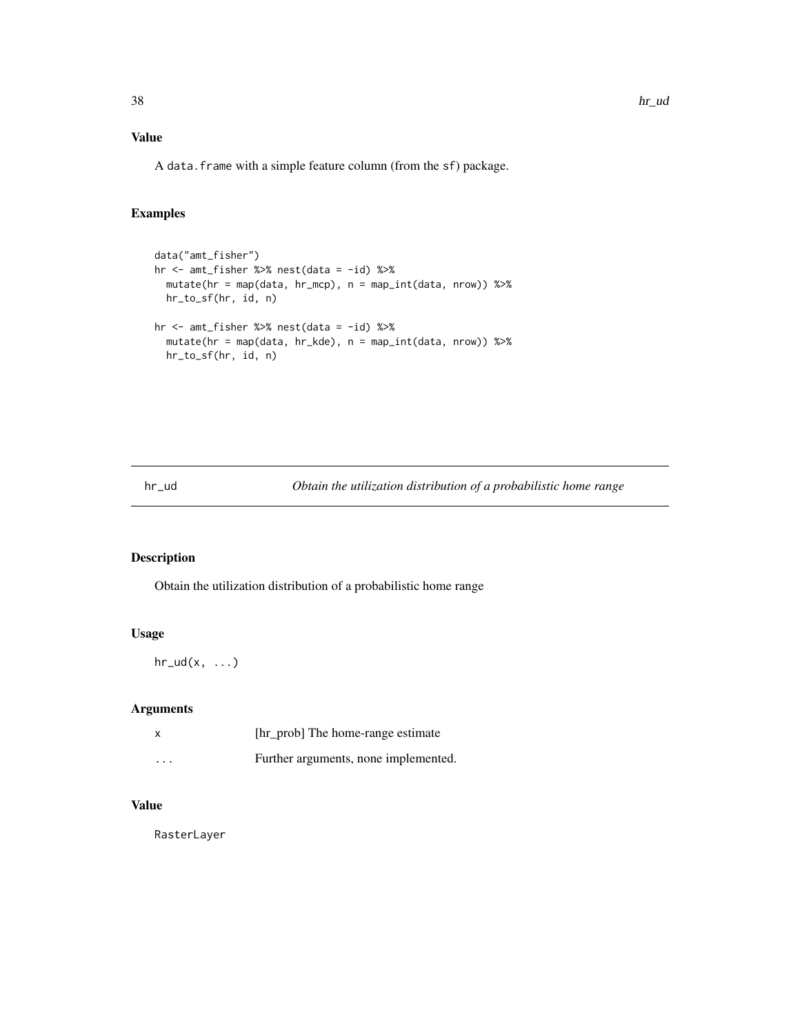# Value

A data.frame with a simple feature column (from the sf) package.

#### Examples

```
data("amt_fisher")
hr <- amt_fisher %>% nest(data = -id) %>%
 mutate(hr = map(data, hr_mcp), n = map_int(data, nrow)) %>%
 hr_to_sf(hr, id, n)
hr <- amt_fisher %>% nest(data = -id) %>%
  mutate(hr = map(data, hr_kde), n = map_int(data, nrow)) %>%
  hr_to_sf(hr, id, n)
```
hr\_ud *Obtain the utilization distribution of a probabilistic home range*

## Description

Obtain the utilization distribution of a probabilistic home range

## Usage

 $hr\_ud(x, \ldots)$ 

## Arguments

|          | [hr_prob] The home-range estimate    |
|----------|--------------------------------------|
| $\cdots$ | Further arguments, none implemented. |

# Value

RasterLayer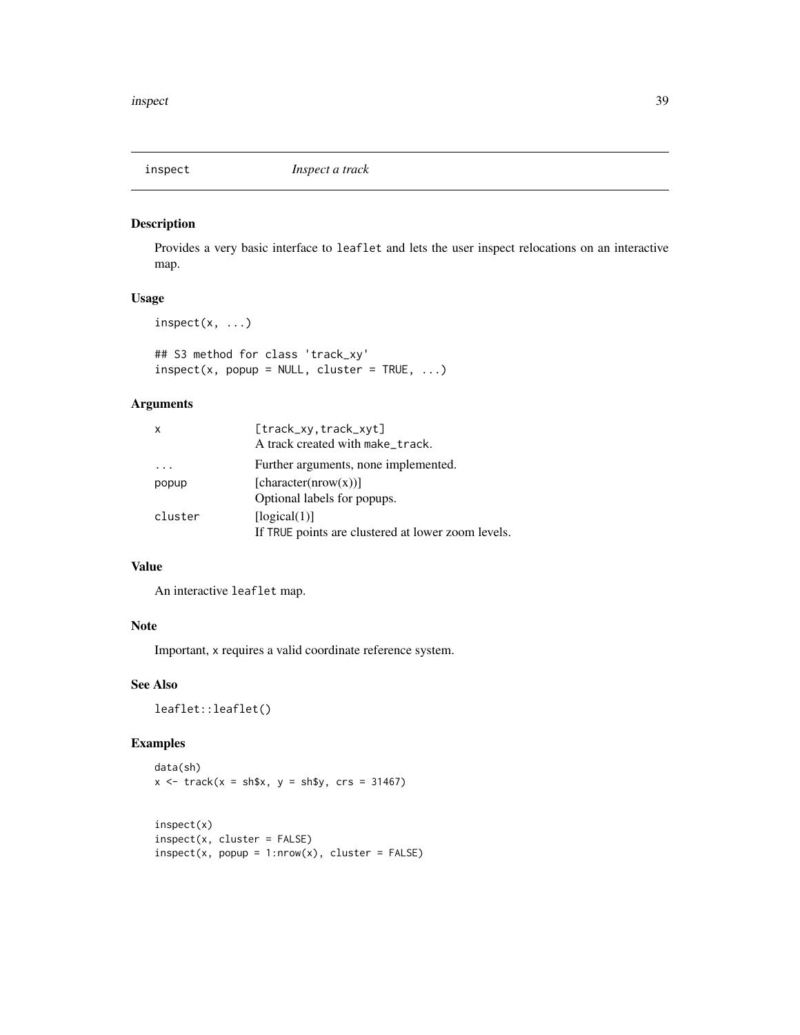## Description

Provides a very basic interface to leaflet and lets the user inspect relocations on an interactive map.

## Usage

```
inspect(x, ...)
```
## S3 method for class 'track\_xy'  $inspect(x, popup = NULL, cluster = TRUE, ...)$ 

## Arguments

| x       | [track_xy.track_xyt]                               |
|---------|----------------------------------------------------|
|         | A track created with make_track.                   |
|         | Further arguments, none implemented.               |
| popup   | [character(nrow(x))]                               |
|         | Optional labels for popups.                        |
| cluster | [logical(1)]                                       |
|         | If TRUE points are clustered at lower zoom levels. |

#### Value

An interactive leaflet map.

# Note

Important, x requires a valid coordinate reference system.

# See Also

leaflet::leaflet()

## Examples

```
data(sh)
x \le - track(x = sh$x, y = sh$y, crs = 31467)
```

```
inspect(x)
inspect(x, cluster = FALSE)
inspect(x, popup = 1:nrow(x), cluster = FALSE)
```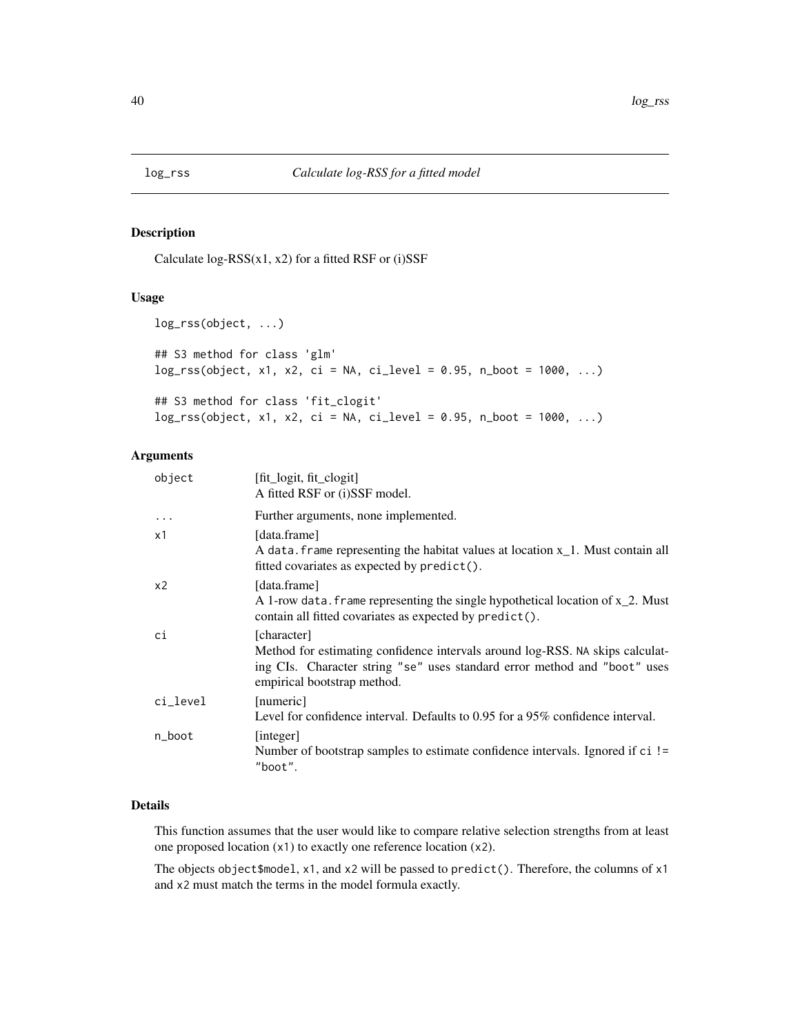<span id="page-39-0"></span>

#### Description

Calculate  $log-RSS(x1, x2)$  for a fitted RSF or (i)SSF

#### Usage

```
log_rss(object, ...)
## S3 method for class 'glm'
log_r s (object, x1, x2, ci = NA, ci-level = 0.95, n\_boot = 1000, ...)## S3 method for class 'fit_clogit'
log_r s(object, x1, x2, ci = NA, ci_level = 0.95, n_boot = 1000, ...)
```
# Arguments

| object   | $[fit\_logit, fit\_clogit]$<br>A fitted RSF or (i)SSF model.                                                                                                                                             |
|----------|----------------------------------------------------------------------------------------------------------------------------------------------------------------------------------------------------------|
| $\cdots$ | Further arguments, none implemented.                                                                                                                                                                     |
| x1       | [data.frame]<br>A data. frame representing the habitat values at location x <sub>1</sub> . Must contain all<br>fitted covariates as expected by predict().                                               |
| x2       | [data.frame]<br>A 1-row data. frame representing the single hypothetical location of $x_2$ . Must<br>contain all fitted covariates as expected by predict().                                             |
| ci       | [character]<br>Method for estimating confidence intervals around log-RSS. NA skips calculat-<br>ing CIs. Character string "se" uses standard error method and "boot" uses<br>empirical bootstrap method. |
| ci_level | [numeric]<br>Level for confidence interval. Defaults to 0.95 for a 95% confidence interval.                                                                                                              |
| n_boot   | [integer]<br>Number of bootstrap samples to estimate confidence intervals. Ignored if ci !=<br>"boot".                                                                                                   |

# Details

This function assumes that the user would like to compare relative selection strengths from at least one proposed location (x1) to exactly one reference location (x2).

The objects object\$model, x1, and x2 will be passed to predict(). Therefore, the columns of x1 and x2 must match the terms in the model formula exactly.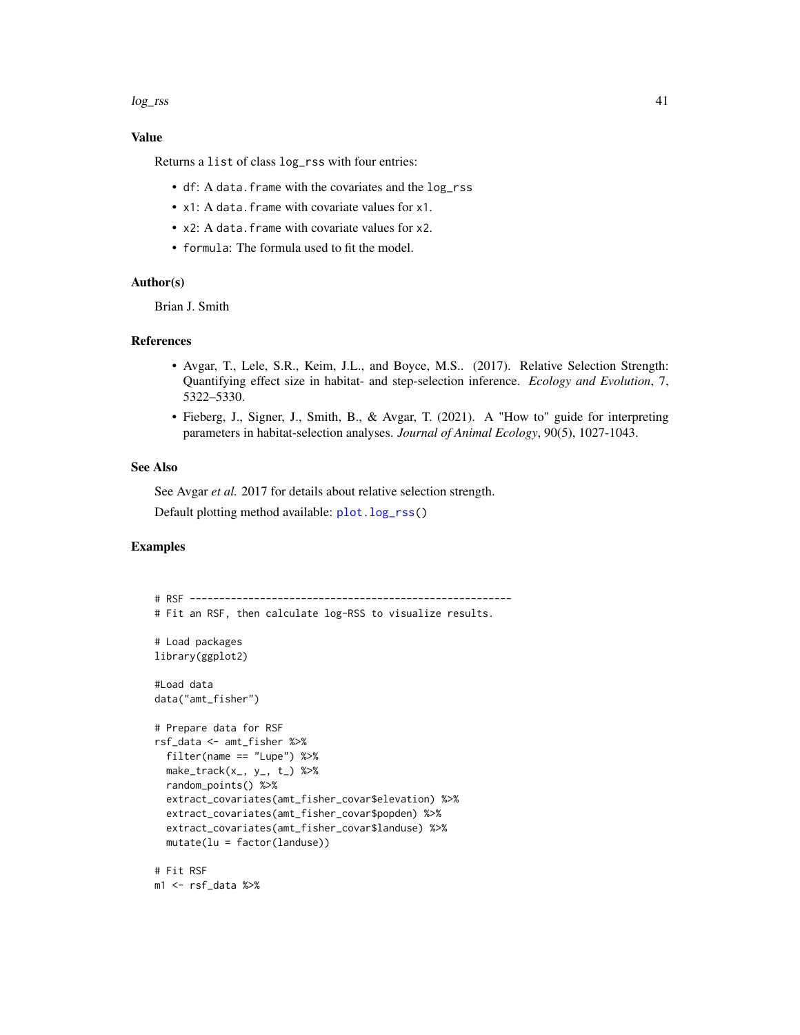#### log\_rss 41

#### Value

Returns a list of class log\_rss with four entries:

- df: A data.frame with the covariates and the log\_rss
- x1: A data.frame with covariate values for x1.
- x2: A data.frame with covariate values for x2.
- formula: The formula used to fit the model.

#### Author(s)

Brian J. Smith

#### References

- Avgar, T., Lele, S.R., Keim, J.L., and Boyce, M.S.. (2017). Relative Selection Strength: Quantifying effect size in habitat- and step-selection inference. *Ecology and Evolution*, 7, 5322–5330.
- Fieberg, J., Signer, J., Smith, B., & Avgar, T. (2021). A "How to" guide for interpreting parameters in habitat-selection analyses. *Journal of Animal Ecology*, 90(5), 1027-1043.

## See Also

See Avgar *et al.* 2017 for details about relative selection strength.

Default plotting method available: [plot.log\\_rss\(](#page-47-0))

## Examples

```
# RSF -------------------------------------------------------
# Fit an RSF, then calculate log-RSS to visualize results.
# Load packages
library(ggplot2)
#Load data
data("amt_fisher")
# Prepare data for RSF
rsf_data <- amt_fisher %>%
  filter(name == "Lupe") %>%
  make\_track(x_-, y_-, t_>) %>%
  random_points() %>%
  extract_covariates(amt_fisher_covar$elevation) %>%
  extract_covariates(amt_fisher_covar$popden) %>%
  extract_covariates(amt_fisher_covar$landuse) %>%
  mutate(lu = factor(landuse))# Fit RSF
m1 <- rsf_data %>%
```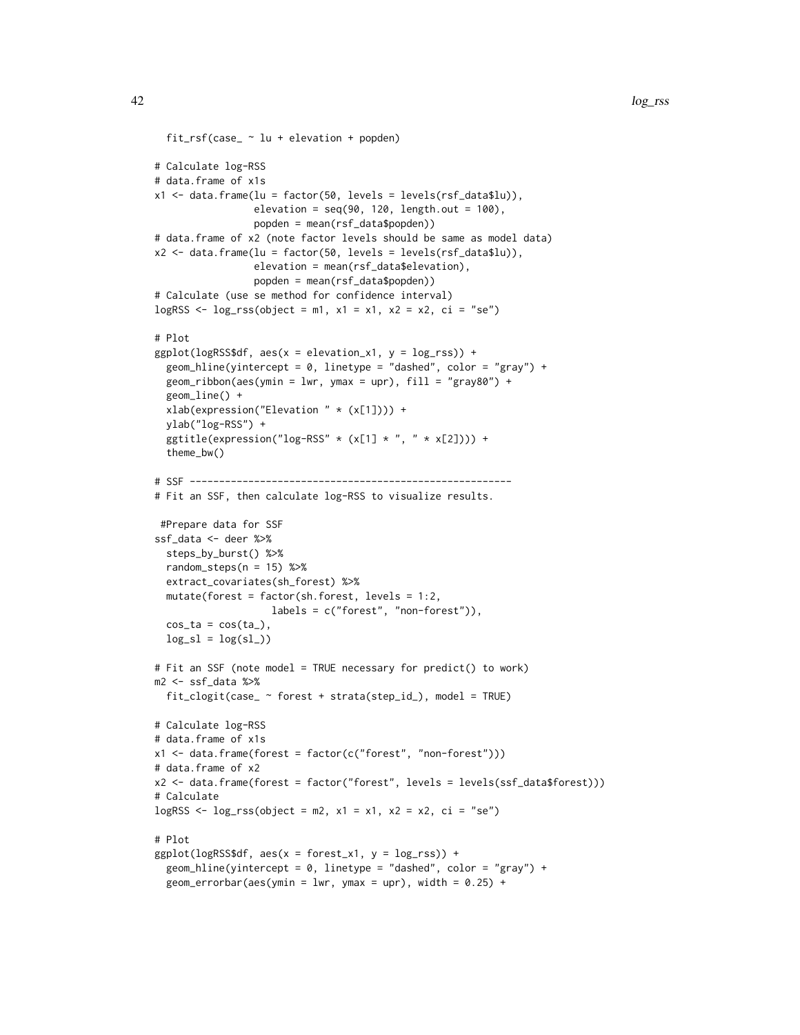```
fit_rsf(case_ ~ lu + elevation + popden)
# Calculate log-RSS
# data.frame of x1s
x1 \leq data. frame(lu = factor(50, levels = levels(rsf_data$lu)),
                 elevation = seq(90, 120, length.out = 100),
                 popden = mean(rsf_data$popden))
# data.frame of x2 (note factor levels should be same as model data)
x2 \leq data.frame(lu = factor(50, levels = levels(rsf_data$lu)),
                 elevation = mean(rsf_data$elevation),
                 popden = mean(rsf_data$popden))
# Calculate (use se method for confidence interval)
logRSS <- \log\textsc{rss}(\text{object} = m1, x1 = x1, x2 = x2, ci = "se")# Plot
ggplot(logRSS$df, aes(x = elevation_x1, y = log_rss) +
  geom_hline(yintercept = 0, linetype = "dashed", color = "gray") +
  geom\_ribbon(aes(ymin = 1wr, ymax = upr), fill = "gray80") +geom_line() +
  xlab(expression("Elevation " * (x[1]))) +
  ylab("log-RSS") +
  ggtitle(expression("log-RSS" * (x[1] * ", " * x[2])) +
  theme_bw()
# SSF -------------------------------------------------------
# Fit an SSF, then calculate log-RSS to visualize results.
 #Prepare data for SSF
ssf_data <- deer %>%
  steps_by_burst() %>%
  random\_steps(n = 15) %>%
  extract_covariates(sh_forest) %>%
  mutate(forest = factor(sh.forest, levels = 1:2,
                    labels = c("forest", "non-forest")),
  cos<sub>1</sub>ta = cos(ta<sub>1</sub>),
  log_s1 = log(s1))# Fit an SSF (note model = TRUE necessary for predict() to work)
m2 <- ssf_data %>%
  fit_clogit(case_ ~ forest + strata(step_id_), model = TRUE)
# Calculate log-RSS
# data.frame of x1s
x1 <- data.frame(forest = factor(c("forest", "non-forest")))
# data.frame of x2
x2 <- data.frame(forest = factor("forest", levels = levels(ssf_data$forest)))
# Calculate
logRSS <- \log\textsc{rss}(\text{object} = m2, x1 = x1, x2 = x2, c1 = "se")# Plot
ggplot(logRSS$df, aes(x = forest_x1, y = log_rss) +
  geom_hline(yintercept = 0, linetype = "dashed", color = "gray") +
  geom_errorbar(aes(ymin = lwr, ymax = upr), width = 0.25) +
```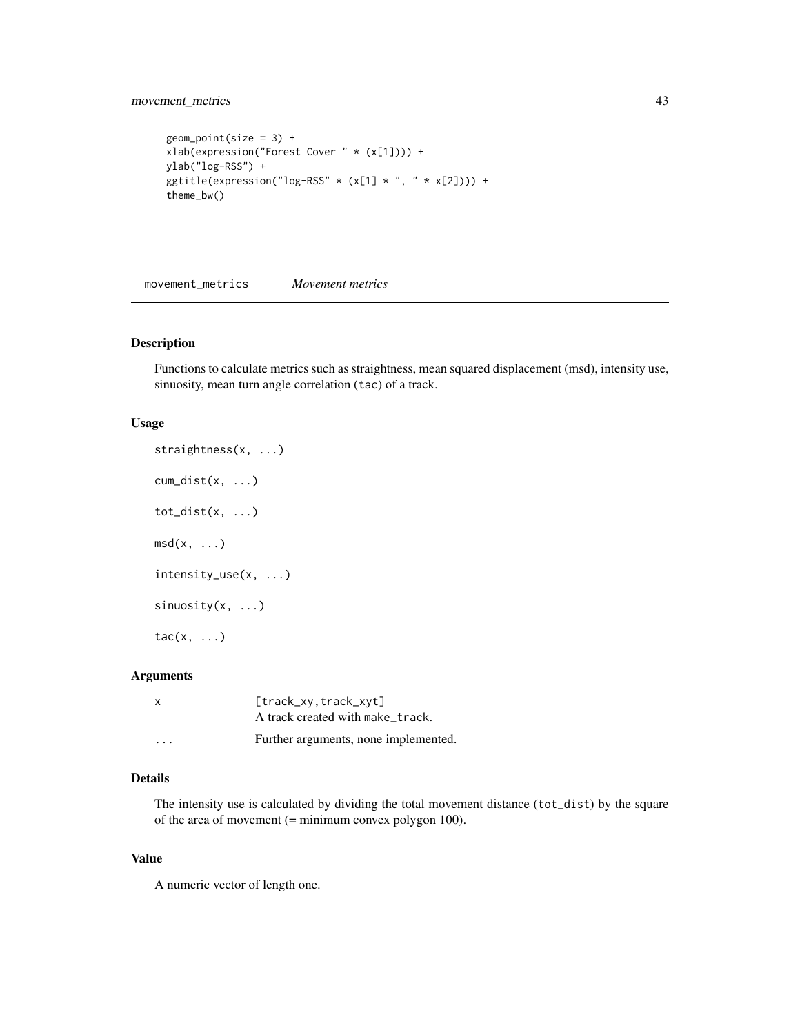## movement\_metrics 43

```
geom\_point(size = 3) +xlab(expression("Forest Cover " * (x[1]))) +
ylab("log-RSS") +
ggtitle(expression("log-RSS" * (x[1] * ", " * x[2])) +
theme_bw()
```
movement\_metrics *Movement metrics*

## Description

Functions to calculate metrics such as straightness, mean squared displacement (msd), intensity use, sinuosity, mean turn angle correlation (tac) of a track.

#### Usage

```
straightness(x, ...)
cum_dist(x, ...)
tot\_dist(x, \ldots)msd(x, \ldots)intensity_use(x, ...)
sinuosity(x, ...)
tac(x, \ldots)
```
# Arguments

| $\mathsf{x}$ | [track_xy, track_xyt]<br>A track created with make_track. |
|--------------|-----------------------------------------------------------|
| .            | Further arguments, none implemented.                      |

## Details

The intensity use is calculated by dividing the total movement distance (tot\_dist) by the square of the area of movement (= minimum convex polygon 100).

#### Value

A numeric vector of length one.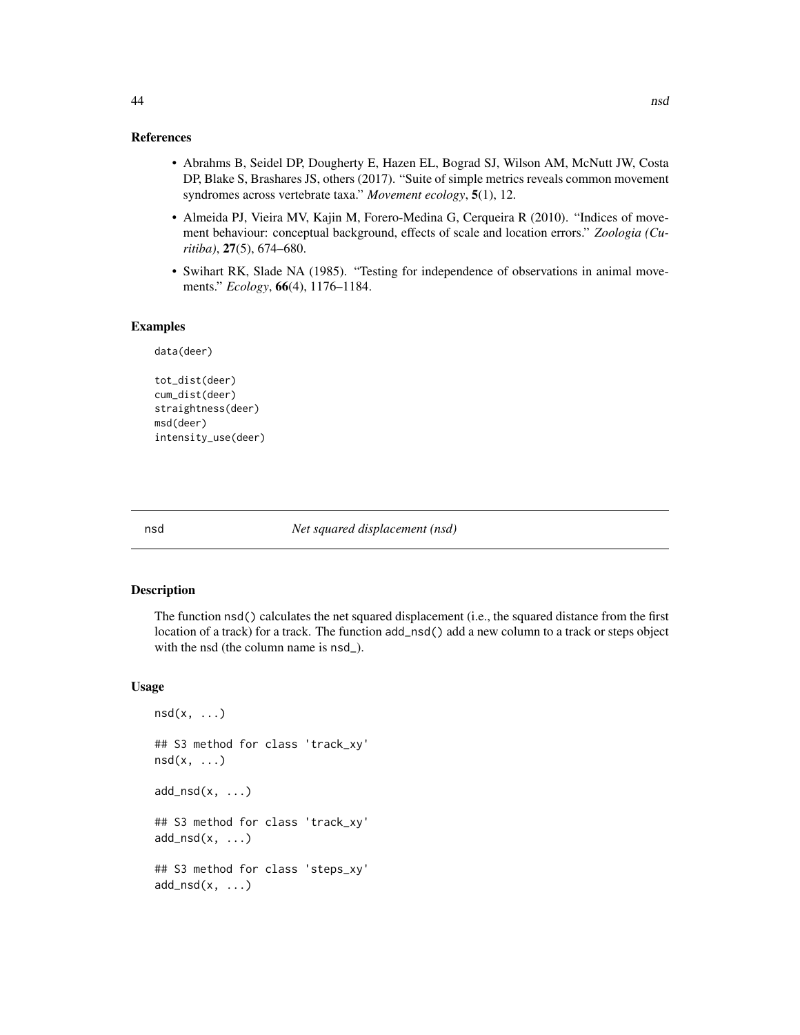#### References

- Abrahms B, Seidel DP, Dougherty E, Hazen EL, Bograd SJ, Wilson AM, McNutt JW, Costa DP, Blake S, Brashares JS, others (2017). "Suite of simple metrics reveals common movement syndromes across vertebrate taxa." *Movement ecology*, 5(1), 12.
- Almeida PJ, Vieira MV, Kajin M, Forero-Medina G, Cerqueira R (2010). "Indices of movement behaviour: conceptual background, effects of scale and location errors." *Zoologia (Curitiba)*, 27(5), 674–680.
- Swihart RK, Slade NA (1985). "Testing for independence of observations in animal movements." *Ecology*, 66(4), 1176–1184.

#### Examples

```
data(deer)
```

```
tot_dist(deer)
cum_dist(deer)
straightness(deer)
msd(deer)
intensity_use(deer)
```
#### nsd *Net squared displacement (nsd)*

#### Description

The function nsd() calculates the net squared displacement (i.e., the squared distance from the first location of a track) for a track. The function add\_nsd() add a new column to a track or steps object with the nsd (the column name is nsd\_).

```
nsd(x, \ldots)## S3 method for class 'track_xy'
nsd(x, \ldots)add\_nsd(x, \ldots)## S3 method for class 'track_xy'
add\_nsd(x, \ldots)## S3 method for class 'steps_xy'
add\_nsd(x, \ldots)
```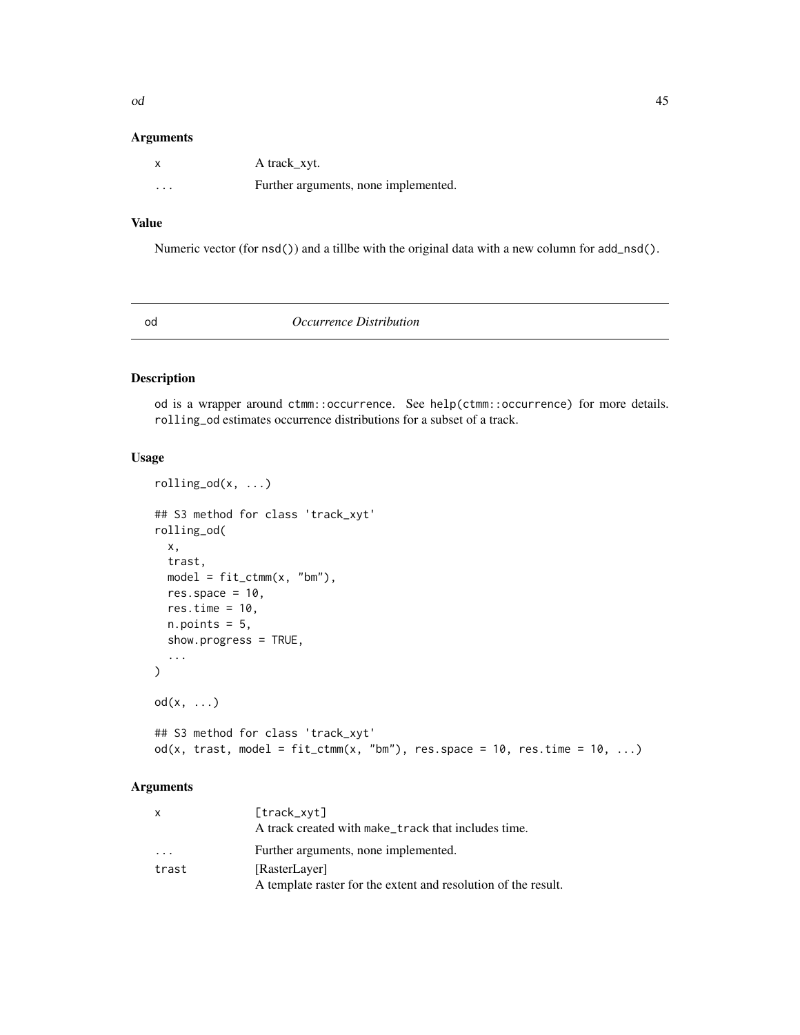#### Arguments

|          | A track_xyt.                         |
|----------|--------------------------------------|
| $\cdots$ | Further arguments, none implemented. |

# Value

Numeric vector (for nsd()) and a tillbe with the original data with a new column for add\_nsd().

od *Occurrence Distribution*

# Description

od is a wrapper around ctmm::occurrence. See help(ctmm::occurrence) for more details. rolling\_od estimates occurrence distributions for a subset of a track.

# Usage

```
rolling\_od(x, ...)## S3 method for class 'track_xyt'
rolling_od(
 x,
  trast,
 model = fit_ctmm(x, "bm"),
 res.space = 10,
 res.time = 10,
 n.points = 5,
  show.progress = TRUE,
  ...
)
od(x, ...)
## S3 method for class 'track_xyt'
od(x, trast, model = fit\_ctmm(x, "bm"), res.space = 10, res.time = 10, ...)
```

| X     | [track_xyt]                                                    |
|-------|----------------------------------------------------------------|
|       | A track created with make_track that includes time.            |
| .     | Further arguments, none implemented.                           |
| trast | [RasterLayer]                                                  |
|       | A template raster for the extent and resolution of the result. |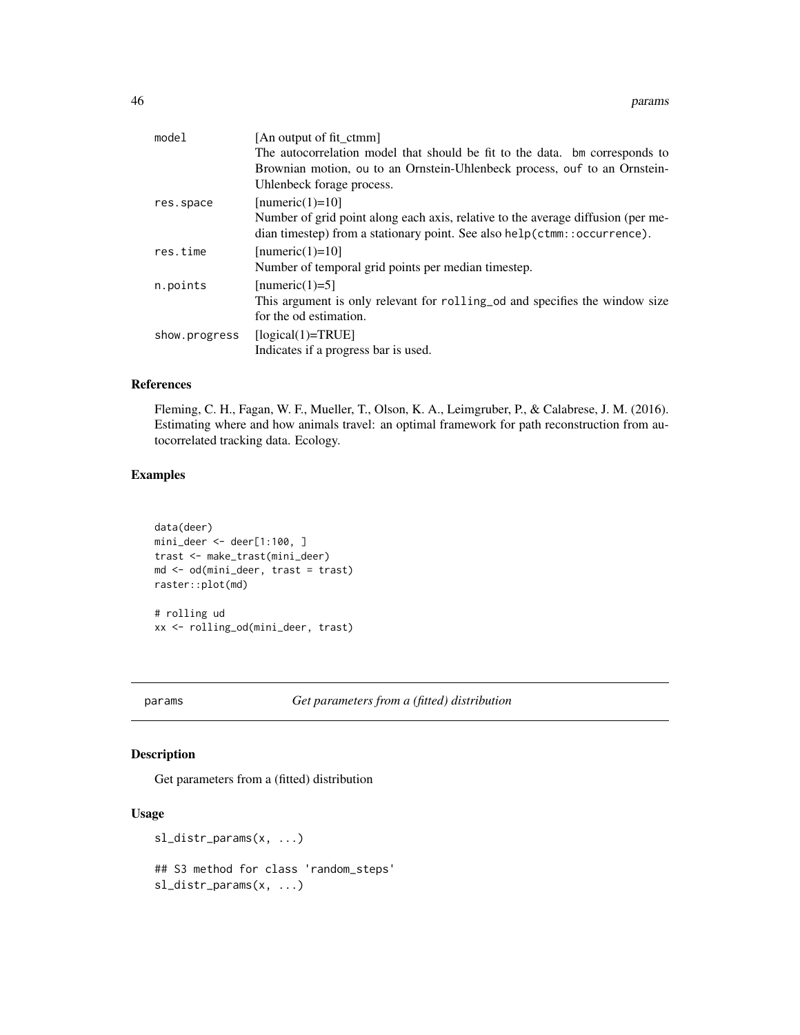| model         | [An output of fit ctmm]                                                          |
|---------------|----------------------------------------------------------------------------------|
|               | The autocorrelation model that should be fit to the data. bm corresponds to      |
|               | Brownian motion, ou to an Ornstein-Uhlenbeck process, ouf to an Ornstein-        |
|               | Uhlenbeck forage process.                                                        |
| res.space     | [numeric(1)=10]                                                                  |
|               | Number of grid point along each axis, relative to the average diffusion (per me- |
|               | dian timestep) from a stationary point. See also help(ctmm::occurrence).         |
| res.time      | [numeric(1)=10]                                                                  |
|               | Number of temporal grid points per median timestep.                              |
| n.points      | [numeric(1)=5]                                                                   |
|               | This argument is only relevant for rolling od and specifies the window size      |
|               | for the od estimation.                                                           |
| show.progress | $[logical(1)=TRUE]$                                                              |
|               | Indicates if a progress bar is used.                                             |
|               |                                                                                  |

## References

Fleming, C. H., Fagan, W. F., Mueller, T., Olson, K. A., Leimgruber, P., & Calabrese, J. M. (2016). Estimating where and how animals travel: an optimal framework for path reconstruction from autocorrelated tracking data. Ecology.

## Examples

```
data(deer)
min\_deer <- deer[1:100, ]trast <- make_trast(mini_deer)
md <- od(mini_deer, trast = trast)
raster::plot(md)
# rolling ud
xx <- rolling_od(mini_deer, trast)
```
params *Get parameters from a (fitted) distribution*

# Description

Get parameters from a (fitted) distribution

```
sl_distr_params(x, ...)
## S3 method for class 'random_steps'
sl_distr_params(x, ...)
```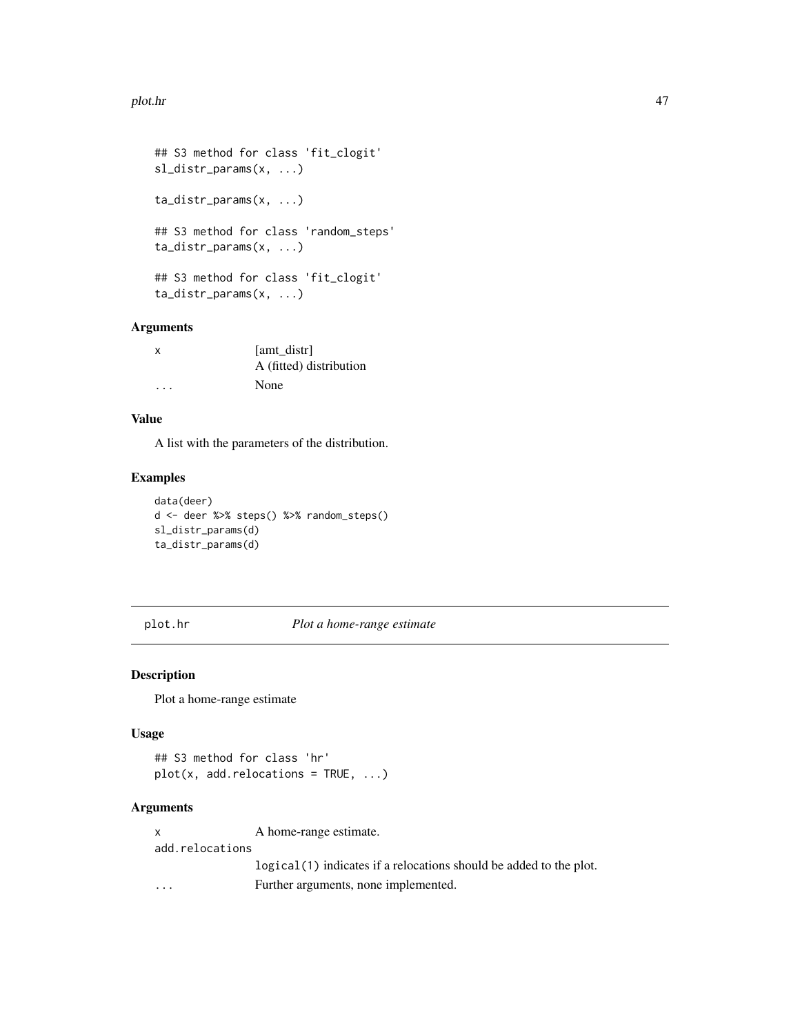#### plot.hr 47

```
## S3 method for class 'fit_clogit'
sl_distr_params(x, ...)
ta_distr_params(x, ...)
## S3 method for class 'random_steps'
ta_distr_params(x, ...)
## S3 method for class 'fit_clogit'
ta_distr_params(x, ...)
```
## Arguments

| х       | [amt_distr]             |
|---------|-------------------------|
|         | A (fitted) distribution |
| $\cdot$ | None                    |

# Value

A list with the parameters of the distribution.

## Examples

```
data(deer)
d <- deer %>% steps() %>% random_steps()
sl_distr_params(d)
ta_distr_params(d)
```
plot.hr *Plot a home-range estimate*

## Description

Plot a home-range estimate

## Usage

```
## S3 method for class 'hr'
plot(x, add.relocations = TRUE, \dots)
```
#### Arguments

x A home-range estimate. add.relocations logical(1) indicates if a relocations should be added to the plot. ... Further arguments, none implemented.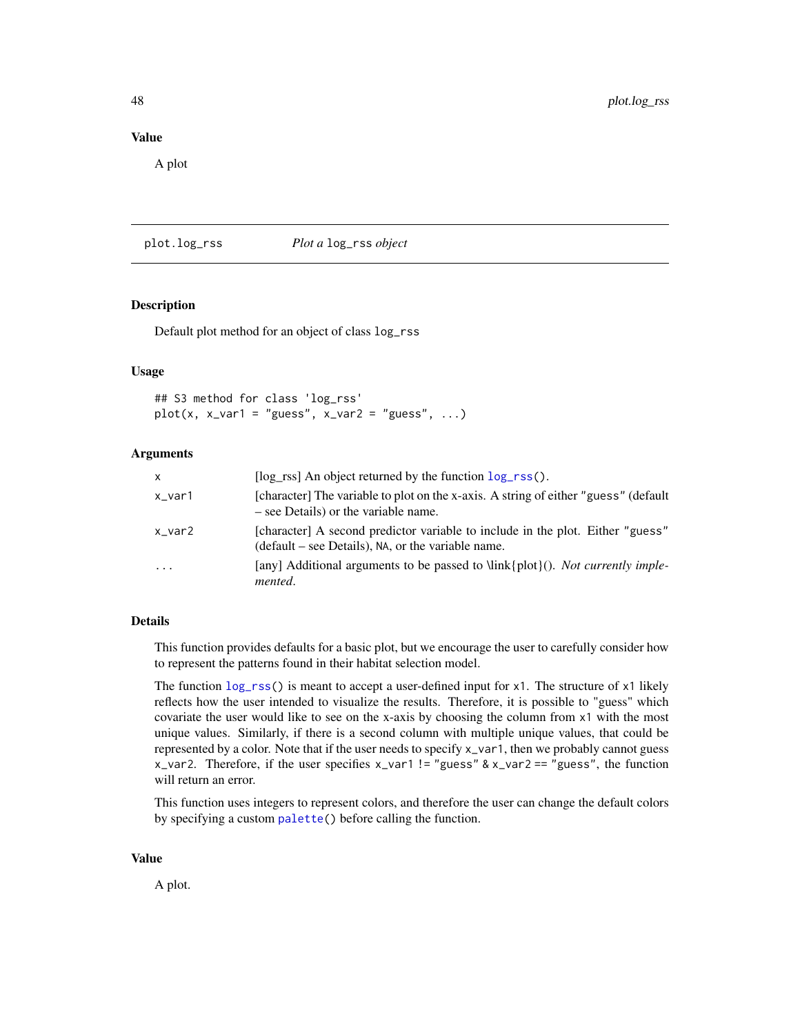#### Value

A plot

<span id="page-47-0"></span>plot.log\_rss *Plot a* log\_rss *object*

#### Description

Default plot method for an object of class log\_rss

#### Usage

## S3 method for class 'log\_rss'  $plot(x, x\_var1 = "guess", x\_var2 = "guess", ...)$ 

#### **Arguments**

| X             | [ $\log$ rss] An object returned by the function $\log_{10}$ rss().                                                                  |
|---------------|--------------------------------------------------------------------------------------------------------------------------------------|
| x_var1        | [character] The variable to plot on the x-axis. A string of either "guess" (default<br>– see Details) or the variable name.          |
| $x_v$ var $2$ | [character] A second predictor variable to include in the plot. Either "guess"<br>(default – see Details), NA, or the variable name. |
| $\cdot$       | [any] Additional arguments to be passed to $\link\plot\})$ . <i>Not currently imple</i> -<br>mented.                                 |

#### Details

This function provides defaults for a basic plot, but we encourage the user to carefully consider how to represent the patterns found in their habitat selection model.

The function  $\log_{10}$  is meant to accept a user-defined input for x1. The structure of x1 likely reflects how the user intended to visualize the results. Therefore, it is possible to "guess" which covariate the user would like to see on the x-axis by choosing the column from x1 with the most unique values. Similarly, if there is a second column with multiple unique values, that could be represented by a color. Note that if the user needs to specify x\_var1, then we probably cannot guess x\_var2. Therefore, if the user specifies  $x$ \_var1 != "guess" &  $x$ \_var2 == "guess", the function will return an error.

This function uses integers to represent colors, and therefore the user can change the default colors by specifying a custom [palette\(](#page-0-0)) before calling the function.

#### Value

A plot.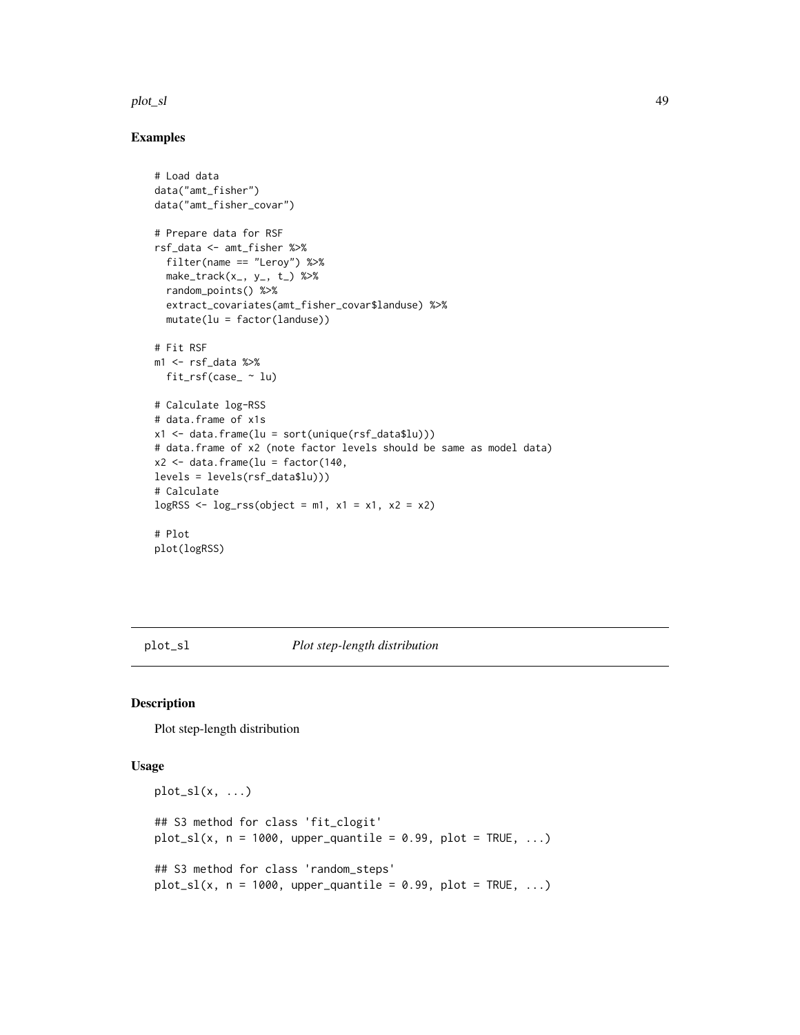#### plot\_sl  $\qquad 49$

## Examples

```
# Load data
data("amt_fisher")
data("amt_fisher_covar")
# Prepare data for RSF
rsf_data <- amt_fisher %>%
  filter(name == "Leroy") %>%
  make\_track(x_-, y_-, t_-) %>%
  random_points() %>%
  extract_covariates(amt_fisher_covar$landuse) %>%
  mutate(lu = factor(landuse))
# Fit RSF
m1 <- rsf_data %>%
 fit_rsf(case_ ~ lu)
# Calculate log-RSS
# data.frame of x1s
x1 <- data.frame(lu = sort(unique(rsf_data$lu)))
# data.frame of x2 (note factor levels should be same as model data)
x2 \leq data.frame(lu = factor(140,
levels = levels(rsf_data$lu)))
# Calculate
logRSS \leftarrow log\_rss(object = m1, x1 = x1, x2 = x2)# Plot
plot(logRSS)
```
plot\_sl *Plot step-length distribution*

## Description

Plot step-length distribution

```
plot_s1(x, \ldots)## S3 method for class 'fit_clogit'
plot_s1(x, n = 1000, upper_quantile = 0.99, plot = TRUE, ...)## S3 method for class 'random_steps'
plot_s1(x, n = 1000, upper_quantile = 0.99, plot = TRUE, ...)
```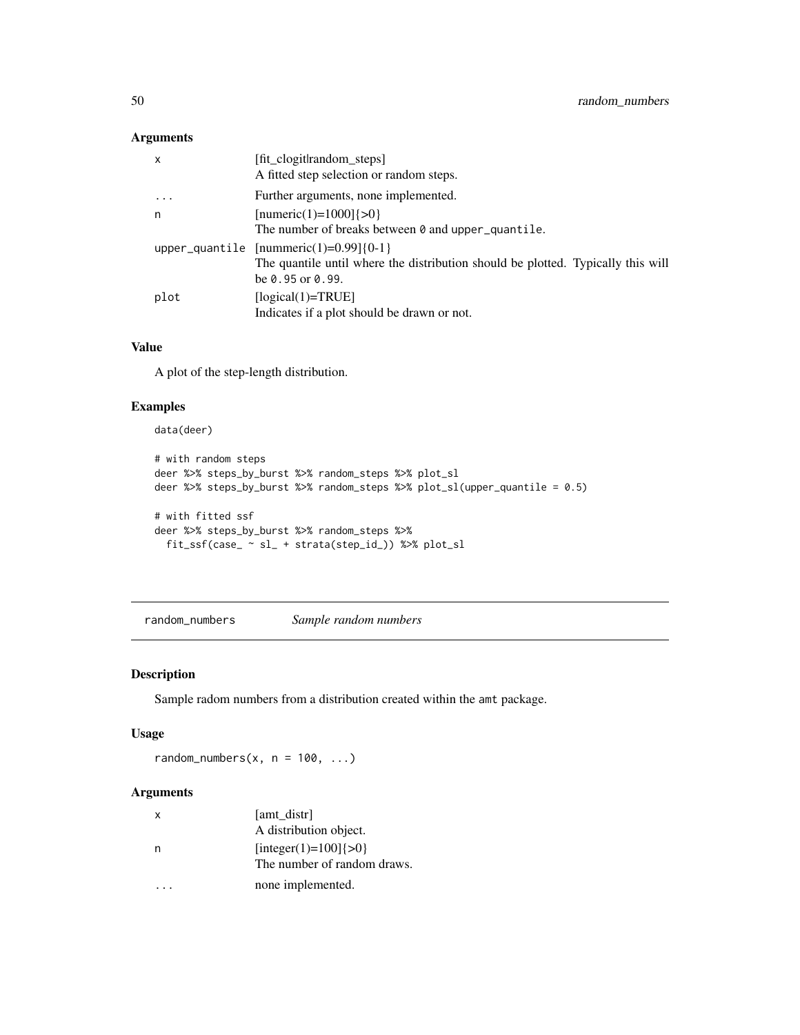## Arguments

| $\mathsf{x}$ | [fit clogit random steps]<br>A fitted step selection or random steps.                                                                                  |
|--------------|--------------------------------------------------------------------------------------------------------------------------------------------------------|
| .            | Further arguments, none implemented.                                                                                                                   |
| n            | [numeric(1)=1000] $\{>0\}$                                                                                                                             |
|              | The number of breaks between $\theta$ and upper quantile.                                                                                              |
|              | upper_quantile $[numeric(1)=0.99]\{0-1\}$<br>The quantile until where the distribution should be plotted. Typically this will<br>be $0.95$ or $0.99$ . |
| plot         | $[logical(1)=TRUE]$<br>Indicates if a plot should be drawn or not.                                                                                     |

#### Value

A plot of the step-length distribution.

## Examples

# data(deer)

```
# with random steps
deer %>% steps_by_burst %>% random_steps %>% plot_sl
deer %>% steps_by_burst %>% random_steps %>% plot_sl(upper_quantile = 0.5)
# with fitted ssf
deer %>% steps_by_burst %>% random_steps %>%
  fit_ssf(case_ ~ sl_ + strata(step_id_)) %>% plot_sl
```
random\_numbers *Sample random numbers*

## Description

Sample radom numbers from a distribution created within the amt package.

## Usage

random\_numbers $(x, n = 100, ...)$ 

| $\mathsf{x}$ | [amt distr]                 |
|--------------|-----------------------------|
|              | A distribution object.      |
|              | [integer(1)=100] $\{>0\}$   |
|              | The number of random draws. |
|              | none implemented.           |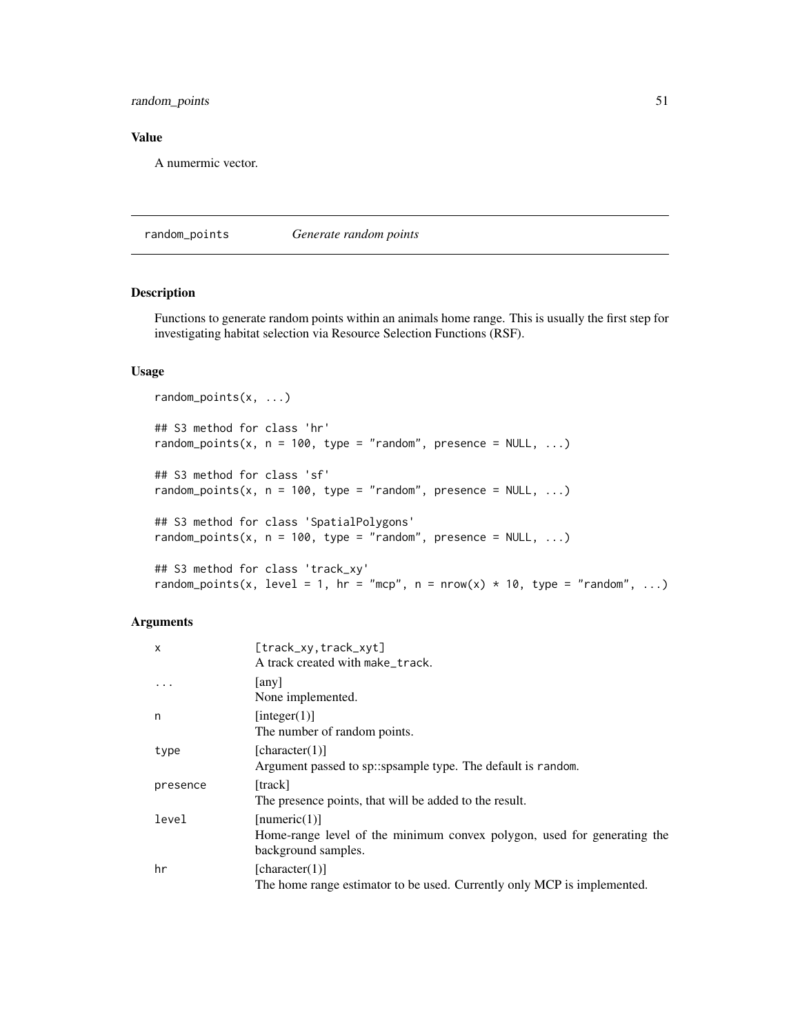## random\_points 51

## Value

A numermic vector.

random\_points *Generate random points*

#### Description

Functions to generate random points within an animals home range. This is usually the first step for investigating habitat selection via Resource Selection Functions (RSF).

# Usage

```
random_points(x, ...)
## S3 method for class 'hr'
random_points(x, n = 100, type = "random", presence = NULL, ...)
## S3 method for class 'sf'
random_points(x, n = 100, type = "random", presence = NULL, ...)
## S3 method for class 'SpatialPolygons'
random_points(x, n = 100, type = "random", presence = NULL, ...)
## S3 method for class 'track_xy'
random_points(x, level = 1, hr = "mcp", n = nrow(x) * 10, type = "random", ...)
```

| X         | [track_xy,track_xyt]                                                    |
|-----------|-------------------------------------------------------------------------|
|           | A track created with make_track.                                        |
| $\ddotsc$ | any                                                                     |
|           | None implemented.                                                       |
| n         | [integer(1)]                                                            |
|           | The number of random points.                                            |
| type      | [character(1)]                                                          |
|           | Argument passed to sp::spsample type. The default is random.            |
| presence  | [track]                                                                 |
|           | The presence points, that will be added to the result.                  |
| level     | [numeric(1)]                                                            |
|           | Home-range level of the minimum convex polygon, used for generating the |
|           | background samples.                                                     |
| hr        | [character(1)]                                                          |
|           | The home range estimator to be used. Currently only MCP is implemented. |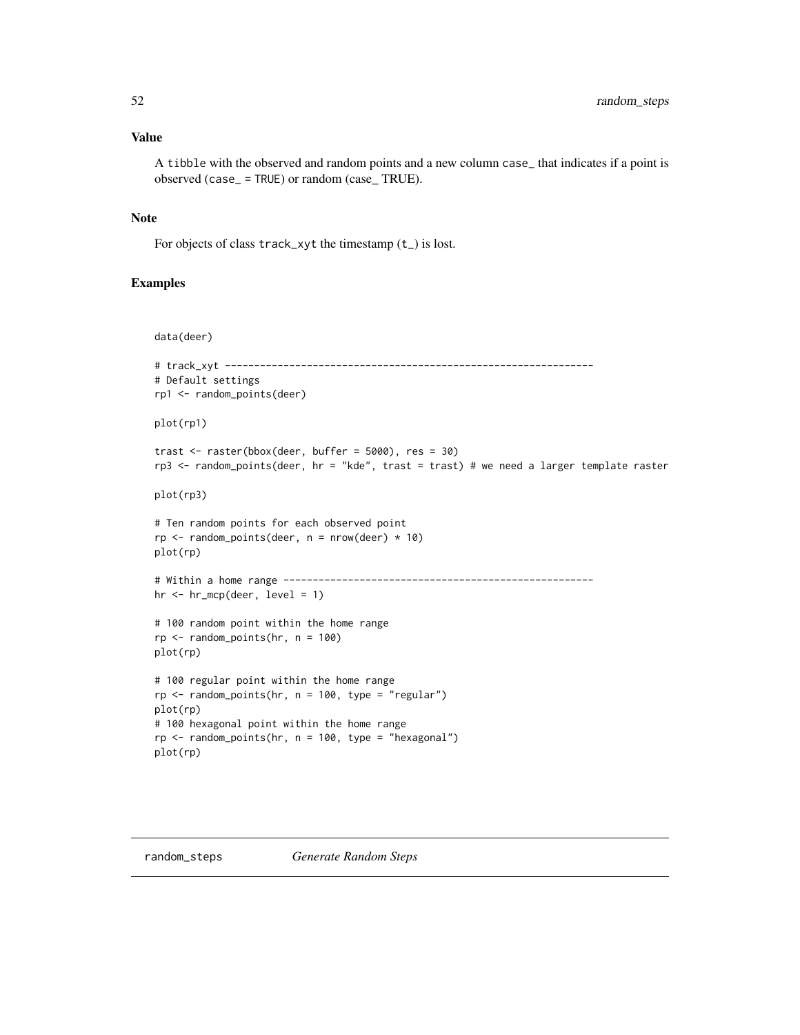#### Value

A tibble with the observed and random points and a new column case\_ that indicates if a point is observed (case\_ = TRUE) or random (case\_ TRUE).

## Note

For objects of class track\_xyt the timestamp (t\_) is lost.

#### Examples

```
data(deer)
# track_xyt ---------------------------------------------------------------
# Default settings
rp1 <- random_points(deer)
plot(rp1)
trast \le raster(bbox(deer, buffer = 5000), res = 30)
rp3 <- random_points(deer, hr = "kde", trast = trast) # we need a larger template raster
plot(rp3)
# Ten random points for each observed point
rp \le random_points(deer, n = nrow(deer) * 10)
plot(rp)
# Within a home range -----------------------------------------------------
hr <- hr_mcp(deer, level = 1)
# 100 random point within the home range
rp \leq - \text{random\_points}(hr, n = 100)plot(rp)
# 100 regular point within the home range
rp <- random_points(hr, n = 100, type = "regular")
plot(rp)
# 100 hexagonal point within the home range
rp \leq - \text{random\_points}(hr, n = 100, \text{type} = \text{"hexagonal"})plot(rp)
```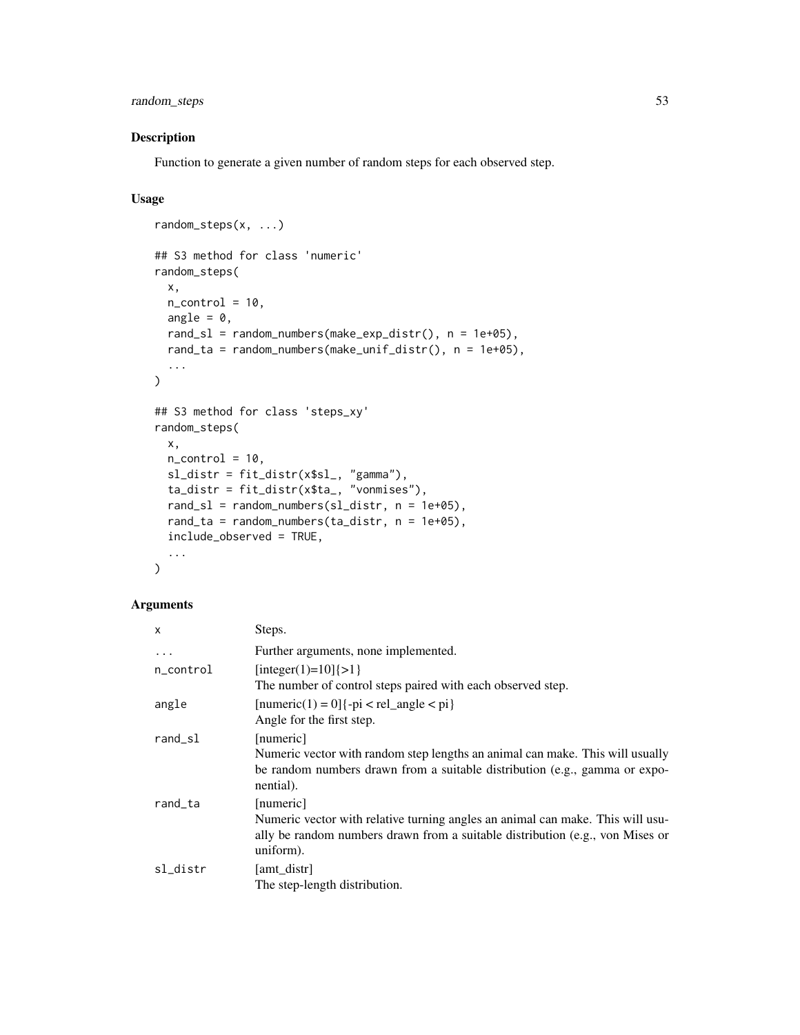random\_steps 53

## Description

Function to generate a given number of random steps for each observed step.

# Usage

```
random_steps(x, ...)
## S3 method for class 'numeric'
random_steps(
 x,
 n_{control} = 10,
 angle = 0,
 rand_s1 = random_numbers(make_exp_distr(), n = 1e+05),rand_ta = random_numbers(make_unif_distr(), n = 1e+05),
  ...
\mathcal{L}## S3 method for class 'steps_xy'
random_steps(
 x,
 n_{control} = 10,
  sl_distr = fit_distr(x$sl_, "gamma"),
  ta\_distr = fit\_distr(x$ta\_, "vonmises"),
  rand_sl = random_numbers(sl_distr, n = 1e+05),
  rand_ta = random_numbers(ta_distr, n = 1e+05),
  include_observed = TRUE,
  ...
\mathcal{L}
```

| $\times$   | Steps.                                                                                                                                                                                    |
|------------|-------------------------------------------------------------------------------------------------------------------------------------------------------------------------------------------|
| $\cdots$   | Further arguments, none implemented.                                                                                                                                                      |
| n_control  | [integer(1)=10] $\{>1\}$<br>The number of control steps paired with each observed step.                                                                                                   |
| angle      | $[numeric(1) = 0]$ {-pi < rel_angle < pi}<br>Angle for the first step.                                                                                                                    |
| $rand$ _sl | [numeric]<br>Numeric vector with random step lengths an animal can make. This will usually<br>be random numbers drawn from a suitable distribution (e.g., gamma or expo-<br>nential).     |
| rand_ta    | [numeric]<br>Numeric vector with relative turning angles an animal can make. This will usu-<br>ally be random numbers drawn from a suitable distribution (e.g., von Mises or<br>uniform). |
| sl_distr   | [amt distr]<br>The step-length distribution.                                                                                                                                              |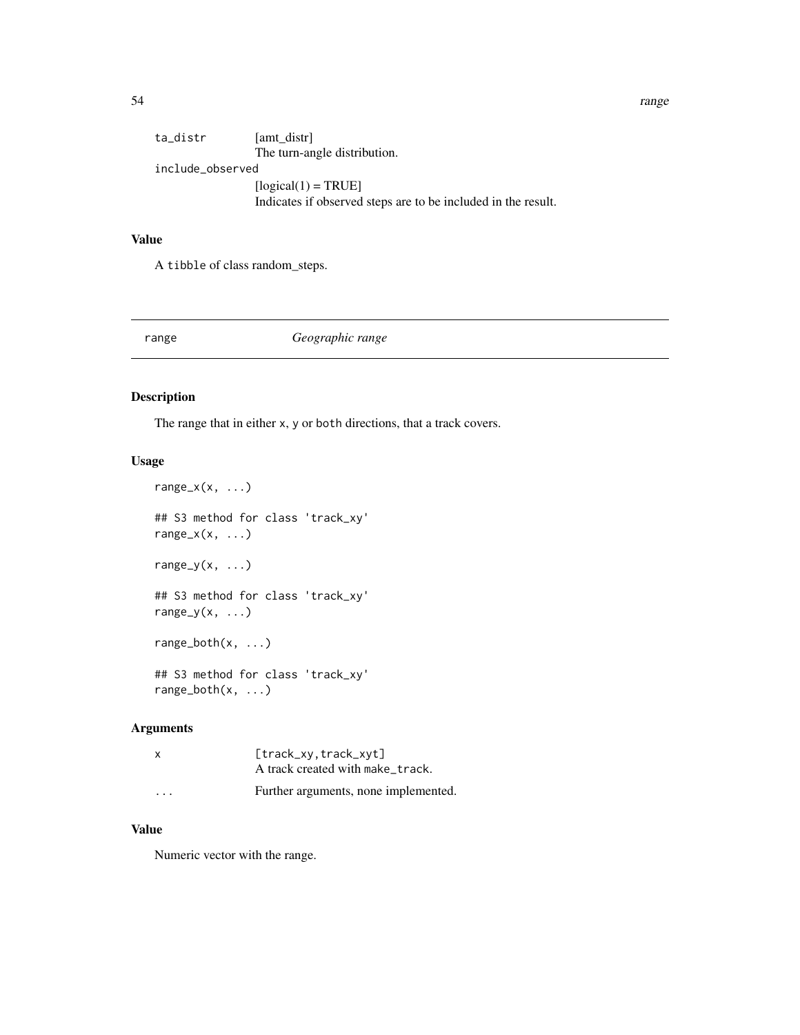54 range

| ta_distr         | [amt distr]                                                   |
|------------------|---------------------------------------------------------------|
|                  | The turn-angle distribution.                                  |
| include_observed |                                                               |
|                  | $[logical(1) = TRUE]$                                         |
|                  | Indicates if observed steps are to be included in the result. |
|                  |                                                               |

# Value

A tibble of class random\_steps.

## range *Geographic range*

## Description

The range that in either x, y or both directions, that a track covers.

## Usage

```
range_x(x, \ldots)## S3 method for class 'track_xy'
range_x(x, \ldots)range_y(x, \ldots)
## S3 method for class 'track_xy'
range_y(x, \ldots)
range_both(x, ...)
## S3 method for class 'track_xy'
range_both(x, ...)
```
## Arguments

| x                       | [track_xy,track_xyt]<br>A track created with make_track. |
|-------------------------|----------------------------------------------------------|
| $\cdot$ $\cdot$ $\cdot$ | Further arguments, none implemented.                     |

## Value

Numeric vector with the range.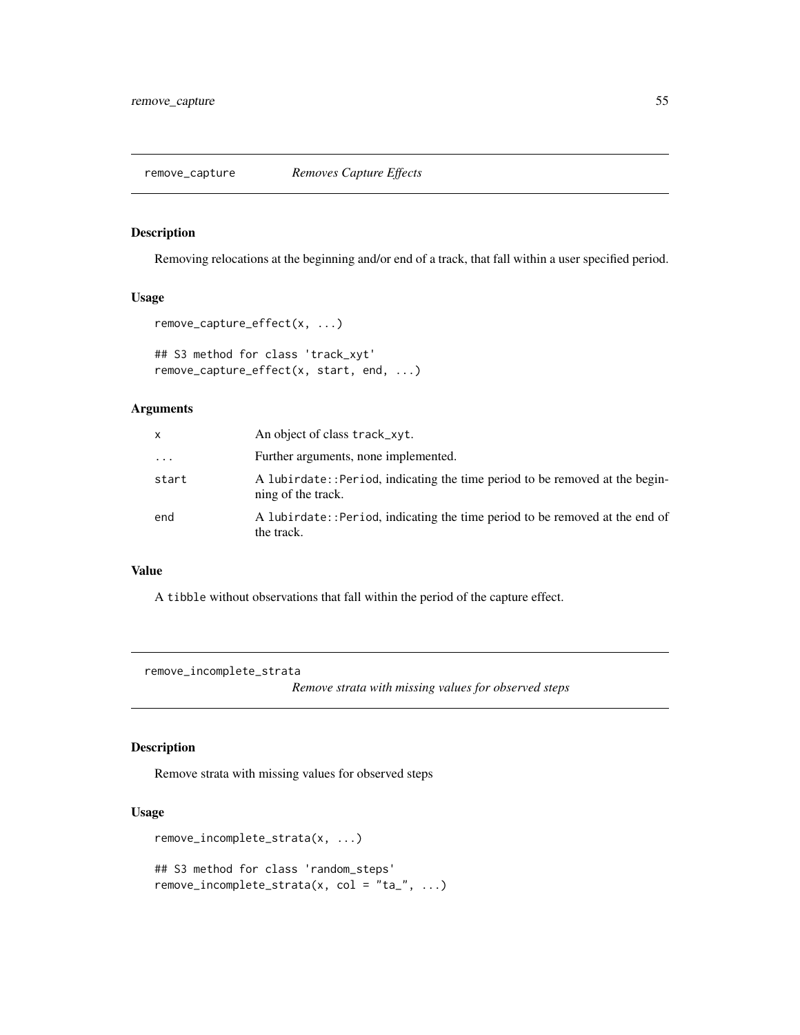remove\_capture *Removes Capture Effects*

#### Description

Removing relocations at the beginning and/or end of a track, that fall within a user specified period.

## Usage

```
remove_capture_effect(x, ...)
```

```
## S3 method for class 'track_xyt'
remove_capture_effect(x, start, end, ...)
```
# Arguments

| x        | An object of class track_xyt.                                                                       |
|----------|-----------------------------------------------------------------------------------------------------|
| $\ddots$ | Further arguments, none implemented.                                                                |
| start    | A lubirdate: : Period, indicating the time period to be removed at the begin-<br>ning of the track. |
| end      | A lubirdate:: Period, indicating the time period to be removed at the end of<br>the track.          |

## Value

A tibble without observations that fall within the period of the capture effect.

remove\_incomplete\_strata

*Remove strata with missing values for observed steps*

# Description

Remove strata with missing values for observed steps

```
remove_incomplete_strata(x, ...)
## S3 method for class 'random_steps'
remove_incomplete_strata(x, col = "ta_", \dots)
```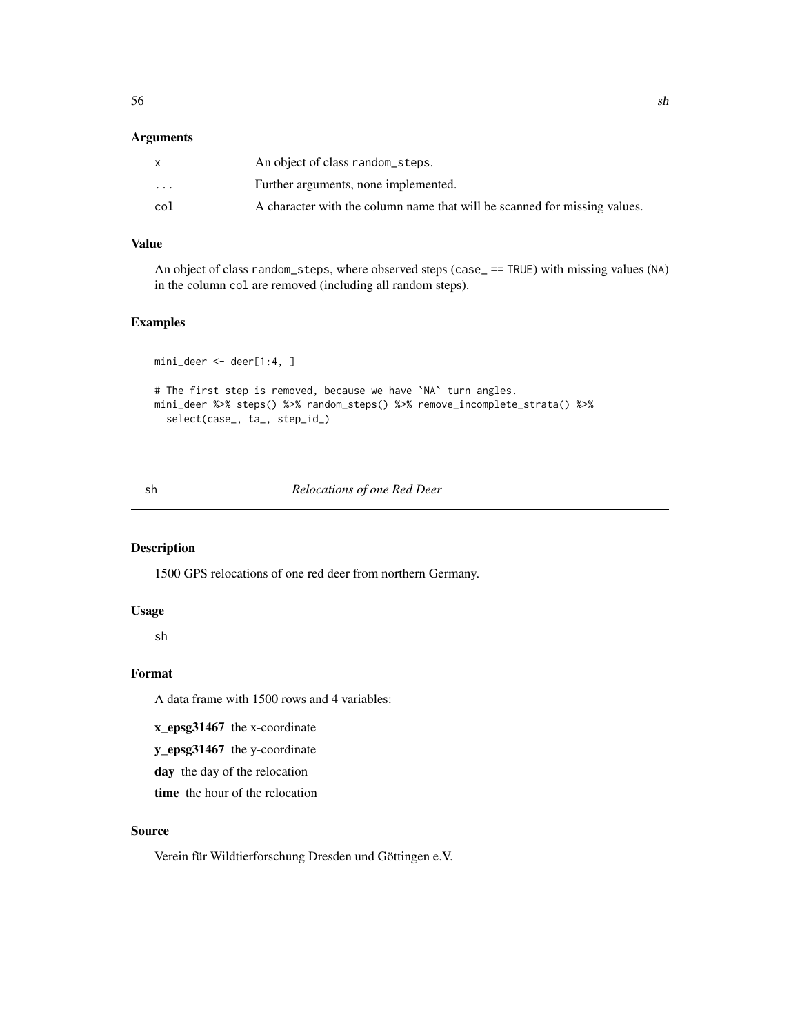## Arguments

|          | An object of class random_steps.                                          |
|----------|---------------------------------------------------------------------------|
| $\cdots$ | Further arguments, none implemented.                                      |
| col      | A character with the column name that will be scanned for missing values. |

# Value

An object of class random\_steps, where observed steps (case\_ == TRUE) with missing values (NA) in the column col are removed (including all random steps).

## Examples

```
mini_deer <- deer[1:4, ]
# The first step is removed, because we have `NA` turn angles.
mini_deer %>% steps() %>% random_steps() %>% remove_incomplete_strata() %>%
  select(case_, ta_, step_id_)
```
### sh *Relocations of one Red Deer*

# Description

1500 GPS relocations of one red deer from northern Germany.

## Usage

sh

# Format

A data frame with 1500 rows and 4 variables:

x\_epsg31467 the x-coordinate

y\_epsg31467 the y-coordinate

day the day of the relocation

time the hour of the relocation

#### Source

Verein für Wildtierforschung Dresden und Göttingen e.V.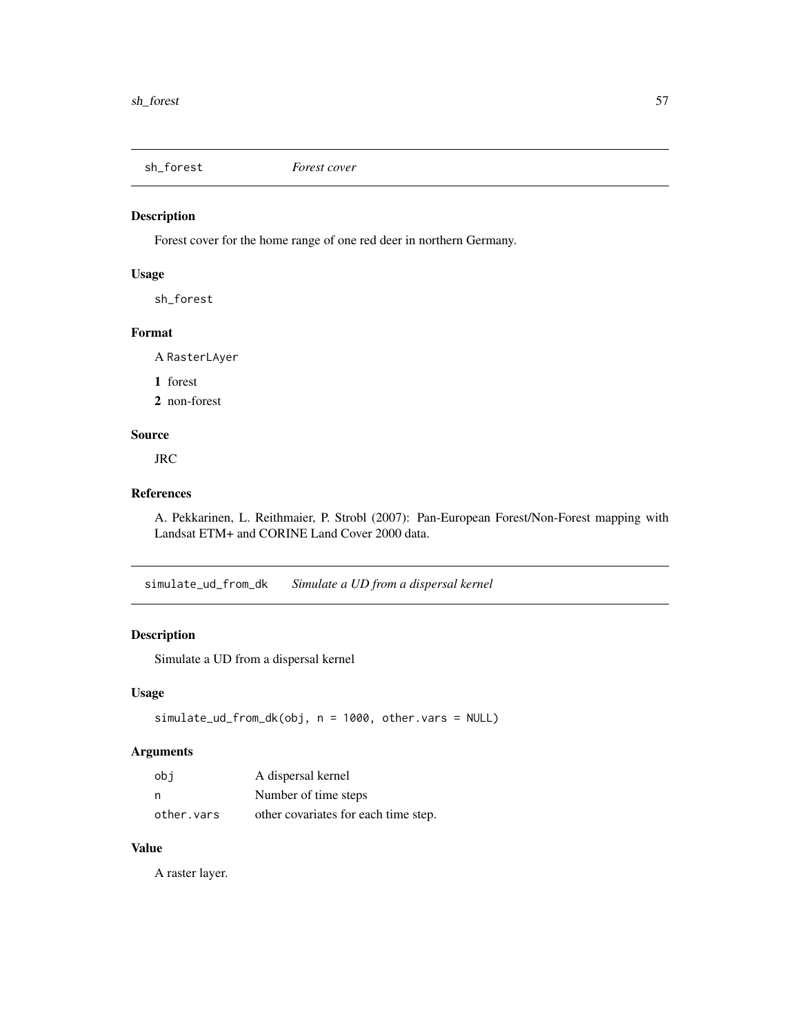# Description

Forest cover for the home range of one red deer in northern Germany.

# Usage

sh\_forest

## Format

A RasterLAyer

1 forest

2 non-forest

## Source

JRC

#### References

A. Pekkarinen, L. Reithmaier, P. Strobl (2007): Pan-European Forest/Non-Forest mapping with Landsat ETM+ and CORINE Land Cover 2000 data.

simulate\_ud\_from\_dk *Simulate a UD from a dispersal kernel*

# Description

Simulate a UD from a dispersal kernel

#### Usage

```
simulate_ud_from_dk(obj, n = 1000, other.vars = NULL)
```
## Arguments

| obi        | A dispersal kernel                   |
|------------|--------------------------------------|
| n          | Number of time steps                 |
| other.vars | other covariates for each time step. |

## Value

A raster layer.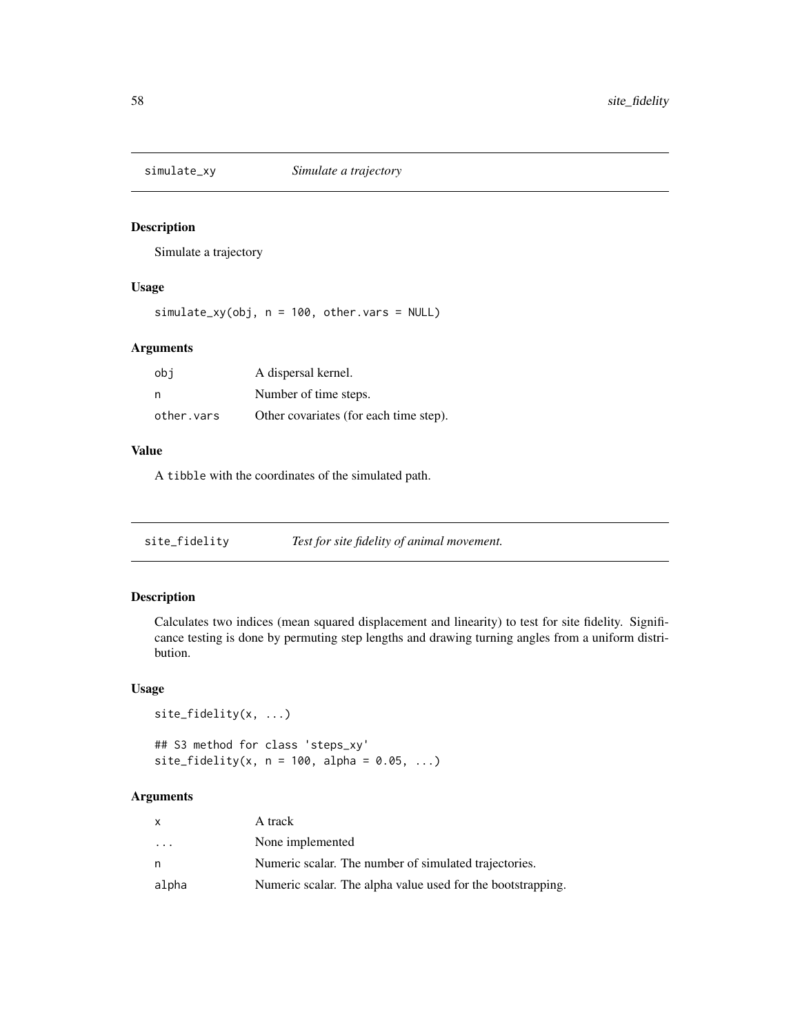#### Description

Simulate a trajectory

# Usage

simulate\_xy(obj, n = 100, other.vars = NULL)

## Arguments

| obi        | A dispersal kernel.                    |
|------------|----------------------------------------|
|            | Number of time steps.                  |
| other.vars | Other covariates (for each time step). |

#### Value

A tibble with the coordinates of the simulated path.

site\_fidelity *Test for site fidelity of animal movement.*

## Description

Calculates two indices (mean squared displacement and linearity) to test for site fidelity. Significance testing is done by permuting step lengths and drawing turning angles from a uniform distribution.

## Usage

```
site_fidelity(x, ...)
## S3 method for class 'steps_xy'
site_fidelity(x, n = 100, alpha = 0.05, ...)
```

| x                       | A track                                                     |
|-------------------------|-------------------------------------------------------------|
| $\cdot$ $\cdot$ $\cdot$ | None implemented                                            |
| n                       | Numeric scalar. The number of simulated trajectories.       |
| alpha                   | Numeric scalar. The alpha value used for the bootstrapping. |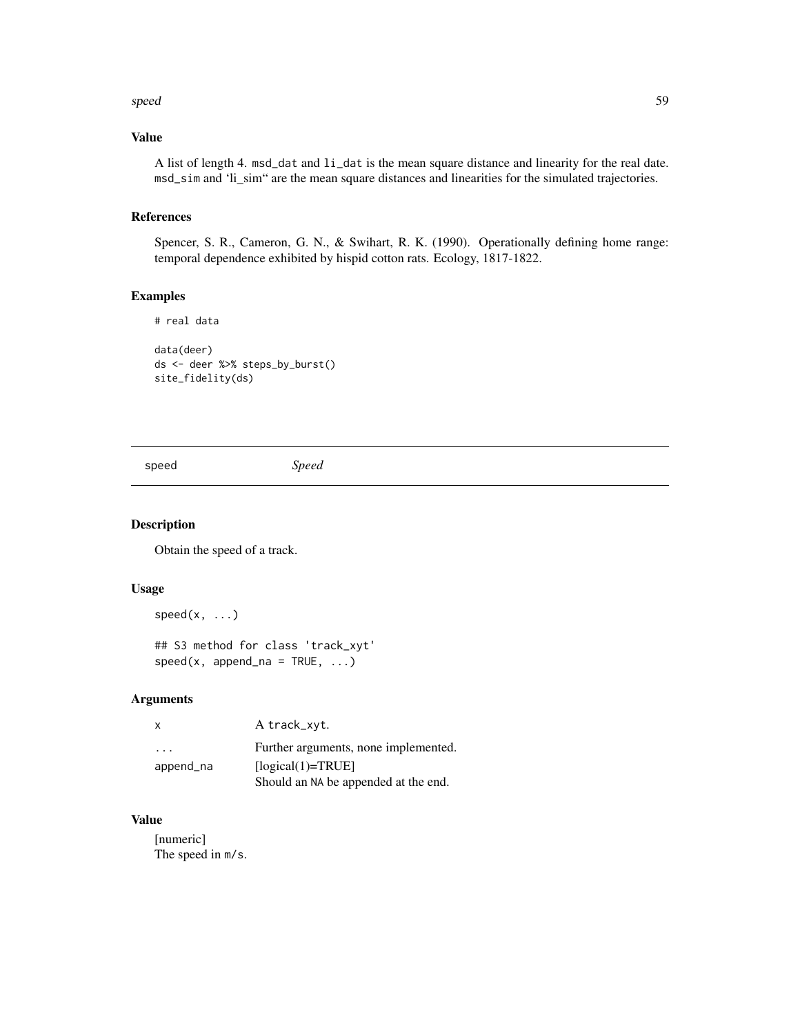#### speed 59

## Value

A list of length 4. msd\_dat and li\_dat is the mean square distance and linearity for the real date. msd\_sim and 'li\_sim" are the mean square distances and linearities for the simulated trajectories.

## References

Spencer, S. R., Cameron, G. N., & Swihart, R. K. (1990). Operationally defining home range: temporal dependence exhibited by hispid cotton rats. Ecology, 1817-1822.

## Examples

```
# real data
data(deer)
ds <- deer %>% steps_by_burst()
site_fidelity(ds)
```
speed *Speed*

## Description

Obtain the speed of a track.

## Usage

```
speed(x, \ldots)
```
## S3 method for class 'track\_xyt'  $speed(x, append_na = TRUE, ...)$ 

#### Arguments

| $\mathbf{x}$            | A track_xyt.                         |
|-------------------------|--------------------------------------|
| $\cdot$ $\cdot$ $\cdot$ | Further arguments, none implemented. |
| append_na               | $[logical(1)=TRUE]$                  |
|                         | Should an NA be appended at the end. |

# Value

[numeric] The speed in m/s.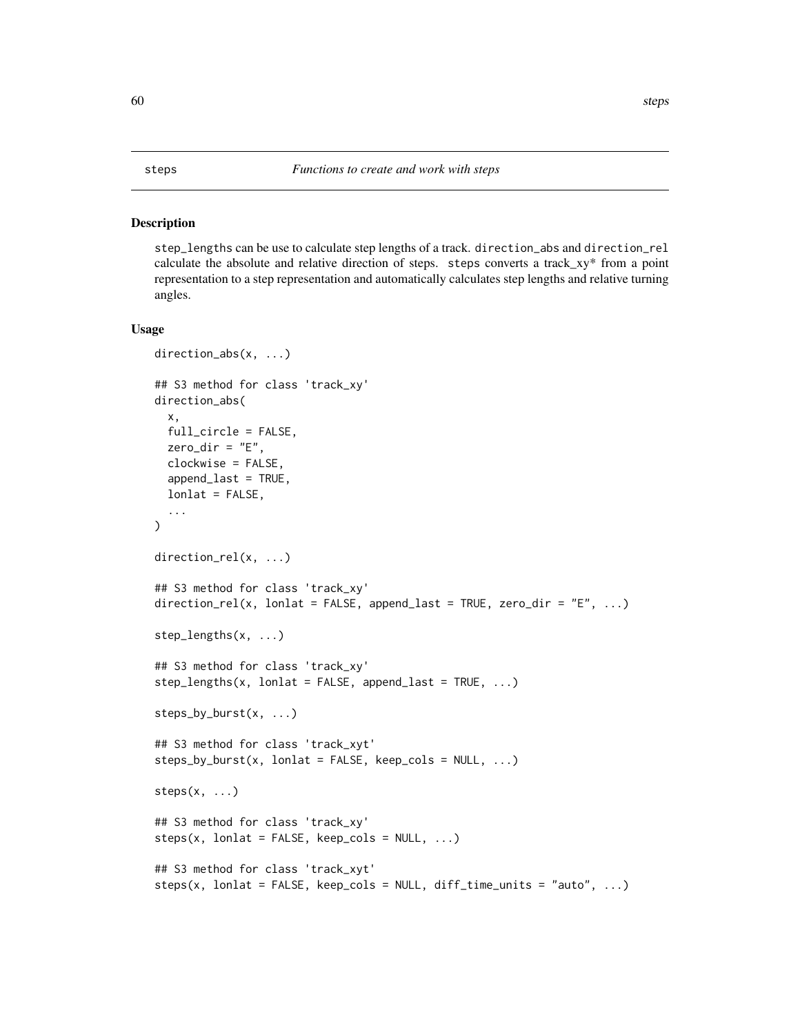#### Description

step\_lengths can be use to calculate step lengths of a track. direction\_abs and direction\_rel calculate the absolute and relative direction of steps. steps converts a track\_xy\* from a point representation to a step representation and automatically calculates step lengths and relative turning angles.

```
direction_abs(x, ...)
## S3 method for class 'track_xy'
direction_abs(
  x,
 full_circle = FALSE,
  zero\_dir = "E",clockwise = FALSE,
  append_last = TRUE,
 lonlat = FALSE,
  ...
\mathcal{L}direction_rel(x, ...)
## S3 method for class 'track_xy'
direction_rel(x, lonlat = FALSE, append_last = TRUE, zero_dir = "E", ...)
step_lengths(x, ...)
## S3 method for class 'track_xy'
step_length(x, lonlat = FALSE, appendLast = TRUE, ...)steps_by_burst(x, ...)
## S3 method for class 'track_xyt'
steps_by_burst(x, lonlat = FALSE, keep_cols = NULL, ...)steps(x, \ldots)## S3 method for class 'track_xy'
steps(x, lonlat = FALSE, keep_cols = NULL, ...)## S3 method for class 'track_xyt'
steps(x, lonlat = FALSE, keep_cols = NULL, diff_time_units = "auto", ...)
```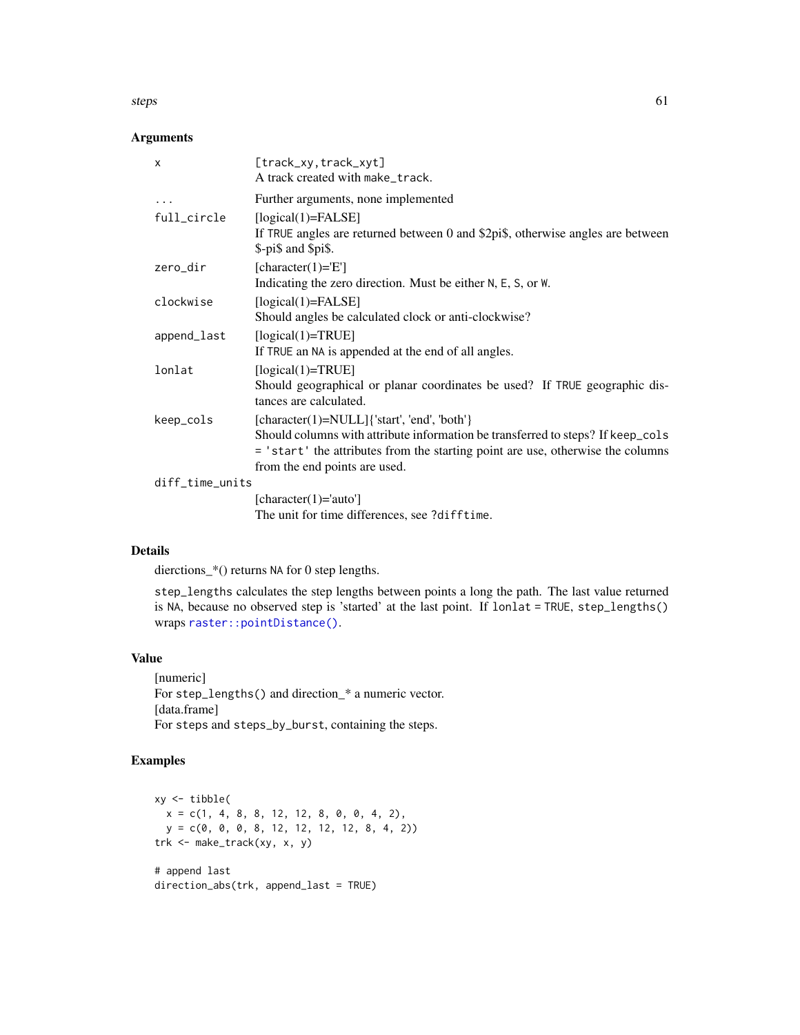#### steps 61

## Arguments

| X               | [track_xy,track_xyt]<br>A track created with make_track.                                                                                                                                                                                           |
|-----------------|----------------------------------------------------------------------------------------------------------------------------------------------------------------------------------------------------------------------------------------------------|
| $\ddots$        | Further arguments, none implemented                                                                                                                                                                                                                |
| full_circle     | $[logical(1)=FALSE]$<br>If TRUE angles are returned between 0 and \$2pi\$, otherwise angles are between<br>\$-pi\$ and \$pi\$.                                                                                                                     |
| zero_dir        | [character(1)= $E$ ]<br>Indicating the zero direction. Must be either N, E, S, or W.                                                                                                                                                               |
| clockwise       | $[logical(1)=FALSE]$<br>Should angles be calculated clock or anti-clockwise?                                                                                                                                                                       |
| append_last     | $[logical(1)=TRUE]$<br>If TRUE an NA is appended at the end of all angles.                                                                                                                                                                         |
| lonlat          | $[logical(1)=TRUE]$<br>Should geographical or planar coordinates be used? If TRUE geographic dis-<br>tances are calculated.                                                                                                                        |
| keep_cols       | [character(1)=NULL]{'start', 'end', 'both'}<br>Should columns with attribute information be transferred to steps? If keep_cols<br>= 'start' the attributes from the starting point are use, otherwise the columns<br>from the end points are used. |
| diff_time_units |                                                                                                                                                                                                                                                    |
|                 | [character(1)='auto']                                                                                                                                                                                                                              |

The unit for time differences, see ?difftime.

## Details

dierctions\_\*() returns NA for 0 step lengths.

step\_lengths calculates the step lengths between points a long the path. The last value returned is NA, because no observed step is 'started' at the last point. If lonlat = TRUE, step\_lengths() wraps [raster::pointDistance\(\)](#page-0-0).

#### Value

[numeric] For step\_lengths() and direction\_\* a numeric vector. [data.frame] For steps and steps\_by\_burst, containing the steps.

## Examples

```
xy <- tibble(
 x = c(1, 4, 8, 8, 12, 12, 8, 0, 0, 4, 2),y = c(0, 0, 0, 8, 12, 12, 12, 12, 8, 4, 2))
trk <- make_track(xy, x, y)
# append last
direction_abs(trk, append_last = TRUE)
```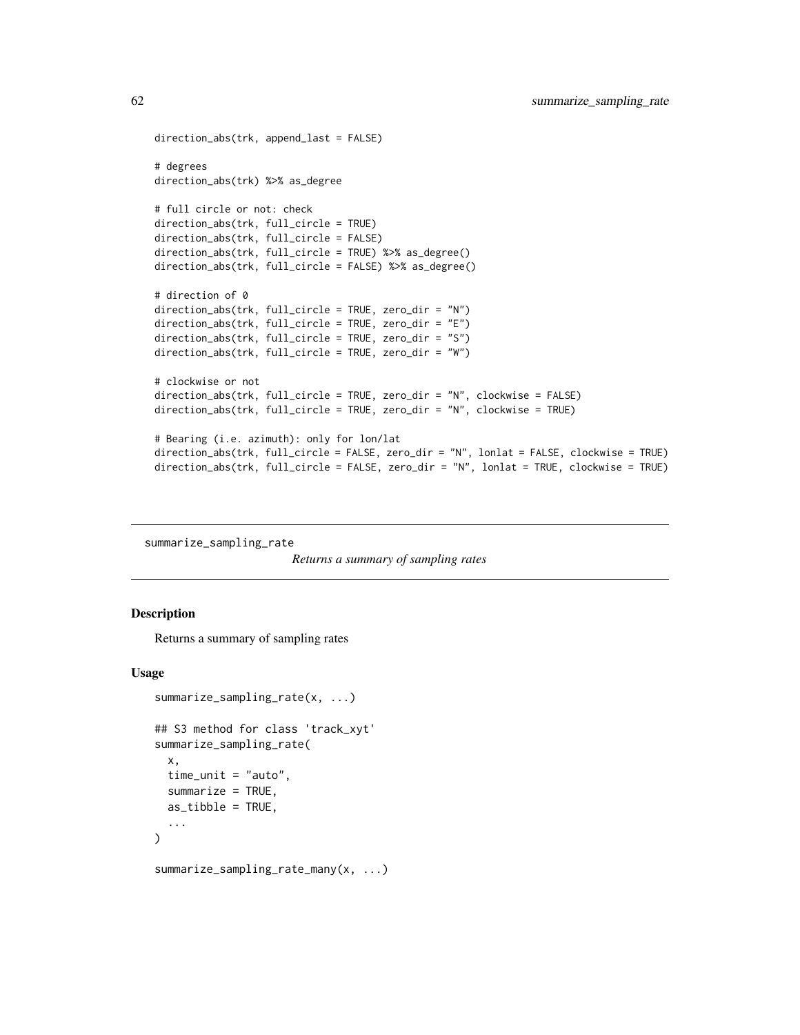```
direction_abs(trk, append_last = FALSE)
# degrees
direction_abs(trk) %>% as_degree
# full circle or not: check
direction_abs(trk, full_circle = TRUE)
direction_abs(trk, full_circle = FALSE)
direction_abs(trk, full_circle = TRUE) %>% as_degree()
direction_abs(trk, full_circle = FALSE) %>% as_degree()
# direction of 0
direction_abs(trk, full_circle = TRUE, zero_dir = "N")
direction_abs(trk, full_circle = TRUE, zero_dir = "E")
direction_abs(trk, full_circle = TRUE, zero_dir = "S")
direction_abs(trk, full_circle = TRUE, zero_dir = "W")
# clockwise or not
direction_abs(trk, full_circle = TRUE, zero_dir = "N", clockwise = FALSE)
direction_abs(trk, full_circle = TRUE, zero_dir = "N", clockwise = TRUE)
# Bearing (i.e. azimuth): only for lon/lat
direction_abs(trk, full_circle = FALSE, zero_dir = "N", lonlat = FALSE, clockwise = TRUE)
direction_abs(trk, full_circle = FALSE, zero_dir = "N", lonlat = TRUE, clockwise = TRUE)
```
summarize\_sampling\_rate

*Returns a summary of sampling rates*

#### Description

Returns a summary of sampling rates

```
summarize_sampling_rate(x, ...)
## S3 method for class 'track_xyt'
summarize_sampling_rate(
 x,
  time_unit = "auto",
 summarize = TRUE,
 as_tibble = TRUE,
  ...
)
summarize_sampling_rate_many(x, ...)
```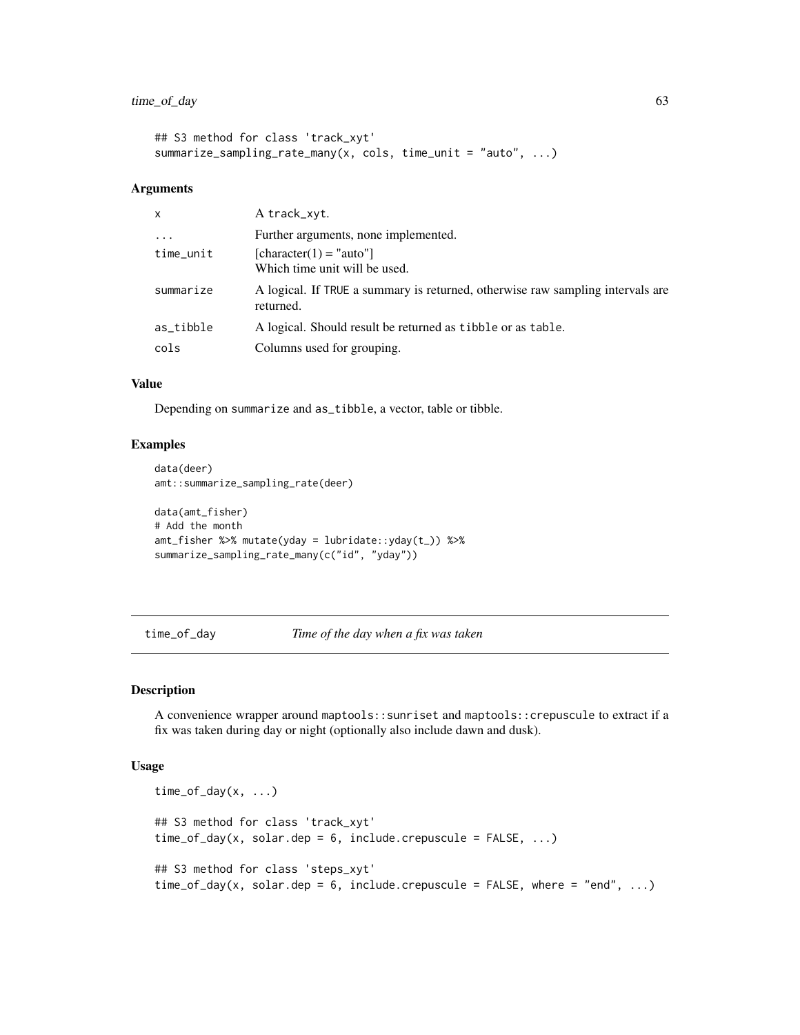```
## S3 method for class 'track_xyt'
summarize_sampling_rate_many(x, cols, time_unit = "auto", ...)
```
#### Arguments

| $\mathsf{x}$ | A track_xyt.                                                                                |
|--------------|---------------------------------------------------------------------------------------------|
| $\ddotsc$    | Further arguments, none implemented.                                                        |
| time_unit    | $[character(1) = "auto"]$<br>Which time unit will be used.                                  |
| summarize    | A logical. If TRUE a summary is returned, otherwise raw sampling intervals are<br>returned. |
| as_tibble    | A logical. Should result be returned as tibble or as table.                                 |
| cols         | Columns used for grouping.                                                                  |

#### Value

Depending on summarize and as\_tibble, a vector, table or tibble.

## Examples

```
data(deer)
amt::summarize_sampling_rate(deer)
data(amt_fisher)
# Add the month
amt_fisher %>% mutate(yday = lubridate::yday(t_)) %>%
```

```
summarize_sampling_rate_many(c("id", "yday"))
```
time\_of\_day *Time of the day when a fix was taken*

## Description

A convenience wrapper around maptools::sunriset and maptools::crepuscule to extract if a fix was taken during day or night (optionally also include dawn and dusk).

```
time_of_day(x, \ldots)## S3 method for class 'track_xyt'
time_of_day(x, solar.dep = 6, include.crepuscule = FALSE, ...)## S3 method for class 'steps_xyt'
time_of_day(x, solar.dep = 6, include.crepuscule = FALSE, where = "end", ...)
```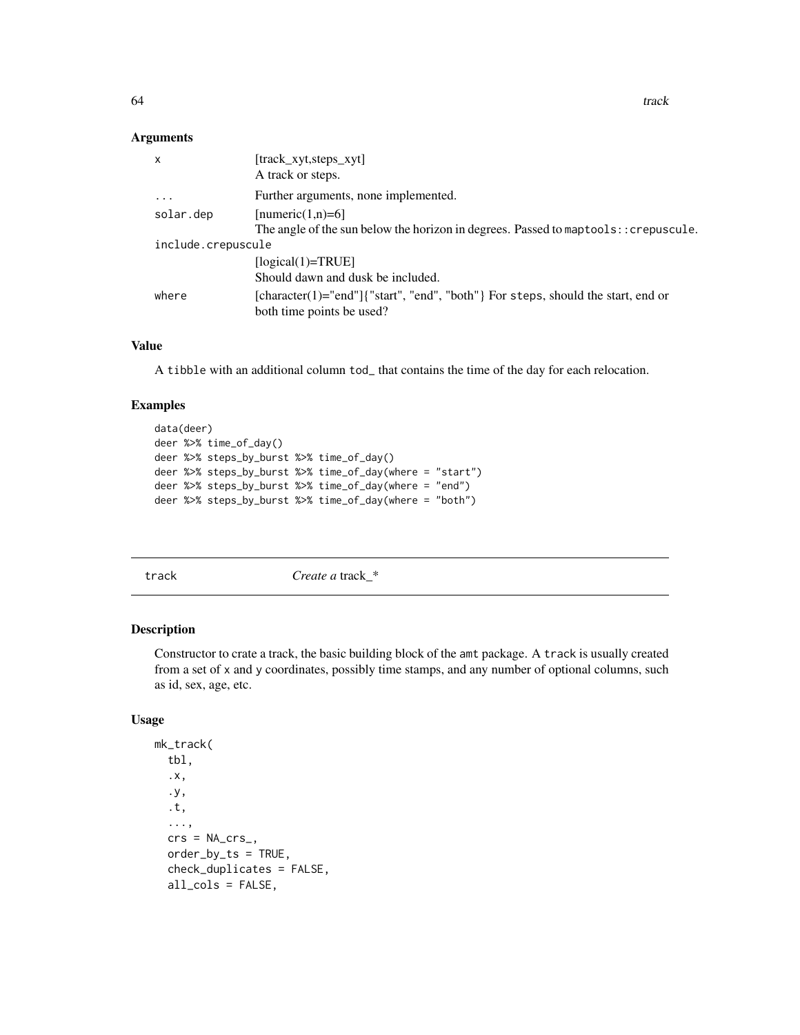## Arguments

| X                  | [track xyt, steps xyt]                                                                                        |
|--------------------|---------------------------------------------------------------------------------------------------------------|
|                    | A track or steps.                                                                                             |
| $\ddots$ .         | Further arguments, none implemented.                                                                          |
| solar.dep          | [numeric(1,n)=6]                                                                                              |
|                    | The angle of the sun below the horizon in degrees. Passed to maptools: : crepuscule.                          |
| include.crepuscule |                                                                                                               |
|                    | $[logical(1)=TRUE]$                                                                                           |
|                    | Should dawn and dusk be included.                                                                             |
| where              | [character(1)="end"]{"start", "end", "both"} For steps, should the start, end or<br>both time points be used? |

## Value

A tibble with an additional column tod\_ that contains the time of the day for each relocation.

## Examples

```
data(deer)
deer %>% time_of_day()
deer %>% steps_by_burst %>% time_of_day()
deer %>% steps_by_burst %>% time_of_day(where = "start")
deer %>% steps_by_burst %>% time_of_day(where = "end")
deer %>% steps_by_burst %>% time_of_day(where = "both")
```
track **Create a** track  $*$ 

## Description

Constructor to crate a track, the basic building block of the amt package. A track is usually created from a set of x and y coordinates, possibly time stamps, and any number of optional columns, such as id, sex, age, etc.

```
mk_track(
  tbl,
  .x,
  .y,
  .t,
  ...,
  crs = NA_crs_order_by_ts = TRUE,
  check_duplicates = FALSE,
  all_cols = FALSE,
```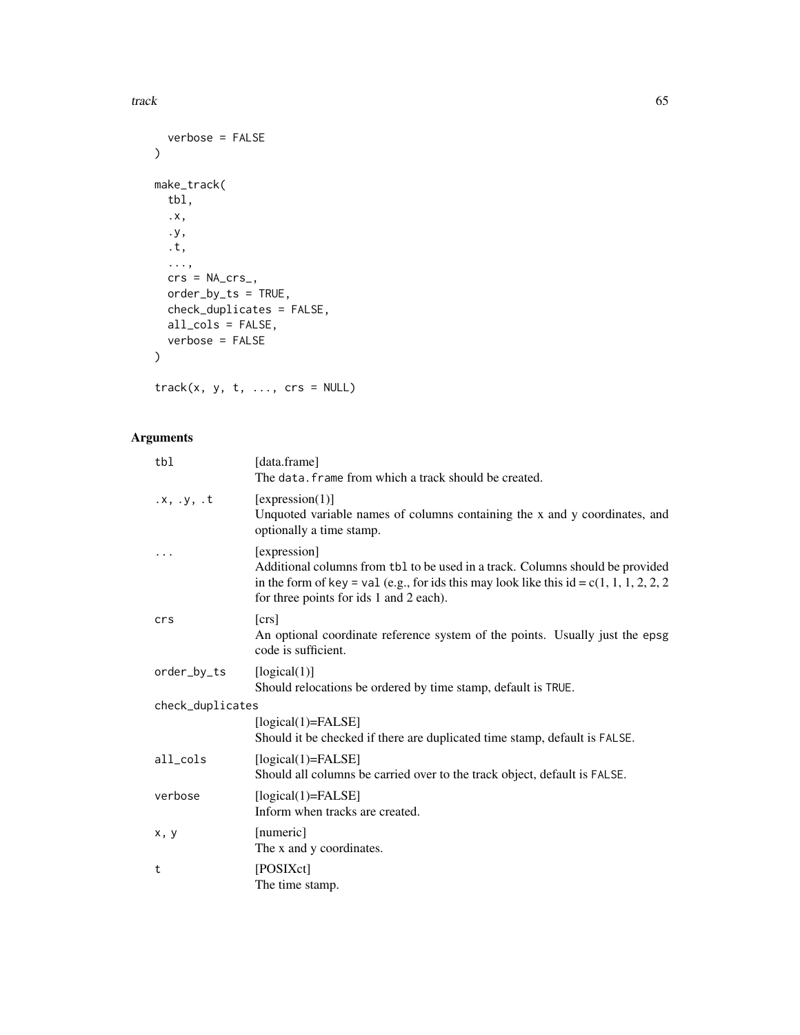track the contract of the contract of the contract of the contract of the contract of the contract of the contract of the contract of the contract of the contract of the contract of the contract of the contract of the cont

```
verbose = FALSE
\lambdamake_track(
  tbl,
  .x,
  .y,
  .t,
  ...,
  crs = NA_crs_order_by_ts = TRUE,
  check_duplicates = FALSE,
  all_cols = FALSE,
  verbose = FALSE
)
```
 $track(x, y, t, ..., crs = NULL)$ 

| tbl              | [data.frame]<br>The data, frame from which a track should be created.                                                                                                                                                               |
|------------------|-------------------------------------------------------------------------------------------------------------------------------------------------------------------------------------------------------------------------------------|
| .x, y, t         | [expression(1)]<br>Unquoted variable names of columns containing the x and y coordinates, and<br>optionally a time stamp.                                                                                                           |
| .                | [expression]<br>Additional columns from tb1 to be used in a track. Columns should be provided<br>in the form of key = val (e.g., for ids this may look like this id = c(1, 1, 1, 2, 2, 2<br>for three points for ids 1 and 2 each). |
| crs              | $[\text{crs}]$<br>An optional coordinate reference system of the points. Usually just the epsg<br>code is sufficient.                                                                                                               |
| order_by_ts      | [logical(1)]<br>Should relocations be ordered by time stamp, default is TRUE.                                                                                                                                                       |
| check_duplicates |                                                                                                                                                                                                                                     |
|                  | $[logical(1)=FALSE]$<br>Should it be checked if there are duplicated time stamp, default is FALSE.                                                                                                                                  |
| all_cols         | $[logical(1)=FALSE]$<br>Should all columns be carried over to the track object, default is FALSE.                                                                                                                                   |
| verbose          | $[logical(1)=FALSE]$<br>Inform when tracks are created.                                                                                                                                                                             |
| x, y             | [numeric]<br>The x and y coordinates.                                                                                                                                                                                               |
| t                | [POSIXct]<br>The time stamp.                                                                                                                                                                                                        |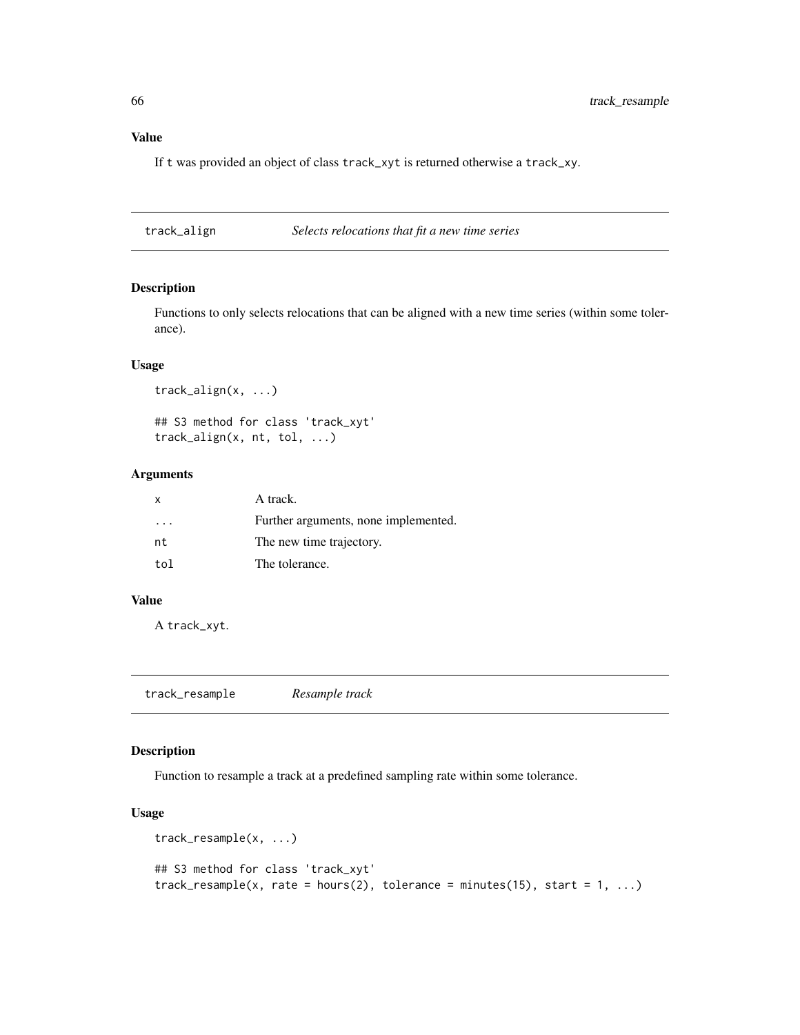# Value

If t was provided an object of class track\_xyt is returned otherwise a track\_xy.

track\_align *Selects relocations that fit a new time series*

## Description

Functions to only selects relocations that can be aligned with a new time series (within some tolerance).

## Usage

```
track_align(x, ...)
## S3 method for class 'track_xyt'
track_align(x, nt, tol, ...)
```
## Arguments

| X   | A track.                             |
|-----|--------------------------------------|
| .   | Further arguments, none implemented. |
| nt  | The new time trajectory.             |
| tol | The tolerance.                       |

#### Value

A track\_xyt.

track\_resample *Resample track*

## Description

Function to resample a track at a predefined sampling rate within some tolerance.

```
track_resample(x, ...)
## S3 method for class 'track_xyt'
track_resample(x, rate = hours(2), tolerance = minutes(15), start = 1, ...)
```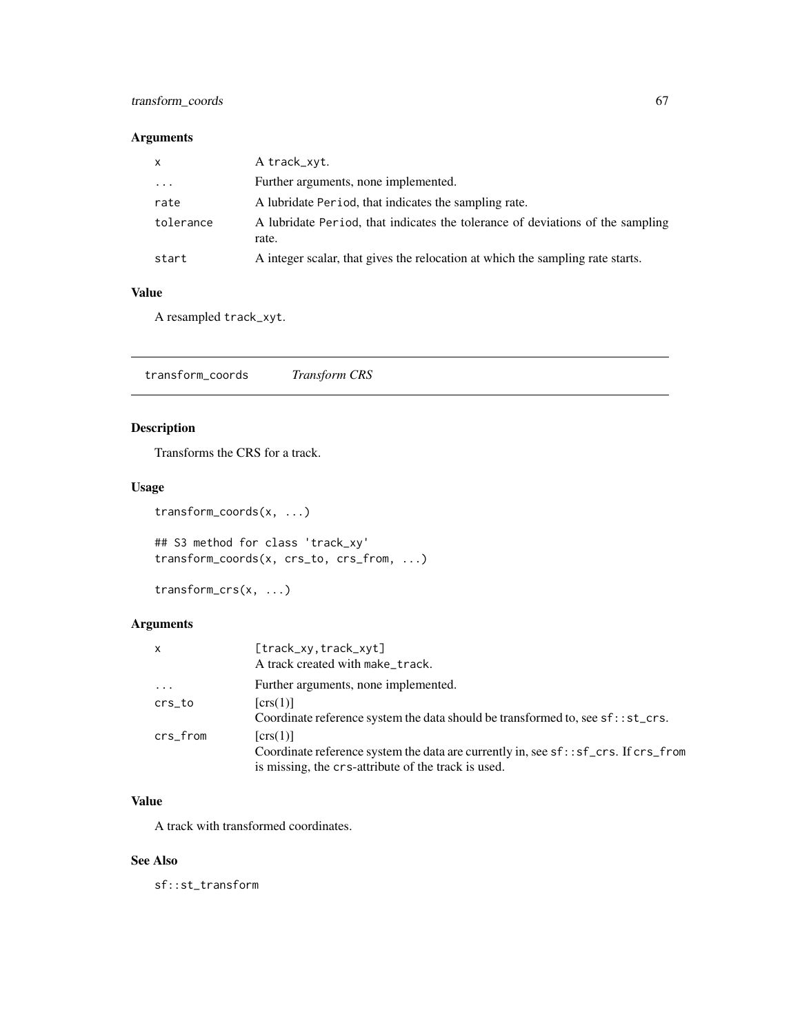## transform\_coords 67

# Arguments

| $\mathsf{X}$            | A track_xyt.                                                                            |
|-------------------------|-----------------------------------------------------------------------------------------|
| $\cdot$ $\cdot$ $\cdot$ | Further arguments, none implemented.                                                    |
| rate                    | A lubridate Period, that indicates the sampling rate.                                   |
| tolerance               | A lubridate Period, that indicates the tolerance of deviations of the sampling<br>rate. |
| start                   | A integer scalar, that gives the relocation at which the sampling rate starts.          |

#### Value

A resampled track\_xyt.

transform\_coords *Transform CRS*

## Description

Transforms the CRS for a track.

## Usage

```
transform_coords(x, ...)
```
## S3 method for class 'track\_xy' transform\_coords(x, crs\_to, crs\_from, ...)

```
transform_crs(x, ...)
```
# Arguments

| $\mathsf{x}$ | [track_xy,track_xyt]<br>A track created with make_track.                                                                                                |
|--------------|---------------------------------------------------------------------------------------------------------------------------------------------------------|
| $\cdots$     | Further arguments, none implemented.                                                                                                                    |
| crs_to       | $\lfloor \text{crs}(1) \rfloor$<br>Coordinate reference system the data should be transformed to, see sf:: st_crs.                                      |
| crs_from     | [crs(1)]<br>Coordinate reference system the data are currently in, see sf: : sf_crs. If crs_from<br>is missing, the crs-attribute of the track is used. |

## Value

A track with transformed coordinates.

#### See Also

sf::st\_transform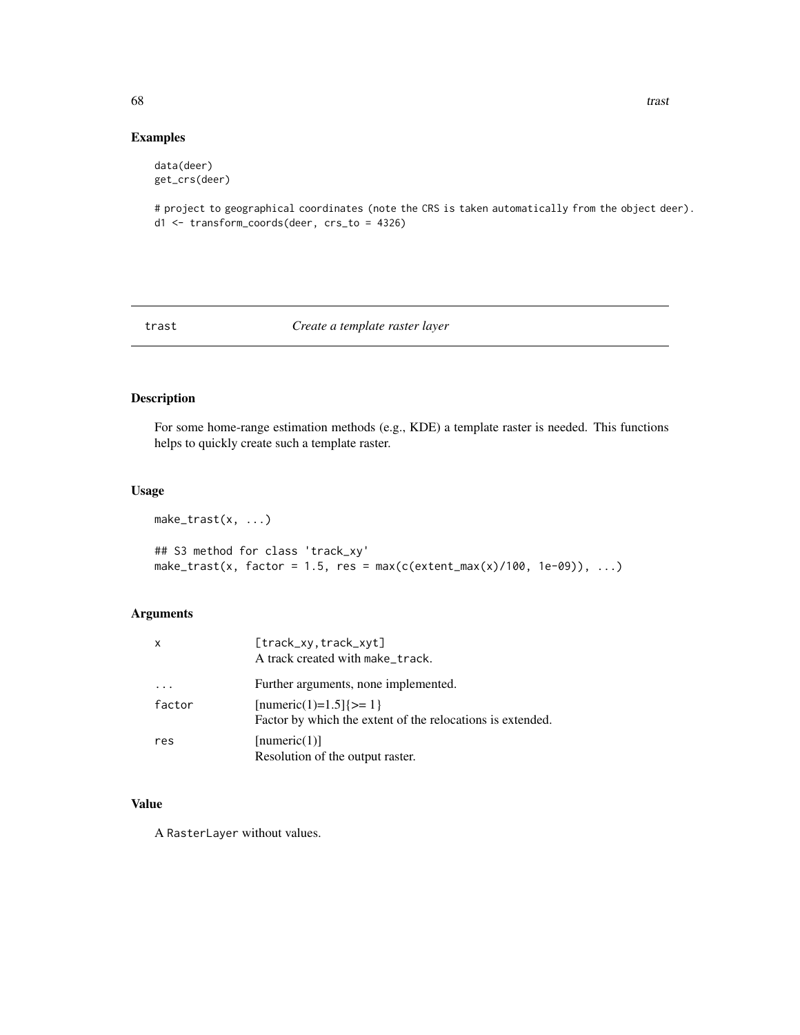## Examples

```
data(deer)
get_crs(deer)
```
# project to geographical coordinates (note the CRS is taken automatically from the object deer). d1 <- transform\_coords(deer, crs\_to = 4326)

#### trast *Create a template raster layer*

# Description

For some home-range estimation methods (e.g., KDE) a template raster is needed. This functions helps to quickly create such a template raster.

## Usage

```
make_trast(x, ...)
## S3 method for class 'track_xy'
make_trast(x, factor = 1.5, res = max(c(extent_max(x)/100, 1e-09)), ...)
```
#### Arguments

| X      | [track_xy.track_xyt]<br>A track created with make_track.                                |
|--------|-----------------------------------------------------------------------------------------|
|        | Further arguments, none implemented.                                                    |
| factor | $[numeric(1)=1.5]$ {>= 1}<br>Factor by which the extent of the relocations is extended. |
| res    | [numeric(1)]<br>Resolution of the output raster.                                        |

# Value

A RasterLayer without values.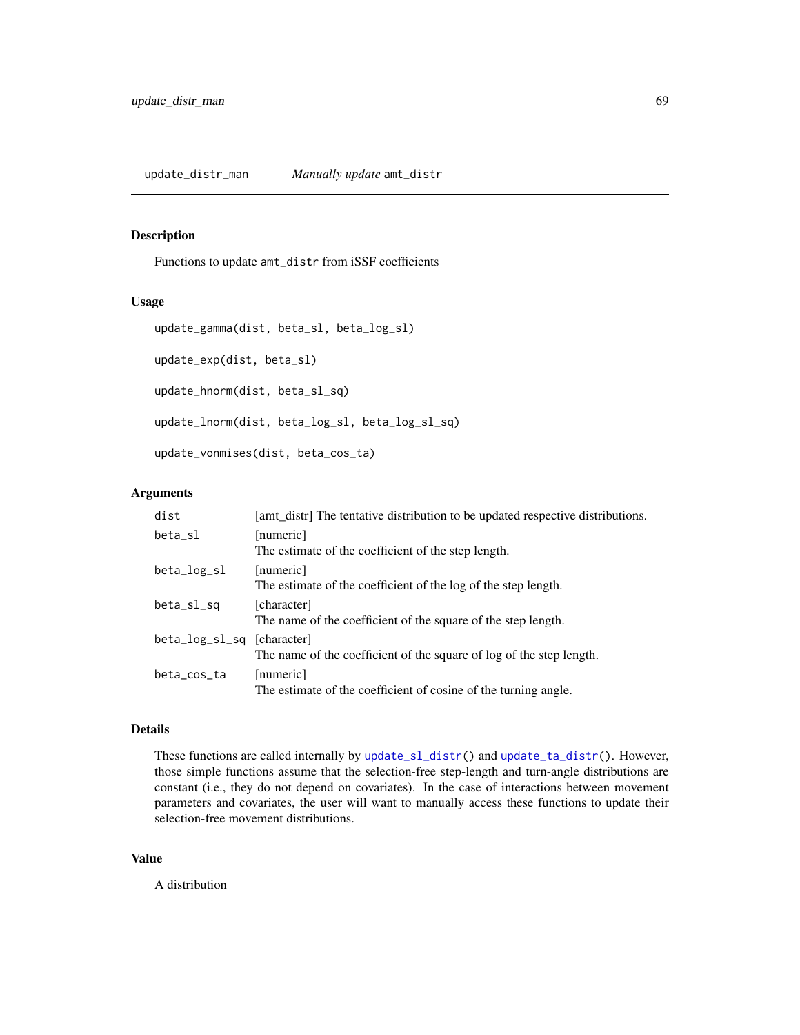## Description

Functions to update amt\_distr from iSSF coefficients

#### Usage

```
update_gamma(dist, beta_sl, beta_log_sl)
```
update\_exp(dist, beta\_sl)

update\_hnorm(dist, beta\_sl\_sq)

update\_lnorm(dist, beta\_log\_sl, beta\_log\_sl\_sq)

update\_vonmises(dist, beta\_cos\_ta)

#### Arguments

| dist                       | [amt_distr] The tentative distribution to be updated respective distributions. |
|----------------------------|--------------------------------------------------------------------------------|
| beta_sl                    | [numeric]<br>The estimate of the coefficient of the step length.               |
| beta_log_sl                | [numeric]<br>The estimate of the coefficient of the log of the step length.    |
| beta_sl_sq                 | [character]<br>The name of the coefficient of the square of the step length.   |
| beta_log_sl_sq [character] | The name of the coefficient of the square of log of the step length.           |
| beta_cos_ta                | [numeric]<br>The estimate of the coefficient of cosine of the turning angle.   |

#### Details

These functions are called internally by [update\\_sl\\_distr\(](#page-69-0)) and [update\\_ta\\_distr\(](#page-69-1)). However, those simple functions assume that the selection-free step-length and turn-angle distributions are constant (i.e., they do not depend on covariates). In the case of interactions between movement parameters and covariates, the user will want to manually access these functions to update their selection-free movement distributions.

#### Value

A distribution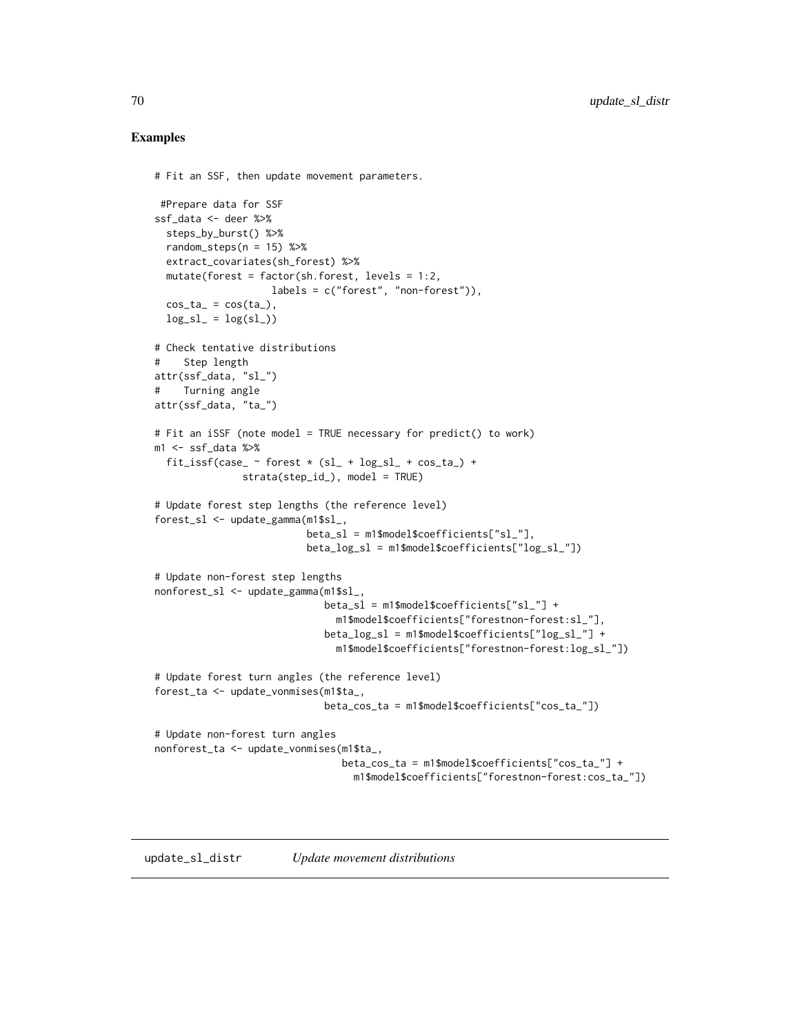#### Examples

```
# Fit an SSF, then update movement parameters.
#Prepare data for SSF
ssf_data <- deer %>%
 steps_by_burst() %>%
 random_steps(n = 15) %>%
 extract_covariates(sh_forest) %>%
 mutate(forest = factor(sh.forest, levels = 1:2,
                   labels = c("forest", "non-forest")),
 cos_t = cos(t_a),log_s1 = log(s1)# Check tentative distributions
# Step length
attr(ssf_data, "sl_")
# Turning angle
attr(ssf_data, "ta_")
# Fit an iSSF (note model = TRUE necessary for predict() to work)
m1 <- ssf_data %>%
 fit_issf(case_ \sim forest \star (sl_ + log_sl_ + cos_ta_) +
               strata(step_id_), model = TRUE)
# Update forest step lengths (the reference level)
forest_sl <- update_gamma(m1$sl_,
                         beta_s1 = m1$model$coefficients["sl_"],
                         beta_log_sl = m1$model$coefficients["log_sl_"])
# Update non-forest step lengths
nonforest_sl <- update_gamma(m1$sl_,
                            beta_sl = m1$model$coefficients["sl_"] +
                               m1$model$coefficients["forestnon-forest:sl_"],
                             beta_log_sl = m1$model$coefficients["log_sl_"] +
                               m1$model$coefficients["forestnon-forest:log_sl_"])
# Update forest turn angles (the reference level)
forest_ta <- update_vonmises(m1$ta_,
                            beta_cos_ta = m1$model$coefficients["cos_ta_"])
# Update non-forest turn angles
nonforest_ta <- update_vonmises(m1$ta_,
                                beta_cos_ta = m1$model$coefficients["cos_ta_"] +
                                  m1$model$coefficients["forestnon-forest:cos_ta_"])
```
<span id="page-69-1"></span><span id="page-69-0"></span>update\_sl\_distr *Update movement distributions*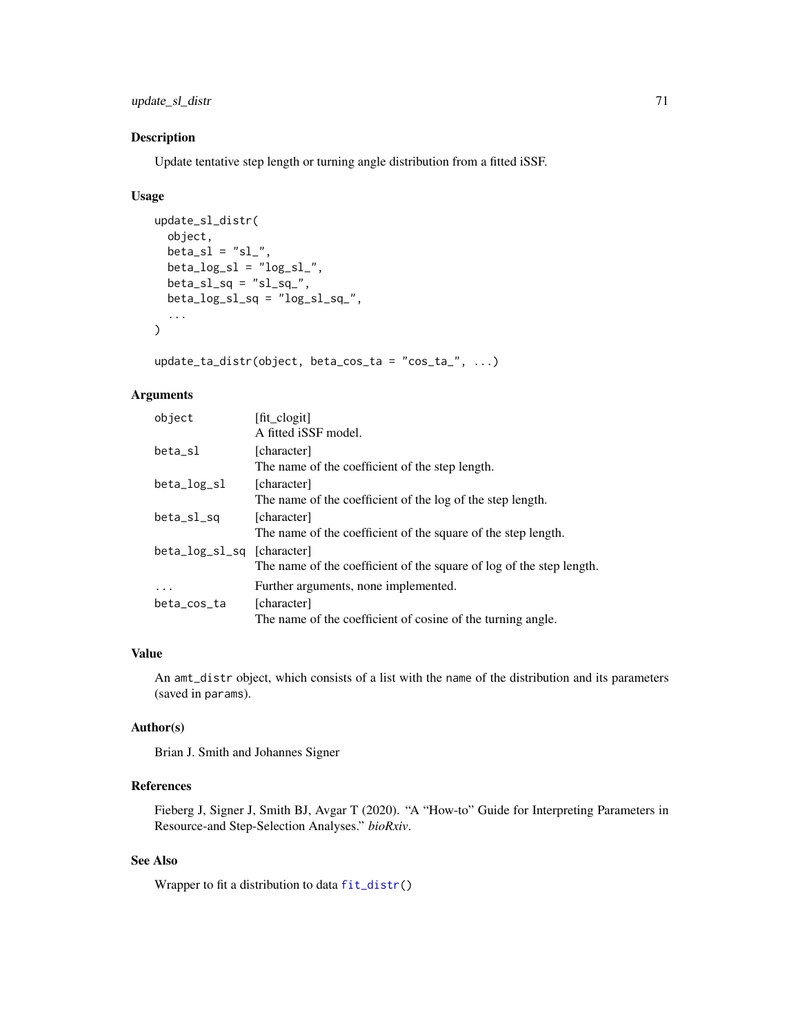update\_sl\_distr 71

#### Description

Update tentative step length or turning angle distribution from a fitted iSSF.

#### Usage

```
update_sl_distr(
  object,
 beta_s1 = "sl",
 beta\_log_s1 = "log_s1",
 beta_s1_sq = "sl_sq_",beta\_log_s1_sq = "log_s1_sq'_s,
  ...
)
```
 $update\_ta\_distr(object, beta\_cos\_ta = "cos\_ta", ...)$ 

# Arguments

| object                     | [fit_clogit]                                                         |
|----------------------------|----------------------------------------------------------------------|
|                            | A fitted iSSF model.                                                 |
| beta_sl                    | [character]                                                          |
|                            | The name of the coefficient of the step length.                      |
| beta_log_sl                | [character]                                                          |
|                            | The name of the coefficient of the log of the step length.           |
| beta_sl_sq                 | [character]                                                          |
|                            | The name of the coefficient of the square of the step length.        |
| beta_log_sl_sq [character] |                                                                      |
|                            | The name of the coefficient of the square of log of the step length. |
| $\ddotsc$                  | Further arguments, none implemented.                                 |
| beta_cos_ta                | [character]                                                          |
|                            | The name of the coefficient of cosine of the turning angle.          |

## Value

An amt\_distr object, which consists of a list with the name of the distribution and its parameters (saved in params).

# Author(s)

Brian J. Smith and Johannes Signer

#### References

Fieberg J, Signer J, Smith BJ, Avgar T (2020). "A "How-to" Guide for Interpreting Parameters in Resource-and Step-Selection Analyses." *bioRxiv*.

# See Also

Wrapper to fit a distribution to data [fit\\_distr\(](#page-23-0))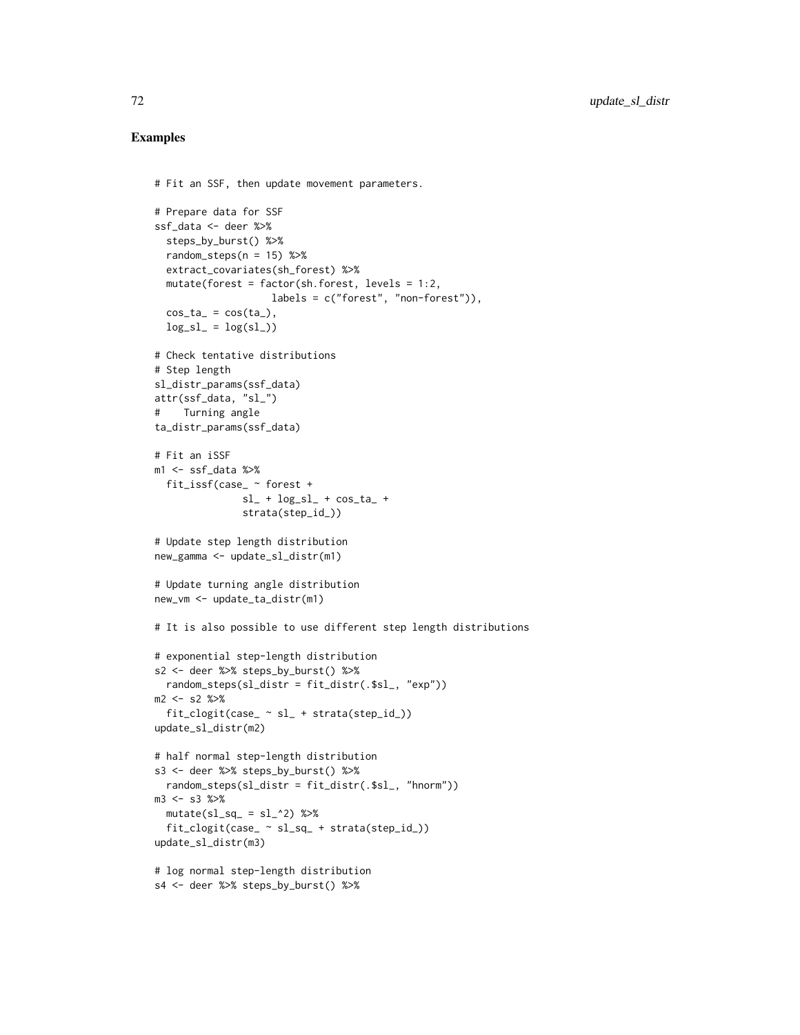### Examples

```
# Fit an SSF, then update movement parameters.
# Prepare data for SSF
ssf_data <- deer %>%
  steps_by_burst() %>%
  random_steps(n = 15) %>%
  extract_covariates(sh_forest) %>%
  mutate(forest = factor(sh.forest, levels = 1:2,
                    labels = c("forest", "non-forest")),
  cos_t = cos(t_a),log_s1 = log(s1)# Check tentative distributions
# Step length
sl_distr_params(ssf_data)
attr(ssf_data, "sl_")
# Turning angle
ta_distr_params(ssf_data)
# Fit an iSSF
m1 \leq -ssf data %>%
 fit_issf(case_ ~ forest +
              sl_+ + log_s1 + cos_t1 +
              strata(step_id_))
# Update step length distribution
new_gamma <- update_sl_distr(m1)
# Update turning angle distribution
new_vm <- update_ta_distr(m1)
# It is also possible to use different step length distributions
# exponential step-length distribution
s2 <- deer %>% steps_by_burst() %>%
  random_steps(sl_distr = fit_distr(.$sl_, "exp"))
m2 <- s2 %>%
  fit\_clogit(case_ sl_ + strata(step_id_))update_sl_distr(m2)
# half normal step-length distribution
s3 <- deer %>% steps_by_burst() %>%
  random_steps(sl_distr = fit_distr(.$sl_, "hnorm"))
m3 <- s3 %>%
  mutate(sl_sq_ = sl_^2) %>%
  fit_clogit(case_ ~ sl_sq_ + strata(step_id_))
update_sl_distr(m3)
# log normal step-length distribution
s4 <- deer %>% steps_by_burst() %>%
```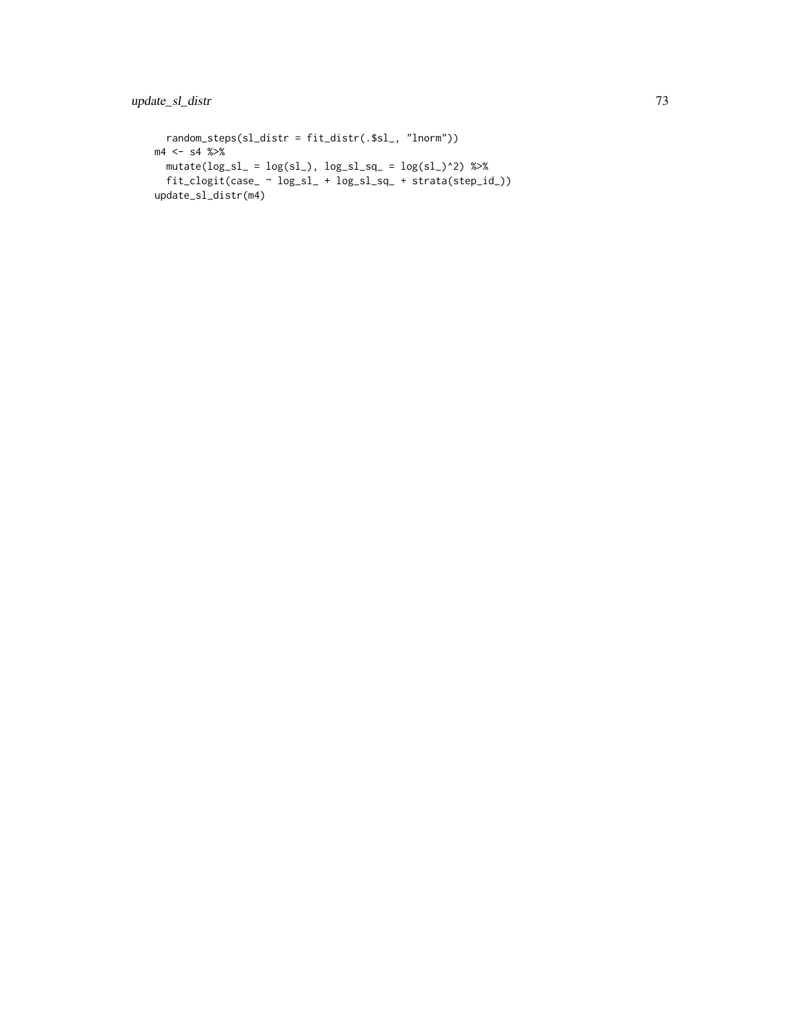```
random_steps(sl_distr = fit_distr(.$sl_, "lnorm"))
m4 < - s4 %>%
 <code>mutate(log_sl_ = log(sl_), log_sl_sq_ = log(sl_)^2) %>%</code>
 fit_clogit(case_ ~ log_sl_ + log_sl_sq_ + strata(step_id_))
update_sl_distr(m4)
```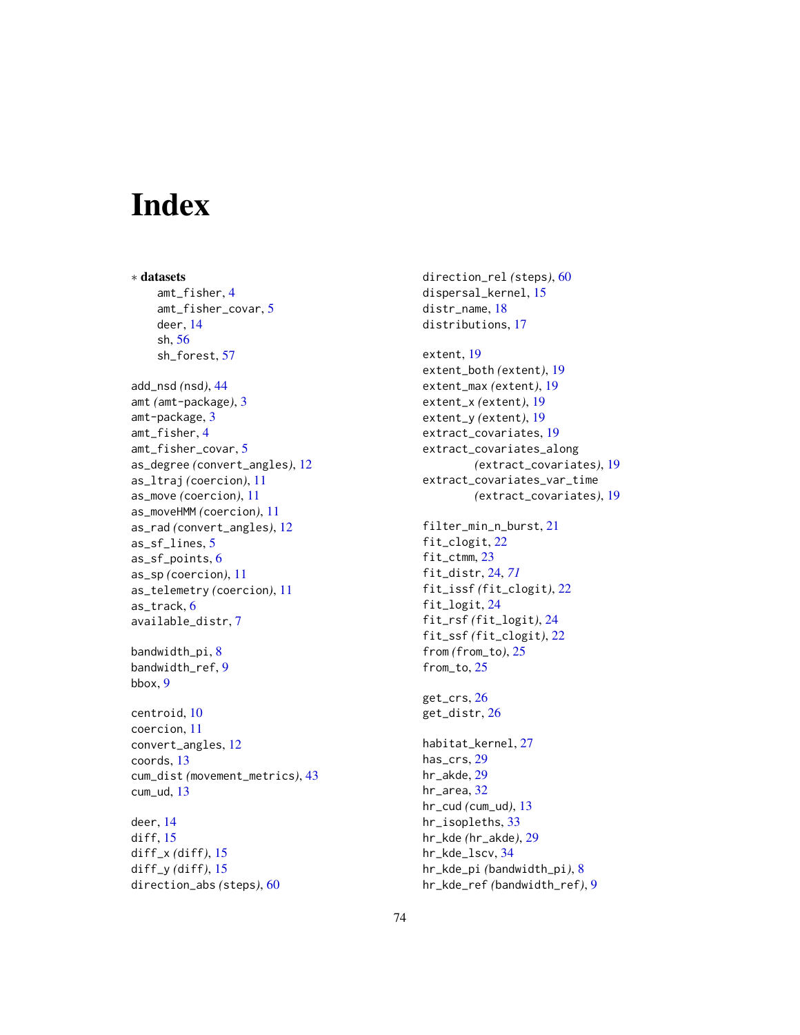## Index

∗ datasets amt\_fisher, [4](#page-3-0) amt\_fisher\_covar, [5](#page-4-0) deer, [14](#page-13-0) sh, [56](#page-55-0) sh\_forest, [57](#page-56-0) add\_nsd *(*nsd*)*, [44](#page-43-0) amt *(*amt-package*)*, [3](#page-2-0) amt-package, [3](#page-2-0) amt\_fisher, [4](#page-3-0) amt\_fisher\_covar, [5](#page-4-0) as\_degree *(*convert\_angles*)*, [12](#page-11-0) as\_ltraj *(*coercion*)*, [11](#page-10-0) as\_move *(*coercion*)*, [11](#page-10-0) as\_moveHMM *(*coercion*)*, [11](#page-10-0) as\_rad *(*convert\_angles*)*, [12](#page-11-0) as\_sf\_lines, [5](#page-4-0) as\_sf\_points, [6](#page-5-0) as\_sp *(*coercion*)*, [11](#page-10-0) as\_telemetry *(*coercion*)*, [11](#page-10-0) as\_track, [6](#page-5-0) available\_distr, [7](#page-6-0) bandwidth\_pi, [8](#page-7-0) bandwidth\_ref, [9](#page-8-0) bbox, [9](#page-8-0) centroid, [10](#page-9-0) coercion, [11](#page-10-0) convert\_angles, [12](#page-11-0) coords, [13](#page-12-0) cum\_dist *(*movement\_metrics*)*, [43](#page-42-0) cum\_ud, [13](#page-12-0)

deer, [14](#page-13-0) diff, [15](#page-14-0) diff\_x *(*diff*)*, [15](#page-14-0) diff\_y *(*diff*)*, [15](#page-14-0) direction\_abs *(*steps*)*, [60](#page-59-0) direction\_rel *(*steps*)*, [60](#page-59-0) dispersal\_kernel, [15](#page-14-0) distr\_name, [18](#page-17-0) distributions, [17](#page-16-0)

```
extent, 19
extent_both (extent), 19
extent_max (extent), 19
extent_x (extent), 19
extent_y (extent), 19
extract_covariates, 19
extract_covariates_along
        (extract_covariates), 19
extract_covariates_var_time
        (extract_covariates), 19
```

```
filter_min_n_burst, 21
fit_clogit, 22
fit_ctmm, 23
fit_distr, 24, 71
fit_issf (fit_clogit), 22
fit_logit, 24
fit_rsf (fit_logit), 24
fit_ssf (fit_clogit), 22
from (from_to), 25
from_to, 25
```
get\_crs, [26](#page-25-0) get\_distr, [26](#page-25-0)

habitat\_kernel, [27](#page-26-0) has\_crs, [29](#page-28-0) hr\_akde, [29](#page-28-0) hr\_area, [32](#page-31-0) hr\_cud *(*cum\_ud*)*, [13](#page-12-0) hr\_isopleths, [33](#page-32-0) hr\_kde *(*hr\_akde*)*, [29](#page-28-0) hr\_kde\_lscv, [34](#page-33-0) hr\_kde\_pi *(*bandwidth\_pi*)*, [8](#page-7-0) hr\_kde\_ref *(*bandwidth\_ref*)*, [9](#page-8-0)